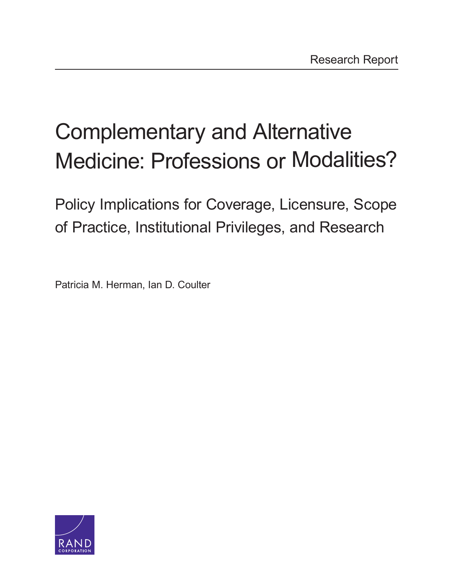# Complementary and Alternative [Medicine: Professions or Modalities?](http://www.rand.org/pubs/research_reports/RR1258.html)

Policy Implications for Coverage, Licensure, Scope of Practice, Institutional Privileges, and Research

Patricia M. Herman, Ian D. Coulter

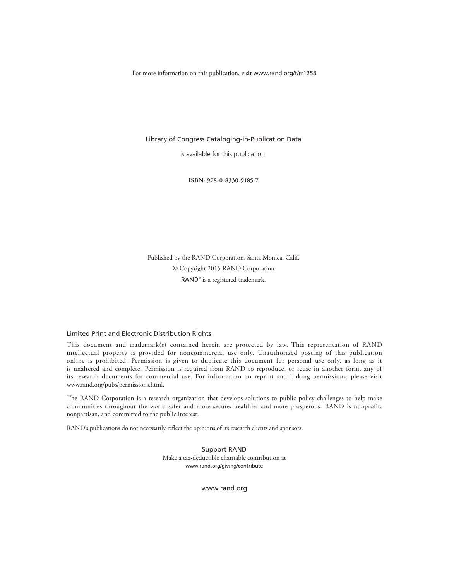For more information on this publication, visit [www.rand.org/t/rr1258](http://www.rand.org/t/rr1258)

Library of Congress Cataloging-in-Publication Data

is available for this publication.

**ISBN: 978-0-8330-9185-7**

Published by the RAND Corporation, Santa Monica, Calif. © Copyright 2015 RAND Corporation RAND<sup>®</sup> is a registered trademark.

#### Limited Print and Electronic Distribution Rights

This document and trademark(s) contained herein are protected by law. This representation of RAND intellectual property is provided for noncommercial use only. Unauthorized posting of this publication online is prohibited. Permission is given to duplicate this document for personal use only, as long as it is unaltered and complete. Permission is required from RAND to reproduce, or reuse in another form, any of its research documents for commercial use. For information on reprint and linking permissions, please visit [www.rand.org/pubs/permissions.html.](http://www.rand.org/pubs/permissions.html)

The RAND Corporation is a research organization that develops solutions to public policy challenges to help make communities throughout the world safer and more secure, healthier and more prosperous. RAND is nonprofit, nonpartisan, and committed to the public interest.

RAND's publications do not necessarily reflect the opinions of its research clients and sponsors.

Support RAND Make a tax-deductible charitable contribution at [www.rand.org/giving/contribute](http://www.rand.org/giving/contribute)

[www.rand.org](http://www.rand.org)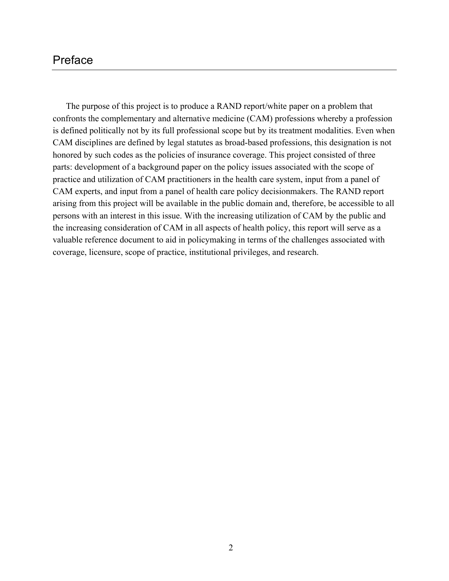# Preface

The purpose of this project is to produce a RAND report/white paper on a problem that confronts the complementary and alternative medicine (CAM) professions whereby a profession is defined politically not by its full professional scope but by its treatment modalities. Even when CAM disciplines are defined by legal statutes as broad-based professions, this designation is not honored by such codes as the policies of insurance coverage. This project consisted of three parts: development of a background paper on the policy issues associated with the scope of practice and utilization of CAM practitioners in the health care system, input from a panel of CAM experts, and input from a panel of health care policy decisionmakers. The RAND report arising from this project will be available in the public domain and, therefore, be accessible to all persons with an interest in this issue. With the increasing utilization of CAM by the public and the increasing consideration of CAM in all aspects of health policy, this report will serve as a valuable reference document to aid in policymaking in terms of the challenges associated with coverage, licensure, scope of practice, institutional privileges, and research.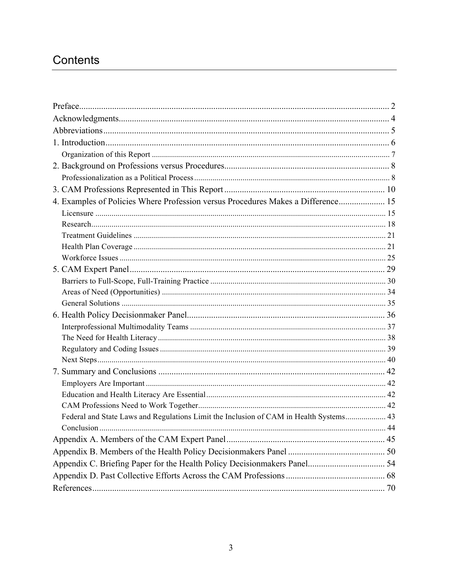# Contents

| 4. Examples of Policies Where Profession versus Procedures Makes a Difference 15       |  |  |  |  |
|----------------------------------------------------------------------------------------|--|--|--|--|
|                                                                                        |  |  |  |  |
|                                                                                        |  |  |  |  |
|                                                                                        |  |  |  |  |
|                                                                                        |  |  |  |  |
|                                                                                        |  |  |  |  |
|                                                                                        |  |  |  |  |
|                                                                                        |  |  |  |  |
|                                                                                        |  |  |  |  |
|                                                                                        |  |  |  |  |
|                                                                                        |  |  |  |  |
|                                                                                        |  |  |  |  |
|                                                                                        |  |  |  |  |
|                                                                                        |  |  |  |  |
|                                                                                        |  |  |  |  |
|                                                                                        |  |  |  |  |
|                                                                                        |  |  |  |  |
|                                                                                        |  |  |  |  |
|                                                                                        |  |  |  |  |
| Federal and State Laws and Regulations Limit the Inclusion of CAM in Health Systems 43 |  |  |  |  |
|                                                                                        |  |  |  |  |
|                                                                                        |  |  |  |  |
|                                                                                        |  |  |  |  |
|                                                                                        |  |  |  |  |
|                                                                                        |  |  |  |  |
|                                                                                        |  |  |  |  |
|                                                                                        |  |  |  |  |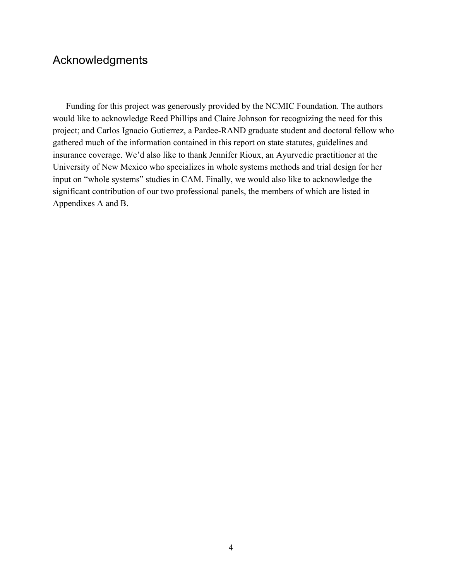Funding for this project was generously provided by the NCMIC Foundation. The authors would like to acknowledge Reed Phillips and Claire Johnson for recognizing the need for this project; and Carlos Ignacio Gutierrez, a Pardee-RAND graduate student and doctoral fellow who gathered much of the information contained in this report on state statutes, guidelines and insurance coverage. We'd also like to thank Jennifer Rioux, an Ayurvedic practitioner at the University of New Mexico who specializes in whole systems methods and trial design for her input on "whole systems" studies in CAM. Finally, we would also like to acknowledge the significant contribution of our two professional panels, the members of which are listed in Appendixes A and B.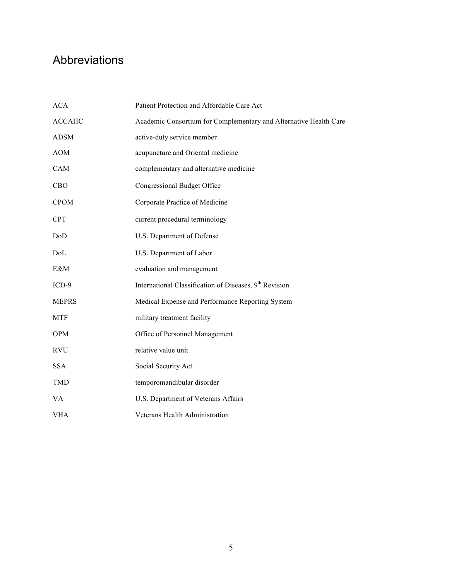# Abbreviations

| <b>ACA</b>     | Patient Protection and Affordable Care Act                         |  |  |  |
|----------------|--------------------------------------------------------------------|--|--|--|
| <b>ACCAHC</b>  | Academic Consortium for Complementary and Alternative Health Care  |  |  |  |
| <b>ADSM</b>    | active-duty service member                                         |  |  |  |
| <b>AOM</b>     | acupuncture and Oriental medicine                                  |  |  |  |
| CAM            | complementary and alternative medicine                             |  |  |  |
| CBO            | <b>Congressional Budget Office</b>                                 |  |  |  |
| <b>CPOM</b>    | Corporate Practice of Medicine                                     |  |  |  |
| <b>CPT</b>     | current procedural terminology                                     |  |  |  |
| $\mathrm{DoD}$ | U.S. Department of Defense                                         |  |  |  |
| DoL            | U.S. Department of Labor                                           |  |  |  |
| E&M            | evaluation and management                                          |  |  |  |
| $ICD-9$        | International Classification of Diseases, 9 <sup>th</sup> Revision |  |  |  |
| <b>MEPRS</b>   | Medical Expense and Performance Reporting System                   |  |  |  |
| <b>MTF</b>     | military treatment facility                                        |  |  |  |
| <b>OPM</b>     | Office of Personnel Management                                     |  |  |  |
| <b>RVU</b>     | relative value unit                                                |  |  |  |
| <b>SSA</b>     | Social Security Act                                                |  |  |  |
| <b>TMD</b>     | temporomandibular disorder                                         |  |  |  |
| VA             | U.S. Department of Veterans Affairs                                |  |  |  |
| <b>VHA</b>     | Veterans Health Administration                                     |  |  |  |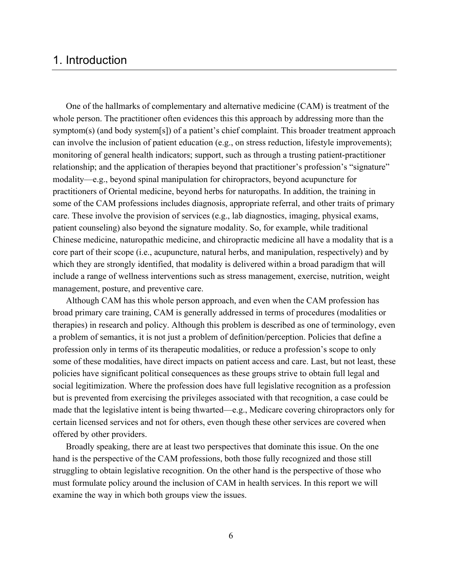# 1. Introduction

One of the hallmarks of complementary and alternative medicine (CAM) is treatment of the whole person. The practitioner often evidences this this approach by addressing more than the symptom(s) (and body system[s]) of a patient's chief complaint. This broader treatment approach can involve the inclusion of patient education (e.g., on stress reduction, lifestyle improvements); monitoring of general health indicators; support, such as through a trusting patient-practitioner relationship; and the application of therapies beyond that practitioner's profession's "signature" modality—e.g., beyond spinal manipulation for chiropractors, beyond acupuncture for practitioners of Oriental medicine, beyond herbs for naturopaths. In addition, the training in some of the CAM professions includes diagnosis, appropriate referral, and other traits of primary care. These involve the provision of services (e.g., lab diagnostics, imaging, physical exams, patient counseling) also beyond the signature modality. So, for example, while traditional Chinese medicine, naturopathic medicine, and chiropractic medicine all have a modality that is a core part of their scope (i.e., acupuncture, natural herbs, and manipulation, respectively) and by which they are strongly identified, that modality is delivered within a broad paradigm that will include a range of wellness interventions such as stress management, exercise, nutrition, weight management, posture, and preventive care.

Although CAM has this whole person approach, and even when the CAM profession has broad primary care training, CAM is generally addressed in terms of procedures (modalities or therapies) in research and policy. Although this problem is described as one of terminology, even a problem of semantics, it is not just a problem of definition/perception. Policies that define a profession only in terms of its therapeutic modalities, or reduce a profession's scope to only some of these modalities, have direct impacts on patient access and care. Last, but not least, these policies have significant political consequences as these groups strive to obtain full legal and social legitimization. Where the profession does have full legislative recognition as a profession but is prevented from exercising the privileges associated with that recognition, a case could be made that the legislative intent is being thwarted—e.g., Medicare covering chiropractors only for certain licensed services and not for others, even though these other services are covered when offered by other providers.

Broadly speaking, there are at least two perspectives that dominate this issue. On the one hand is the perspective of the CAM professions, both those fully recognized and those still struggling to obtain legislative recognition. On the other hand is the perspective of those who must formulate policy around the inclusion of CAM in health services. In this report we will examine the way in which both groups view the issues.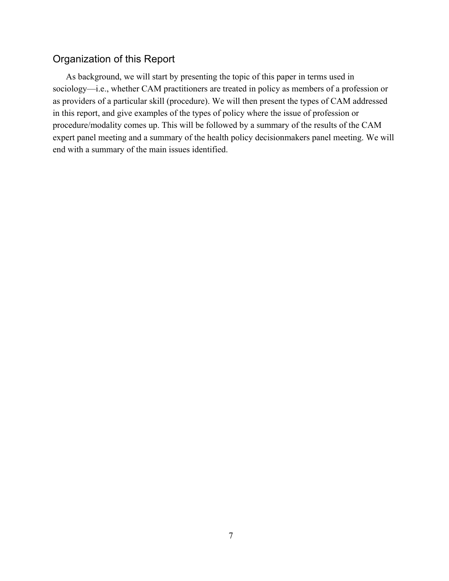# Organization of this Report

As background, we will start by presenting the topic of this paper in terms used in sociology—i.e., whether CAM practitioners are treated in policy as members of a profession or as providers of a particular skill (procedure). We will then present the types of CAM addressed in this report, and give examples of the types of policy where the issue of profession or procedure/modality comes up. This will be followed by a summary of the results of the CAM expert panel meeting and a summary of the health policy decisionmakers panel meeting. We will end with a summary of the main issues identified.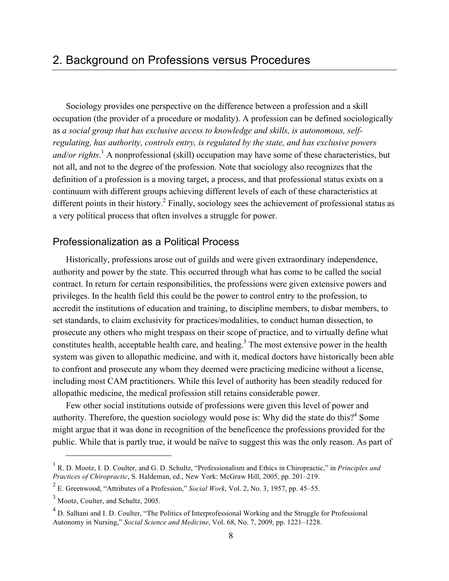Sociology provides one perspective on the difference between a profession and a skill occupation (the provider of a procedure or modality). A profession can be defined sociologically as *a social group that has exclusive access to knowledge and skills, is autonomous, selfregulating, has authority, controls entry, is regulated by the state, and has exclusive powers*  and/or rights.<sup>1</sup> A nonprofessional (skill) occupation may have some of these characteristics, but not all, and not to the degree of the profession. Note that sociology also recognizes that the definition of a profession is a moving target, a process, and that professional status exists on a continuum with different groups achieving different levels of each of these characteristics at different points in their history.<sup>2</sup> Finally, sociology sees the achievement of professional status as a very political process that often involves a struggle for power.

#### Professionalization as a Political Process

Historically, professions arose out of guilds and were given extraordinary independence, authority and power by the state. This occurred through what has come to be called the social contract. In return for certain responsibilities, the professions were given extensive powers and privileges. In the health field this could be the power to control entry to the profession, to accredit the institutions of education and training, to discipline members, to disbar members, to set standards, to claim exclusivity for practices/modalities, to conduct human dissection, to prosecute any others who might trespass on their scope of practice, and to virtually define what constitutes health, acceptable health care, and healing.<sup>3</sup> The most extensive power in the health system was given to allopathic medicine, and with it, medical doctors have historically been able to confront and prosecute any whom they deemed were practicing medicine without a license, including most CAM practitioners. While this level of authority has been steadily reduced for allopathic medicine, the medical profession still retains considerable power.

Few other social institutions outside of professions were given this level of power and authority. Therefore, the question sociology would pose is: Why did the state do this? $4$  Some might argue that it was done in recognition of the beneficence the professions provided for the public. While that is partly true, it would be naïve to suggest this was the only reason. As part of

 <sup>1</sup> R. D. Mootz, I. D. Coulter, and G. D. Schultz, "Professionalism and Ethics in Chiropractic," in *Principles and Practices of Chiropractic*, S. Haldeman, ed., New York: McGraw Hill, 2005, pp. 201–219.

<sup>2</sup> E. Greenwood, "Attributes of a Profession," *Social Work*, Vol. 2, No. 3, 1957, pp. 45–55.

<sup>&</sup>lt;sup>3</sup> Mootz, Coulter, and Schultz, 2005.

<sup>&</sup>lt;sup>4</sup> D. Salhani and I. D. Coulter, "The Politics of Interprofessional Working and the Struggle for Professional Autonomy in Nursing," *Social Science and Medicine*, Vol. 68, No. 7, 2009, pp. 1221–1228.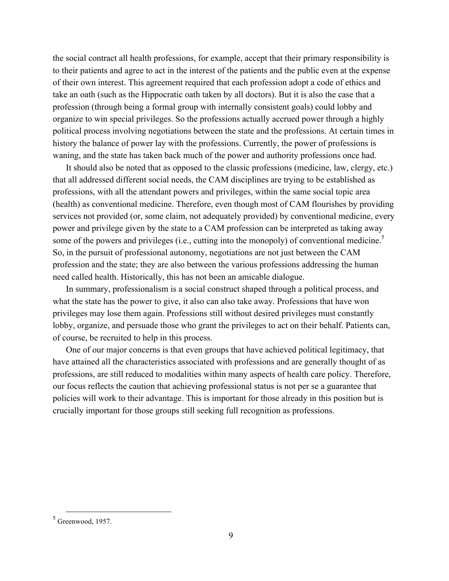the social contract all health professions, for example, accept that their primary responsibility is to their patients and agree to act in the interest of the patients and the public even at the expense of their own interest. This agreement required that each profession adopt a code of ethics and take an oath (such as the Hippocratic oath taken by all doctors). But it is also the case that a profession (through being a formal group with internally consistent goals) could lobby and organize to win special privileges. So the professions actually accrued power through a highly political process involving negotiations between the state and the professions. At certain times in history the balance of power lay with the professions. Currently, the power of professions is waning, and the state has taken back much of the power and authority professions once had.

It should also be noted that as opposed to the classic professions (medicine, law, clergy, etc.) that all addressed different social needs, the CAM disciplines are trying to be established as professions, with all the attendant powers and privileges, within the same social topic area (health) as conventional medicine. Therefore, even though most of CAM flourishes by providing services not provided (or, some claim, not adequately provided) by conventional medicine, every power and privilege given by the state to a CAM profession can be interpreted as taking away some of the powers and privileges (i.e., cutting into the monopoly) of conventional medicine.<sup>5</sup> So, in the pursuit of professional autonomy, negotiations are not just between the CAM profession and the state; they are also between the various professions addressing the human need called health. Historically, this has not been an amicable dialogue.

In summary, professionalism is a social construct shaped through a political process, and what the state has the power to give, it also can also take away. Professions that have won privileges may lose them again. Professions still without desired privileges must constantly lobby, organize, and persuade those who grant the privileges to act on their behalf. Patients can, of course, be recruited to help in this process.

One of our major concerns is that even groups that have achieved political legitimacy, that have attained all the characteristics associated with professions and are generally thought of as professions, are still reduced to modalities within many aspects of health care policy. Therefore, our focus reflects the caution that achieving professional status is not per se a guarantee that policies will work to their advantage. This is important for those already in this position but is crucially important for those groups still seeking full recognition as professions.

 $<sup>5</sup>$  Greenwood, 1957.</sup>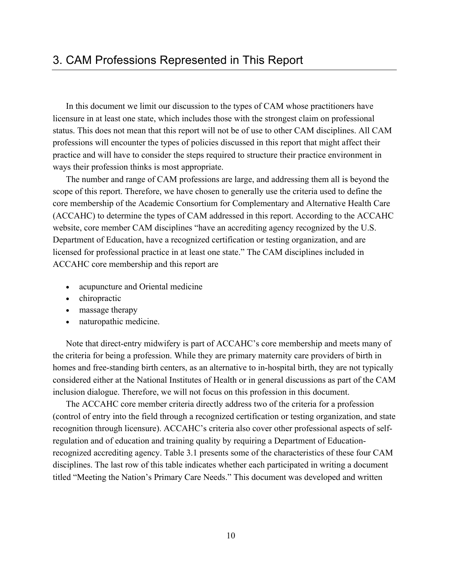In this document we limit our discussion to the types of CAM whose practitioners have licensure in at least one state, which includes those with the strongest claim on professional status. This does not mean that this report will not be of use to other CAM disciplines. All CAM professions will encounter the types of policies discussed in this report that might affect their practice and will have to consider the steps required to structure their practice environment in ways their profession thinks is most appropriate.

The number and range of CAM professions are large, and addressing them all is beyond the scope of this report. Therefore, we have chosen to generally use the criteria used to define the core membership of the Academic Consortium for Complementary and Alternative Health Care (ACCAHC) to determine the types of CAM addressed in this report. According to the ACCAHC website, core member CAM disciplines "have an accrediting agency recognized by the U.S. Department of Education, have a recognized certification or testing organization, and are licensed for professional practice in at least one state." The CAM disciplines included in ACCAHC core membership and this report are

- acupuncture and Oriental medicine
- chiropractic
- massage therapy
- naturopathic medicine.

Note that direct-entry midwifery is part of ACCAHC's core membership and meets many of the criteria for being a profession. While they are primary maternity care providers of birth in homes and free-standing birth centers, as an alternative to in-hospital birth, they are not typically considered either at the National Institutes of Health or in general discussions as part of the CAM inclusion dialogue. Therefore, we will not focus on this profession in this document.

The ACCAHC core member criteria directly address two of the criteria for a profession (control of entry into the field through a recognized certification or testing organization, and state recognition through licensure). ACCAHC's criteria also cover other professional aspects of selfregulation and of education and training quality by requiring a Department of Educationrecognized accrediting agency. Table 3.1 presents some of the characteristics of these four CAM disciplines. The last row of this table indicates whether each participated in writing a document titled "Meeting the Nation's Primary Care Needs." This document was developed and written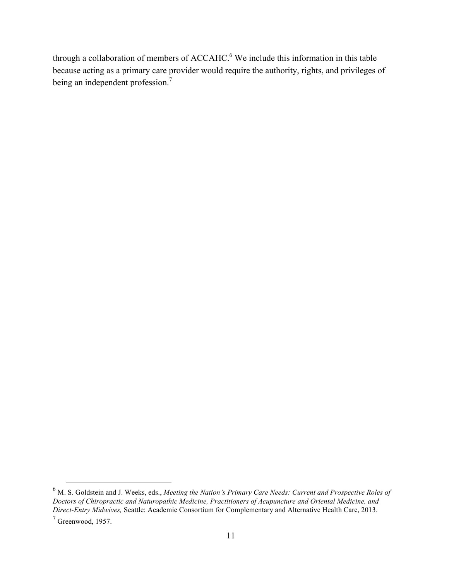through a collaboration of members of ACCAHC.<sup>6</sup> We include this information in this table because acting as a primary care provider would require the authority, rights, and privileges of being an independent profession.<sup>7</sup>

 <sup>6</sup> M. S. Goldstein and J. Weeks, eds., *Meeting the Nation's Primary Care Needs: Current and Prospective Roles of Doctors of Chiropractic and Naturopathic Medicine, Practitioners of Acupuncture and Oriental Medicine, and Direct-Entry Midwives,* Seattle: Academic Consortium for Complementary and Alternative Health Care, 2013.

 $7$  Greenwood, 1957.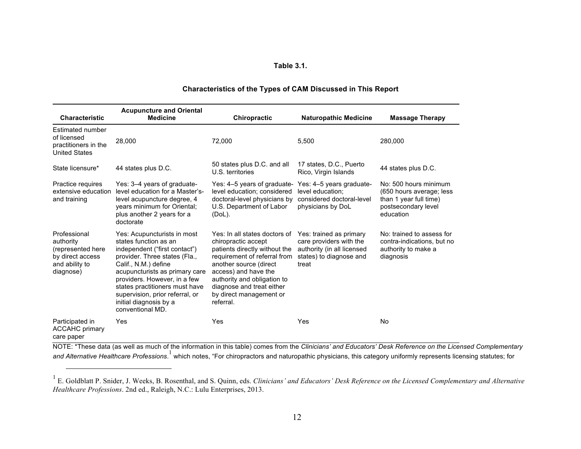#### **Table 3.1.**

| <b>Characteristic</b>                                                                             | <b>Acupuncture and Oriental</b><br><b>Medicine</b>                                                                                                                                                                                                                                                                                  | Chiropractic                                                                                                                                                                                                                                                                | <b>Naturopathic Medicine</b>                                                                                         | <b>Massage Therapy</b>                                                                                          |
|---------------------------------------------------------------------------------------------------|-------------------------------------------------------------------------------------------------------------------------------------------------------------------------------------------------------------------------------------------------------------------------------------------------------------------------------------|-----------------------------------------------------------------------------------------------------------------------------------------------------------------------------------------------------------------------------------------------------------------------------|----------------------------------------------------------------------------------------------------------------------|-----------------------------------------------------------------------------------------------------------------|
| <b>Estimated number</b><br>of licensed<br>practitioners in the<br><b>United States</b>            | 28,000                                                                                                                                                                                                                                                                                                                              | 72,000                                                                                                                                                                                                                                                                      | 5,500                                                                                                                | 280,000                                                                                                         |
| State licensure*                                                                                  | 44 states plus D.C.                                                                                                                                                                                                                                                                                                                 | 50 states plus D.C. and all<br>U.S. territories                                                                                                                                                                                                                             | 17 states, D.C., Puerto<br>Rico, Virgin Islands                                                                      | 44 states plus D.C.                                                                                             |
| Practice requires<br>extensive education<br>and training                                          | Yes: 3–4 years of graduate-<br>level education for a Master's-<br>level acupuncture degree, 4<br>years minimum for Oriental;<br>plus another 2 years for a<br>doctorate                                                                                                                                                             | Yes: 4-5 years of graduate-<br>level education; considered<br>doctoral-level physicians by<br>U.S. Department of Labor<br>$(DoL)$ .                                                                                                                                         | Yes: 4–5 years graduate-<br>level education;<br>considered doctoral-level<br>physicians by DoL                       | No: 500 hours minimum<br>(650 hours average; less<br>than 1 year full time)<br>postsecondary level<br>education |
| Professional<br>authority<br>(represented here<br>by direct access<br>and ability to<br>diagnose) | Yes: Acupuncturists in most<br>states function as an<br>independent ("first contact")<br>provider. Three states (Fla.,<br>Calif., N.M.) define<br>acupuncturists as primary care<br>providers. However, in a few<br>states practitioners must have<br>supervision, prior referral, or<br>initial diagnosis by a<br>conventional MD. | Yes: In all states doctors of<br>chiropractic accept<br>patients directly without the<br>requirement of referral from<br>another source (direct<br>access) and have the<br>authority and obligation to<br>diagnose and treat either<br>by direct management or<br>referral. | Yes: trained as primary<br>care providers with the<br>authority (in all licensed<br>states) to diagnose and<br>treat | No: trained to assess for<br>contra-indications, but no<br>authority to make a<br>diagnosis                     |
| Participated in<br><b>ACCAHC</b> primary<br>care paper                                            | Yes                                                                                                                                                                                                                                                                                                                                 | Yes                                                                                                                                                                                                                                                                         | Yes                                                                                                                  | No                                                                                                              |

#### **Characteristics of the Types of CAM Discussed in This Report**

NOTE: \*These data (as well as much of the information in this table) comes from the *Clinicians' and Educators' Desk Reference on the Licensed Complementary*  and Alternative Healthcare Professions.<sup>1</sup> which notes, "For chiropractors and naturopathic physicians, this category uniformly represents licensing statutes; for

 <sup>1</sup> E. Goldblatt P. Snider, J. Weeks, B. Rosenthal, and S. Quinn, eds. *Clinicians' and Educators' Desk Reference on the Licensed Complementary and Alternative Healthcare Professions*. 2nd ed., Raleigh, N.C.: Lulu Enterprises, 2013.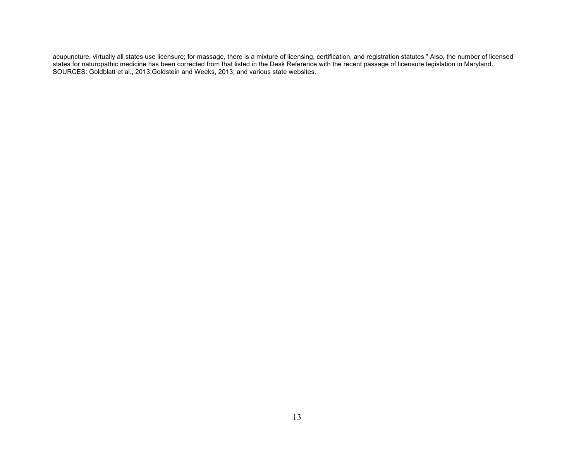acupuncture, virtually all states use licensure; for massage, there is a mixture of licensing, certification, and registration statutes." Also, the number of licensed states for naturopathic medicine has been corrected from that listed in the Desk Reference with the recent passage of licensure legislation in Maryland. SOURCES: Goldblatt et al., 2013;Goldstein and Weeks, 2013; and various state websites.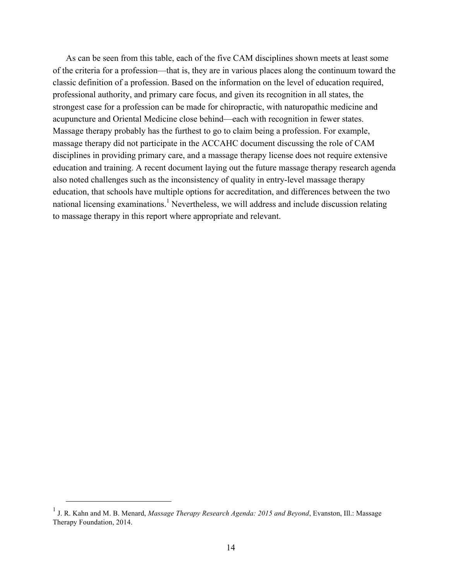As can be seen from this table, each of the five CAM disciplines shown meets at least some of the criteria for a profession—that is, they are in various places along the continuum toward the classic definition of a profession. Based on the information on the level of education required, professional authority, and primary care focus, and given its recognition in all states, the strongest case for a profession can be made for chiropractic, with naturopathic medicine and acupuncture and Oriental Medicine close behind—each with recognition in fewer states. Massage therapy probably has the furthest to go to claim being a profession. For example, massage therapy did not participate in the ACCAHC document discussing the role of CAM disciplines in providing primary care, and a massage therapy license does not require extensive education and training. A recent document laying out the future massage therapy research agenda also noted challenges such as the inconsistency of quality in entry-level massage therapy education, that schools have multiple options for accreditation, and differences between the two national licensing examinations.<sup>1</sup> Nevertheless, we will address and include discussion relating to massage therapy in this report where appropriate and relevant.

 <sup>1</sup> J. R. Kahn and M. B. Menard, *Massage Therapy Research Agenda: 2015 and Beyond*, Evanston, Ill.: Massage Therapy Foundation, 2014.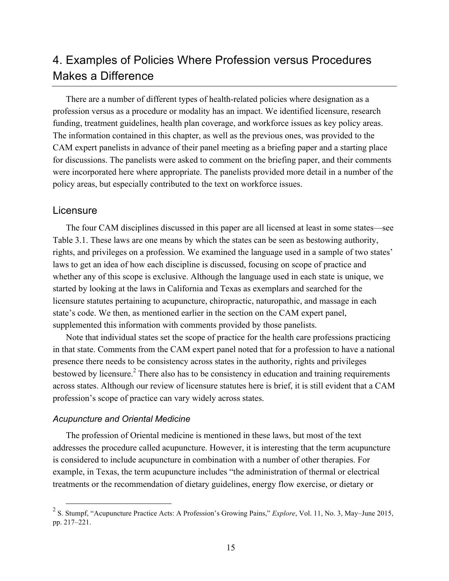# 4. Examples of Policies Where Profession versus Procedures Makes a Difference

There are a number of different types of health-related policies where designation as a profession versus as a procedure or modality has an impact. We identified licensure, research funding, treatment guidelines, health plan coverage, and workforce issues as key policy areas. The information contained in this chapter, as well as the previous ones, was provided to the CAM expert panelists in advance of their panel meeting as a briefing paper and a starting place for discussions. The panelists were asked to comment on the briefing paper, and their comments were incorporated here where appropriate. The panelists provided more detail in a number of the policy areas, but especially contributed to the text on workforce issues.

#### Licensure

The four CAM disciplines discussed in this paper are all licensed at least in some states—see Table 3.1. These laws are one means by which the states can be seen as bestowing authority, rights, and privileges on a profession. We examined the language used in a sample of two states' laws to get an idea of how each discipline is discussed, focusing on scope of practice and whether any of this scope is exclusive. Although the language used in each state is unique, we started by looking at the laws in California and Texas as exemplars and searched for the licensure statutes pertaining to acupuncture, chiropractic, naturopathic, and massage in each state's code. We then, as mentioned earlier in the section on the CAM expert panel, supplemented this information with comments provided by those panelists.

Note that individual states set the scope of practice for the health care professions practicing in that state. Comments from the CAM expert panel noted that for a profession to have a national presence there needs to be consistency across states in the authority, rights and privileges bestowed by licensure.<sup>2</sup> There also has to be consistency in education and training requirements across states. Although our review of licensure statutes here is brief, it is still evident that a CAM profession's scope of practice can vary widely across states.

#### *Acupuncture and Oriental Medicine*

The profession of Oriental medicine is mentioned in these laws, but most of the text addresses the procedure called acupuncture. However, it is interesting that the term acupuncture is considered to include acupuncture in combination with a number of other therapies. For example, in Texas, the term acupuncture includes "the administration of thermal or electrical treatments or the recommendation of dietary guidelines, energy flow exercise, or dietary or

 <sup>2</sup> S. Stumpf, "Acupuncture Practice Acts: A Profession's Growing Pains," *Explore*, Vol. 11, No. 3, May–June 2015, pp. 217–221.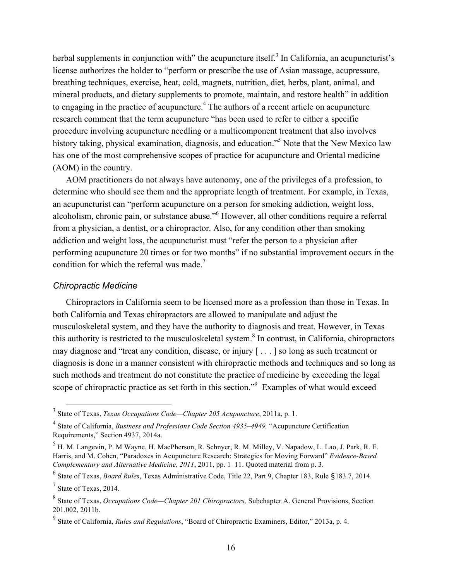herbal supplements in conjunction with" the acupuncture itself. $3$  In California, an acupuncturist's license authorizes the holder to "perform or prescribe the use of Asian massage, acupressure, breathing techniques, exercise, heat, cold, magnets, nutrition, diet, herbs, plant, animal, and mineral products, and dietary supplements to promote, maintain, and restore health" in addition to engaging in the practice of acupuncture.<sup>4</sup> The authors of a recent article on acupuncture research comment that the term acupuncture "has been used to refer to either a specific procedure involving acupuncture needling or a multicomponent treatment that also involves history taking, physical examination, diagnosis, and education."<sup>5</sup> Note that the New Mexico law has one of the most comprehensive scopes of practice for acupuncture and Oriental medicine (AOM) in the country.

AOM practitioners do not always have autonomy, one of the privileges of a profession, to determine who should see them and the appropriate length of treatment. For example, in Texas, an acupuncturist can "perform acupuncture on a person for smoking addiction, weight loss, alcoholism, chronic pain, or substance abuse."<sup>6</sup> However, all other conditions require a referral from a physician, a dentist, or a chiropractor. Also, for any condition other than smoking addiction and weight loss, the acupuncturist must "refer the person to a physician after performing acupuncture 20 times or for two months" if no substantial improvement occurs in the condition for which the referral was made.<sup>7</sup>

#### *Chiropractic Medicine*

Chiropractors in California seem to be licensed more as a profession than those in Texas. In both California and Texas chiropractors are allowed to manipulate and adjust the musculoskeletal system, and they have the authority to diagnosis and treat. However, in Texas this authority is restricted to the musculoskeletal system.<sup>8</sup> In contrast, in California, chiropractors may diagnose and "treat any condition, disease, or injury [ . . . ] so long as such treatment or diagnosis is done in a manner consistent with chiropractic methods and techniques and so long as such methods and treatment do not constitute the practice of medicine by exceeding the legal scope of chiropractic practice as set forth in this section."<sup>9</sup> Examples of what would exceed

 <sup>3</sup> State of Texas, *Texas Occupations Code—Chapter 205 Acupuncture*, 2011a, p. 1.

<sup>4</sup> State of California, *Business and Professions Code Section 4935–4949,* "Acupuncture Certification Requirements," Section 4937, 2014a.

<sup>5</sup> H. M. Langevin, P. M Wayne, H. MacPherson, R. Schnyer, R. M. Milley, V. Napadow, L. Lao, J. Park, R. E. Harris, and M. Cohen, "Paradoxes in Acupuncture Research: Strategies for Moving Forward" *Evidence-Based Complementary and Alternative Medicine, 2011*, 2011, pp. 1–11. Quoted material from p. 3.

<sup>6</sup> State of Texas, *Board Rules*, Texas Administrative Code, Title 22, Part 9, Chapter 183, Rule §183.7, 2014.  $<sup>7</sup>$  State of Texas, 2014.</sup>

<sup>8</sup> State of Texas, *Occupations Code—Chapter 201 Chiropractors,* Subchapter A. General Provisions, Section 201.002, 2011b.

<sup>9</sup> State of California, *Rules and Regulations*, "Board of Chiropractic Examiners, Editor," 2013a, p. 4.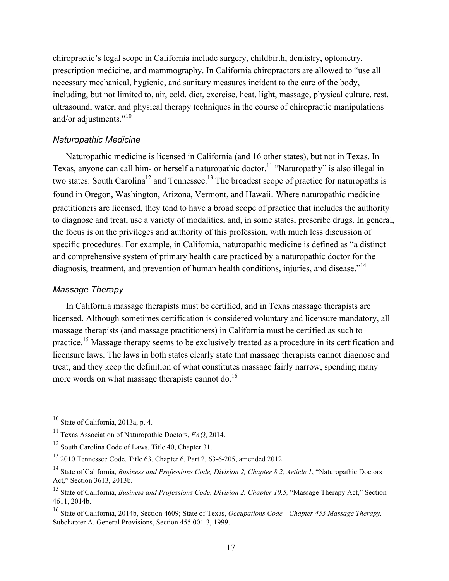chiropractic's legal scope in California include surgery, childbirth, dentistry, optometry, prescription medicine, and mammography. In California chiropractors are allowed to "use all necessary mechanical, hygienic, and sanitary measures incident to the care of the body, including, but not limited to, air, cold, diet, exercise, heat, light, massage, physical culture, rest, ultrasound, water, and physical therapy techniques in the course of chiropractic manipulations and/or adjustments." $^{10}$ 

#### *Naturopathic Medicine*

Naturopathic medicine is licensed in California (and 16 other states), but not in Texas. In Texas, anyone can call him- or herself a naturopathic doctor.<sup>11</sup> "Naturopathy" is also illegal in two states: South Carolina<sup>12</sup> and Tennessee.<sup>13</sup> The broadest scope of practice for naturopaths is found in Oregon, Washington, Arizona, Vermont, and Hawaii. Where naturopathic medicine practitioners are licensed, they tend to have a broad scope of practice that includes the authority to diagnose and treat, use a variety of modalities, and, in some states, prescribe drugs. In general, the focus is on the privileges and authority of this profession, with much less discussion of specific procedures. For example, in California, naturopathic medicine is defined as "a distinct and comprehensive system of primary health care practiced by a naturopathic doctor for the diagnosis, treatment, and prevention of human health conditions, injuries, and disease."<sup>14</sup>

#### *Massage Therapy*

In California massage therapists must be certified, and in Texas massage therapists are licensed. Although sometimes certification is considered voluntary and licensure mandatory, all massage therapists (and massage practitioners) in California must be certified as such to practice.15 Massage therapy seems to be exclusively treated as a procedure in its certification and licensure laws. The laws in both states clearly state that massage therapists cannot diagnose and treat, and they keep the definition of what constitutes massage fairly narrow, spending many more words on what massage therapists cannot do.<sup>16</sup>

 $10$  State of California, 2013a, p. 4.

<sup>11</sup> Texas Association of Naturopathic Doctors, *FAQ*, 2014.

<sup>12</sup> South Carolina Code of Laws, Title 40, Chapter 31.

<sup>13</sup> 2010 Tennessee Code, Title 63, Chapter 6, Part 2, 63-6-205, amended 2012.

<sup>14</sup> State of California, *Business and Professions Code, Division 2, Chapter 8.2, Article 1*, "Naturopathic Doctors Act," Section 3613, 2013b.

<sup>&</sup>lt;sup>15</sup> State of California, *Business and Professions Code, Division 2, Chapter 10.5,* "Massage Therapy Act," Section 4611, 2014b.

<sup>16</sup> State of California, 2014b, Section 4609; State of Texas, *Occupations Code—Chapter 455 Massage Therapy,*  Subchapter A. General Provisions, Section 455.001-3, 1999.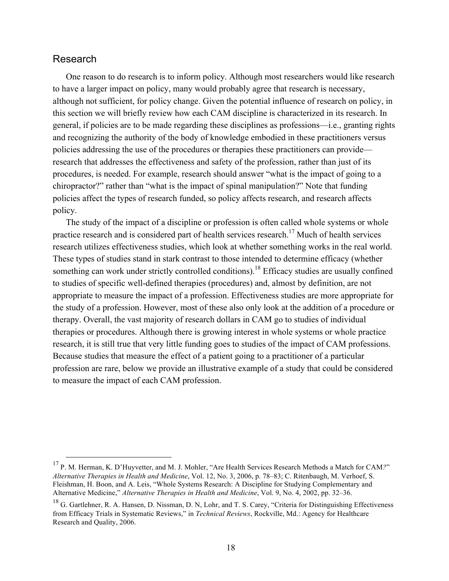### Research

One reason to do research is to inform policy. Although most researchers would like research to have a larger impact on policy, many would probably agree that research is necessary, although not sufficient, for policy change. Given the potential influence of research on policy, in this section we will briefly review how each CAM discipline is characterized in its research. In general, if policies are to be made regarding these disciplines as professions—i.e., granting rights and recognizing the authority of the body of knowledge embodied in these practitioners versus policies addressing the use of the procedures or therapies these practitioners can provide research that addresses the effectiveness and safety of the profession, rather than just of its procedures, is needed. For example, research should answer "what is the impact of going to a chiropractor?" rather than "what is the impact of spinal manipulation?" Note that funding policies affect the types of research funded, so policy affects research, and research affects policy.

The study of the impact of a discipline or profession is often called whole systems or whole practice research and is considered part of health services research.17 Much of health services research utilizes effectiveness studies, which look at whether something works in the real world. These types of studies stand in stark contrast to those intended to determine efficacy (whether something can work under strictly controlled conditions).<sup>18</sup> Efficacy studies are usually confined to studies of specific well-defined therapies (procedures) and, almost by definition, are not appropriate to measure the impact of a profession. Effectiveness studies are more appropriate for the study of a profession. However, most of these also only look at the addition of a procedure or therapy. Overall, the vast majority of research dollars in CAM go to studies of individual therapies or procedures. Although there is growing interest in whole systems or whole practice research, it is still true that very little funding goes to studies of the impact of CAM professions. Because studies that measure the effect of a patient going to a practitioner of a particular profession are rare, below we provide an illustrative example of a study that could be considered to measure the impact of each CAM profession.

 <sup>17</sup> P. M. Herman, K. D'Huyvetter, and M. J. Mohler, "Are Health Services Research Methods a Match for CAM*?*" *Alternative Therapies in Health and Medicine*, Vol. 12, No. 3, 2006, p. 78–83; C. Ritenbaugh, M. Verhoef, S. Fleishman, H. Boon, and A. Leis, "Whole Systems Research: A Discipline for Studying Complementary and Alternative Medicine," *Alternative Therapies in Health and Medicine*, Vol. 9, No. 4, 2002, pp. 32–36.

<sup>&</sup>lt;sup>18</sup> G. Gartlehner, R. A. Hansen, D. Nissman, D. N, Lohr, and T. S. Carey, "Criteria for Distinguishing Effectiveness from Efficacy Trials in Systematic Reviews," in *Technical Reviews*, Rockville, Md.: Agency for Healthcare Research and Quality, 2006.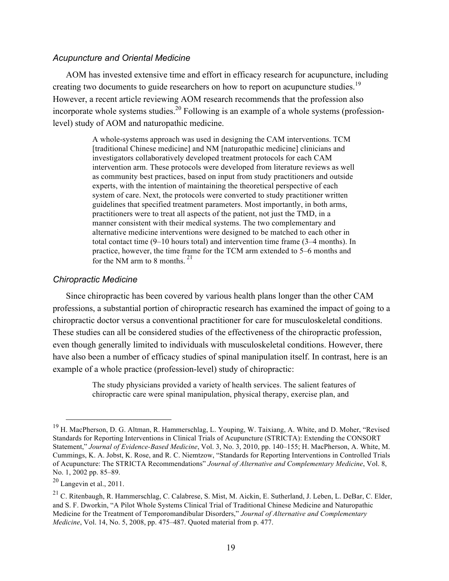#### *Acupuncture and Oriental Medicine*

AOM has invested extensive time and effort in efficacy research for acupuncture, including creating two documents to guide researchers on how to report on acupuncture studies.<sup>19</sup> However, a recent article reviewing AOM research recommends that the profession also incorporate whole systems studies.<sup>20</sup> Following is an example of a whole systems (professionlevel) study of AOM and naturopathic medicine.

> A whole-systems approach was used in designing the CAM interventions. TCM [traditional Chinese medicine] and NM [naturopathic medicine] clinicians and investigators collaboratively developed treatment protocols for each CAM intervention arm. These protocols were developed from literature reviews as well as community best practices, based on input from study practitioners and outside experts, with the intention of maintaining the theoretical perspective of each system of care. Next, the protocols were converted to study practitioner written guidelines that specified treatment parameters. Most importantly, in both arms, practitioners were to treat all aspects of the patient, not just the TMD, in a manner consistent with their medical systems. The two complementary and alternative medicine interventions were designed to be matched to each other in total contact time (9–10 hours total) and intervention time frame (3–4 months). In practice, however, the time frame for the TCM arm extended to 5–6 months and for the NM arm to 8 months. <sup>21</sup>

#### *Chiropractic Medicine*

Since chiropractic has been covered by various health plans longer than the other CAM professions, a substantial portion of chiropractic research has examined the impact of going to a chiropractic doctor versus a conventional practitioner for care for musculoskeletal conditions. These studies can all be considered studies of the effectiveness of the chiropractic profession, even though generally limited to individuals with musculoskeletal conditions. However, there have also been a number of efficacy studies of spinal manipulation itself. In contrast, here is an example of a whole practice (profession-level) study of chiropractic:

> The study physicians provided a variety of health services. The salient features of chiropractic care were spinal manipulation, physical therapy, exercise plan, and

 <sup>19</sup> H. MacPherson, D. G. Altman, R. Hammerschlag, L. Youping, W. Taixiang, A. White, and D. Moher, "Revised Standards for Reporting Interventions in Clinical Trials of Acupuncture (STRICTA): Extending the CONSORT Statement," *Journal of Evidence-Based Medicine*, Vol. 3, No. 3, 2010, pp. 140–155; H. MacPherson, A. White, M. Cummings, K. A. Jobst, K. Rose, and R. C. Niemtzow, "Standards for Reporting Interventions in Controlled Trials of Acupuncture: The STRICTA Recommendations" *Journal of Alternative and Complementary Medicine*, Vol. 8, No. 1, 2002 pp. 85–89.

<sup>20</sup> Langevin et al., 2011.

<sup>21</sup> C. Ritenbaugh, R. Hammerschlag, C. Calabrese, S. Mist, M. Aickin, E. Sutherland, J. Leben, L. DeBar, C. Elder, and S. F. Dworkin, "A Pilot Whole Systems Clinical Trial of Traditional Chinese Medicine and Naturopathic Medicine for the Treatment of Temporomandibular Disorders," *Journal of Alternative and Complementary Medicine*, Vol. 14, No. 5, 2008, pp. 475–487. Quoted material from p. 477.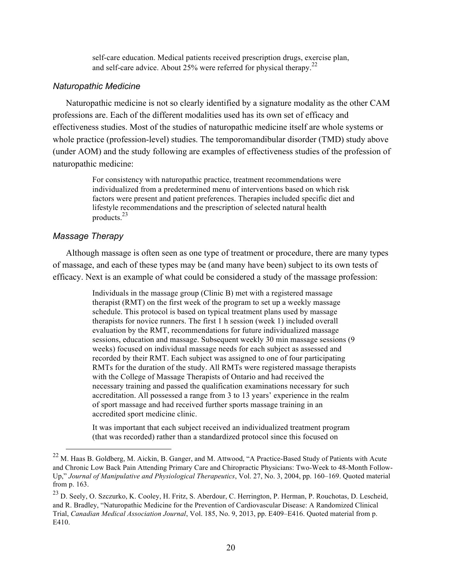self-care education. Medical patients received prescription drugs, exercise plan, and self-care advice. About 25% were referred for physical therapy.<sup>22</sup>

#### *Naturopathic Medicine*

Naturopathic medicine is not so clearly identified by a signature modality as the other CAM professions are. Each of the different modalities used has its own set of efficacy and effectiveness studies. Most of the studies of naturopathic medicine itself are whole systems or whole practice (profession-level) studies. The temporomandibular disorder (TMD) study above (under AOM) and the study following are examples of effectiveness studies of the profession of naturopathic medicine:

> For consistency with naturopathic practice, treatment recommendations were individualized from a predetermined menu of interventions based on which risk factors were present and patient preferences. Therapies included specific diet and lifestyle recommendations and the prescription of selected natural health products.23

#### *Massage Therapy*

Although massage is often seen as one type of treatment or procedure, there are many types of massage, and each of these types may be (and many have been) subject to its own tests of efficacy. Next is an example of what could be considered a study of the massage profession:

> Individuals in the massage group (Clinic B) met with a registered massage therapist (RMT) on the first week of the program to set up a weekly massage schedule. This protocol is based on typical treatment plans used by massage therapists for novice runners. The first 1 h session (week 1) included overall evaluation by the RMT, recommendations for future individualized massage sessions, education and massage. Subsequent weekly 30 min massage sessions (9 weeks) focused on individual massage needs for each subject as assessed and recorded by their RMT. Each subject was assigned to one of four participating RMTs for the duration of the study. All RMTs were registered massage therapists with the College of Massage Therapists of Ontario and had received the necessary training and passed the qualification examinations necessary for such accreditation. All possessed a range from 3 to 13 years' experience in the realm of sport massage and had received further sports massage training in an accredited sport medicine clinic.

It was important that each subject received an individualized treatment program (that was recorded) rather than a standardized protocol since this focused on

 <sup>22</sup> M. Haas B. Goldberg, M. Aickin, B. Ganger, and M. Attwood, "A Practice-Based Study of Patients with Acute and Chronic Low Back Pain Attending Primary Care and Chiropractic Physicians: Two-Week to 48-Month Follow-Up," *Journal of Manipulative and Physiological Therapeutics*, Vol. 27, No. 3, 2004, pp. 160–169. Quoted material from p. 163.

<sup>23</sup> D. Seely, O. Szczurko, K. Cooley, H. Fritz, S. Aberdour, C. Herrington, P. Herman, P. Rouchotas, D. Lescheid, and R. Bradley, "Naturopathic Medicine for the Prevention of Cardiovascular Disease: A Randomized Clinical Trial, *Canadian Medical Association Journal*, Vol. 185, No. 9, 2013, pp. E409–E416. Quoted material from p. E410.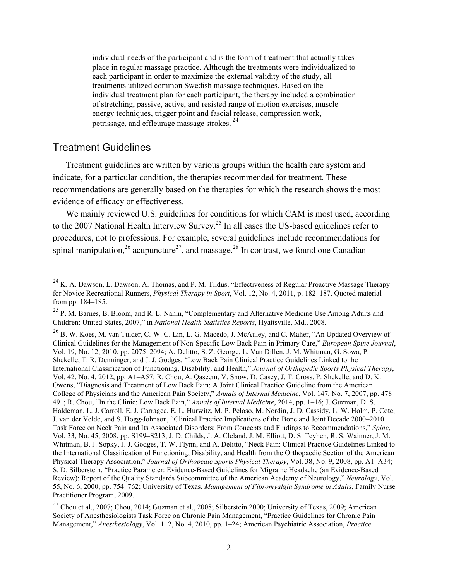individual needs of the participant and is the form of treatment that actually takes place in regular massage practice. Although the treatments were individualized to each participant in order to maximize the external validity of the study, all treatments utilized common Swedish massage techniques. Based on the individual treatment plan for each participant, the therapy included a combination of stretching, passive, active, and resisted range of motion exercises, muscle energy techniques, trigger point and fascial release, compression work, petrissage, and effleurage massage strokes.  $^{24}$ 

#### Treatment Guidelines

Treatment guidelines are written by various groups within the health care system and indicate, for a particular condition, the therapies recommended for treatment. These recommendations are generally based on the therapies for which the research shows the most evidence of efficacy or effectiveness.

We mainly reviewed U.S. guidelines for conditions for which CAM is most used, according to the 2007 National Health Interview Survey.<sup>25</sup> In all cases the US-based guidelines refer to procedures, not to professions. For example, several guidelines include recommendations for spinal manipulation,  $26$  acupuncture<sup>27</sup>, and massage.  $28$  In contrast, we found one Canadian

 <sup>24</sup> K. A. Dawson, L. Dawson, A. Thomas, and P. M. Tiidus, "Effectiveness of Regular Proactive Massage Therapy for Novice Recreational Runners, *Physical Therapy in Sport*, Vol. 12, No. 4, 2011, p. 182–187. Quoted material from pp. 184–185.

 $^{25}$  P. M. Barnes, B. Bloom, and R. L. Nahin, "Complementary and Alternative Medicine Use Among Adults and Children: United States, 2007," in *National Health Statistics Reports*, Hyattsville, Md., 2008.

<sup>26</sup> B. W. Koes, M. van Tulder, C.-W. C. Lin, L. G. Macedo, J. McAuley, and C. Maher, "An Updated Overview of Clinical Guidelines for the Management of Non-Specific Low Back Pain in Primary Care," *European Spine Journal*, Vol. 19, No. 12, 2010. pp. 2075–2094; A. Delitto, S. Z. George, L. Van Dillen, J. M. Whitman, G. Sowa, P. Shekelle, T. R. Denninger, and J. J. Godges, "Low Back Pain Clinical Practice Guidelines Linked to the International Classification of Functioning, Disability, and Health," *Journal of Orthopedic Sports Physical Therapy*, Vol. 42, No. 4, 2012, pp. A1–A57; R. Chou, A. Qaseem, V. Snow, D. Casey, J. T. Cross, P. Shekelle, and D. K. Owens, "Diagnosis and Treatment of Low Back Pain: A Joint Clinical Practice Guideline from the American College of Physicians and the American Pain Society," *Annals of Internal Medicine*, Vol. 147, No. 7, 2007, pp. 478– 491; R. Chou, "In the Clinic: Low Back Pain," *Annals of Internal Medicine*, 2014, pp. 1–16; J. Guzman, D. S. Haldeman, L. J. Carroll, E. J. Carragee, E. L. Hurwitz, M. P. Peloso, M. Nordin, J. D. Cassidy, L. W. Holm, P. Cote, J. van der Velde, and S. Hogg-Johnson, "Clinical Practice Implications of the Bone and Joint Decade 2000–2010 Task Force on Neck Pain and Its Associated Disorders: From Concepts and Findings to Recommendations," *Spine*, Vol. 33, No. 45, 2008, pp. S199–S213; J. D. Childs, J. A. Cleland, J. M. Elliott, D. S. Teyhen, R. S. Wainner, J. M. Whitman, B. J. Sopky, J. J. Godges, T. W. Flynn, and A. Delitto, "Neck Pain: Clinical Practice Guidelines Linked to the International Classification of Functioning, Disability, and Health from the Orthopaedic Section of the American Physical Therapy Association," *Journal of Orthopedic Sports Physical Therapy*, Vol. 38, No. 9, 2008, pp. A1–A34; S. D. Silberstein, "Practice Parameter: Evidence-Based Guidelines for Migraine Headache (an Evidence-Based Review): Report of the Quality Standards Subcommittee of the American Academy of Neurology," *Neurology*, Vol. 55, No. 6, 2000, pp. 754–762; University of Texas. *Management of Fibromyalgia Syndrome in Adults*, Family Nurse Practitioner Program, 2009.

<sup>&</sup>lt;sup>27</sup> Chou et al., 2007; Chou, 2014; Guzman et al., 2008; Silberstein 2000; University of Texas, 2009; American Society of Anesthesiologists Task Force on Chronic Pain Management, "Practice Guidelines for Chronic Pain Management," *Anesthesiology*, Vol. 112, No. 4, 2010, pp. 1–24; American Psychiatric Association, *Practice*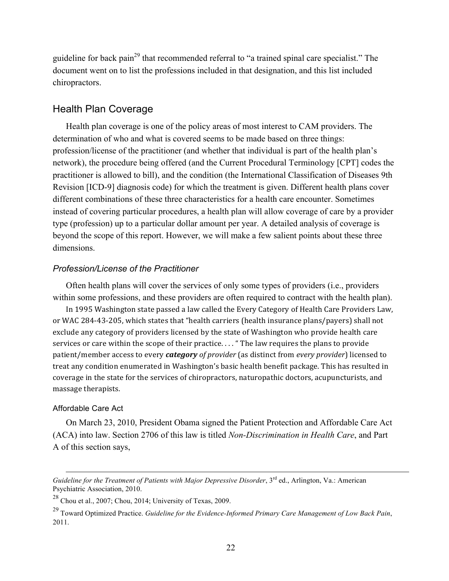guideline for back pain<sup>29</sup> that recommended referral to "a trained spinal care specialist." The document went on to list the professions included in that designation, and this list included chiropractors.

### Health Plan Coverage

Health plan coverage is one of the policy areas of most interest to CAM providers. The determination of who and what is covered seems to be made based on three things: profession/license of the practitioner (and whether that individual is part of the health plan's network), the procedure being offered (and the Current Procedural Terminology [CPT] codes the practitioner is allowed to bill), and the condition (the International Classification of Diseases 9th Revision [ICD-9] diagnosis code) for which the treatment is given. Different health plans cover different combinations of these three characteristics for a health care encounter. Sometimes instead of covering particular procedures, a health plan will allow coverage of care by a provider type (profession) up to a particular dollar amount per year. A detailed analysis of coverage is beyond the scope of this report. However, we will make a few salient points about these three dimensions.

#### *Profession/License of the Practitioner*

Often health plans will cover the services of only some types of providers (i.e., providers within some professions, and these providers are often required to contract with the health plan).

In 1995 Washington state passed a law called the Every Category of Health Care Providers Law, or WAC 284-43-205, which states that "health carriers (health insurance plans/payers) shall not exclude any category of providers licensed by the state of Washington who provide health care services or care within the scope of their practice.... " The law requires the plans to provide patient/member access to every *category* of provider (as distinct from every provider) licensed to treat any condition enumerated in Washington's basic health benefit package. This has resulted in coverage in the state for the services of chiropractors, naturopathic doctors, acupuncturists, and massage therapists.

#### Affordable Care Act

 $\overline{a}$ 

On March 23, 2010, President Obama signed the Patient Protection and Affordable Care Act (ACA) into law. Section 2706 of this law is titled *Non-Discrimination in Health Care*, and Part A of this section says,

*Guideline for the Treatment of Patients with Major Depressive Disorder*, 3<sup>rd</sup> ed., Arlington, Va.: American Psychiatric Association, 2010.

<sup>28</sup> Chou et al., 2007; Chou, 2014; University of Texas, 2009.

<sup>29</sup> Toward Optimized Practice. *Guideline for the Evidence-Informed Primary Care Management of Low Back Pain*, 2011.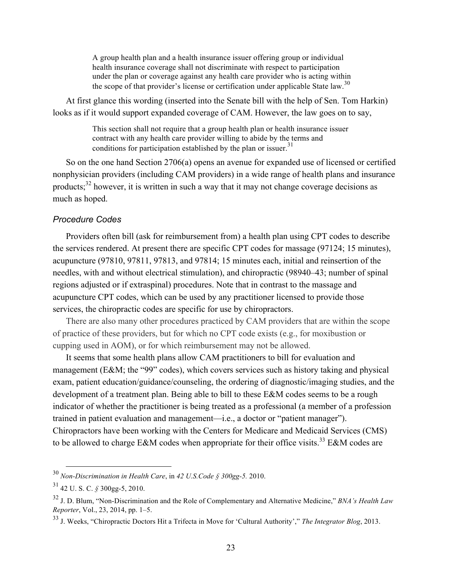A group health plan and a health insurance issuer offering group or individual health insurance coverage shall not discriminate with respect to participation under the plan or coverage against any health care provider who is acting within the scope of that provider's license or certification under applicable State law.<sup>30</sup>

At first glance this wording (inserted into the Senate bill with the help of Sen. Tom Harkin) looks as if it would support expanded coverage of CAM. However, the law goes on to say,

> This section shall not require that a group health plan or health insurance issuer contract with any health care provider willing to abide by the terms and conditions for participation established by the plan or issuer.<sup>31</sup>

So on the one hand Section 2706(a) opens an avenue for expanded use of licensed or certified nonphysician providers (including CAM providers) in a wide range of health plans and insurance products; $32$  however, it is written in such a way that it may not change coverage decisions as much as hoped.

#### *Procedure Codes*

Providers often bill (ask for reimbursement from) a health plan using CPT codes to describe the services rendered. At present there are specific CPT codes for massage (97124; 15 minutes), acupuncture (97810, 97811, 97813, and 97814; 15 minutes each, initial and reinsertion of the needles, with and without electrical stimulation), and chiropractic (98940–43; number of spinal regions adjusted or if extraspinal) procedures. Note that in contrast to the massage and acupuncture CPT codes, which can be used by any practitioner licensed to provide those services, the chiropractic codes are specific for use by chiropractors.

There are also many other procedures practiced by CAM providers that are within the scope of practice of these providers, but for which no CPT code exists (e.g., for moxibustion or cupping used in AOM), or for which reimbursement may not be allowed.

It seems that some health plans allow CAM practitioners to bill for evaluation and management (E&M; the "99" codes), which covers services such as history taking and physical exam, patient education/guidance/counseling, the ordering of diagnostic/imaging studies, and the development of a treatment plan. Being able to bill to these E&M codes seems to be a rough indicator of whether the practitioner is being treated as a professional (a member of a profession trained in patient evaluation and management—i.e., a doctor or "patient manager"). Chiropractors have been working with the Centers for Medicare and Medicaid Services (CMS) to be allowed to charge E&M codes when appropriate for their office visits.<sup>33</sup> E&M codes are

 <sup>30</sup> *Non-Discrimination in Health Care*, in *42 U.S.Code § 300gg-5.* 2010.

<sup>31</sup> 42 U. S. C. *§* 300gg-5, 2010.

<sup>32</sup> J. D. Blum, "Non-Discrimination and the Role of Complementary and Alternative Medicine," *BNA's Health Law Reporter*, Vol., 23, 2014, pp. 1–5.

<sup>33</sup> J. Weeks, "Chiropractic Doctors Hit a Trifecta in Move for 'Cultural Authority'," *The Integrator Blog*, 2013.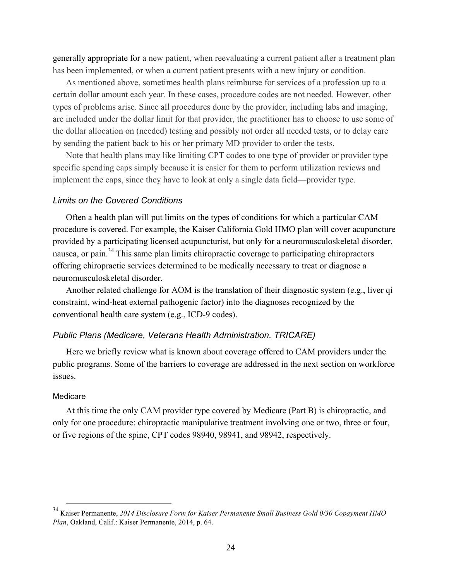generally appropriate for a new patient, when reevaluating a current patient after a treatment plan has been implemented, or when a current patient presents with a new injury or condition.

As mentioned above, sometimes health plans reimburse for services of a profession up to a certain dollar amount each year. In these cases, procedure codes are not needed. However, other types of problems arise. Since all procedures done by the provider, including labs and imaging, are included under the dollar limit for that provider, the practitioner has to choose to use some of the dollar allocation on (needed) testing and possibly not order all needed tests, or to delay care by sending the patient back to his or her primary MD provider to order the tests.

Note that health plans may like limiting CPT codes to one type of provider or provider type– specific spending caps simply because it is easier for them to perform utilization reviews and implement the caps, since they have to look at only a single data field—provider type.

#### *Limits on the Covered Conditions*

Often a health plan will put limits on the types of conditions for which a particular CAM procedure is covered. For example, the Kaiser California Gold HMO plan will cover acupuncture provided by a participating licensed acupuncturist, but only for a neuromusculoskeletal disorder, nausea, or pain.<sup>34</sup> This same plan limits chiropractic coverage to participating chiropractors offering chiropractic services determined to be medically necessary to treat or diagnose a neuromusculoskeletal disorder.

Another related challenge for AOM is the translation of their diagnostic system (e.g., liver qi constraint, wind-heat external pathogenic factor) into the diagnoses recognized by the conventional health care system (e.g., ICD-9 codes).

#### *Public Plans (Medicare, Veterans Health Administration, TRICARE)*

Here we briefly review what is known about coverage offered to CAM providers under the public programs. Some of the barriers to coverage are addressed in the next section on workforce issues.

#### Medicare

At this time the only CAM provider type covered by Medicare (Part B) is chiropractic, and only for one procedure: chiropractic manipulative treatment involving one or two, three or four, or five regions of the spine, CPT codes 98940, 98941, and 98942, respectively.

 <sup>34</sup> Kaiser Permanente, *2014 Disclosure Form for Kaiser Permanente Small Business Gold 0/30 Copayment HMO Plan*, Oakland, Calif.: Kaiser Permanente, 2014, p. 64.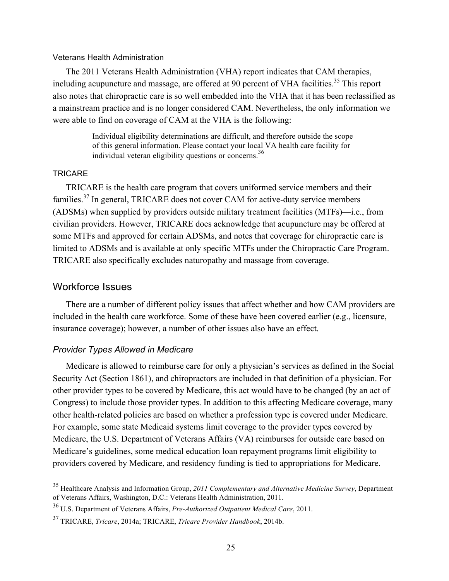#### Veterans Health Administration

The 2011 Veterans Health Administration (VHA) report indicates that CAM therapies, including acupuncture and massage, are offered at 90 percent of VHA facilities.<sup>35</sup> This report also notes that chiropractic care is so well embedded into the VHA that it has been reclassified as a mainstream practice and is no longer considered CAM. Nevertheless, the only information we were able to find on coverage of CAM at the VHA is the following:

> Individual eligibility determinations are difficult, and therefore outside the scope of this general information. Please contact your local VA health care facility for individual veteran eligibility questions or concerns.<sup>36</sup>

#### **TRICARE**

TRICARE is the health care program that covers uniformed service members and their families.<sup>37</sup> In general, TRICARE does not cover CAM for active-duty service members (ADSMs) when supplied by providers outside military treatment facilities (MTFs)—i.e., from civilian providers. However, TRICARE does acknowledge that acupuncture may be offered at some MTFs and approved for certain ADSMs, and notes that coverage for chiropractic care is limited to ADSMs and is available at only specific MTFs under the Chiropractic Care Program. TRICARE also specifically excludes naturopathy and massage from coverage.

#### Workforce Issues

There are a number of different policy issues that affect whether and how CAM providers are included in the health care workforce. Some of these have been covered earlier (e.g., licensure, insurance coverage); however, a number of other issues also have an effect.

#### *Provider Types Allowed in Medicare*

Medicare is allowed to reimburse care for only a physician's services as defined in the Social Security Act (Section 1861), and chiropractors are included in that definition of a physician. For other provider types to be covered by Medicare, this act would have to be changed (by an act of Congress) to include those provider types. In addition to this affecting Medicare coverage, many other health-related policies are based on whether a profession type is covered under Medicare. For example, some state Medicaid systems limit coverage to the provider types covered by Medicare, the U.S. Department of Veterans Affairs (VA) reimburses for outside care based on Medicare's guidelines, some medical education loan repayment programs limit eligibility to providers covered by Medicare, and residency funding is tied to appropriations for Medicare.

 <sup>35</sup> Healthcare Analysis and Information Group, *2011 Complementary and Alternative Medicine Survey*, Department of Veterans Affairs, Washington, D.C.: Veterans Health Administration, 2011.

<sup>36</sup> U.S. Department of Veterans Affairs, *Pre-Authorized Outpatient Medical Care*, 2011.

<sup>37</sup> TRICARE, *Tricare*, 2014a; TRICARE, *Tricare Provider Handbook*, 2014b.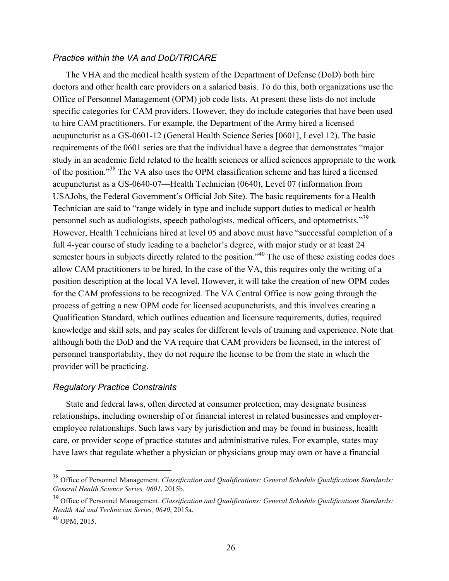#### *Practice within the VA and DoD/TRICARE*

The VHA and the medical health system of the Department of Defense (DoD) both hire doctors and other health care providers on a salaried basis. To do this, both organizations use the Office of Personnel Management (OPM) job code lists. At present these lists do not include specific categories for CAM providers. However, they do include categories that have been used to hire CAM practitioners. For example, the Department of the Army hired a licensed acupuncturist as a GS-0601-12 (General Health Science Series [0601], Level 12). The basic requirements of the 0601 series are that the individual have a degree that demonstrates "major study in an academic field related to the health sciences or allied sciences appropriate to the work of the position."38 The VA also uses the OPM classification scheme and has hired a licensed acupuncturist as a GS-0640-07—Health Technician (0640), Level 07 (information from USAJobs, the Federal Government's Official Job Site). The basic requirements for a Health Technician are said to "range widely in type and include support duties to medical or health personnel such as audiologists, speech pathologists, medical officers, and optometrists."<sup>39</sup> However, Health Technicians hired at level 05 and above must have "successful completion of a full 4-year course of study leading to a bachelor's degree, with major study or at least 24 semester hours in subjects directly related to the position."<sup>40</sup> The use of these existing codes does allow CAM practitioners to be hired. In the case of the VA, this requires only the writing of a position description at the local VA level. However, it will take the creation of new OPM codes for the CAM professions to be recognized. The VA Central Office is now going through the process of getting a new OPM code for licensed acupuncturists, and this involves creating a Qualification Standard, which outlines education and licensure requirements, duties, required knowledge and skill sets, and pay scales for different levels of training and experience. Note that although both the DoD and the VA require that CAM providers be licensed, in the interest of personnel transportability, they do not require the license to be from the state in which the provider will be practicing.

#### *Regulatory Practice Constraints*

State and federal laws, often directed at consumer protection, may designate business relationships, including ownership of or financial interest in related businesses and employeremployee relationships. Such laws vary by jurisdiction and may be found in business, health care, or provider scope of practice statutes and administrative rules. For example, states may have laws that regulate whether a physician or physicians group may own or have a financial

 <sup>38</sup> Office of Personnel Management. *Classification and Qualifications: General Schedule Qualifications Standards: General Health Science Series, 0601*, 2015b.

<sup>39</sup> Office of Personnel Management. *Classification and Qualifications: General Schedule Qualifications Standards: Health Aid and Technician Series, 0640*, 2015a.

 $40$  OPM, 2015.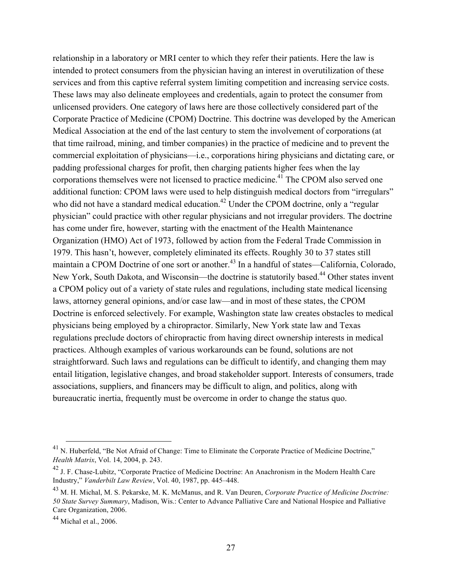relationship in a laboratory or MRI center to which they refer their patients. Here the law is intended to protect consumers from the physician having an interest in overutilization of these services and from this captive referral system limiting competition and increasing service costs. These laws may also delineate employees and credentials, again to protect the consumer from unlicensed providers. One category of laws here are those collectively considered part of the Corporate Practice of Medicine (CPOM) Doctrine. This doctrine was developed by the American Medical Association at the end of the last century to stem the involvement of corporations (at that time railroad, mining, and timber companies) in the practice of medicine and to prevent the commercial exploitation of physicians—i.e., corporations hiring physicians and dictating care, or padding professional charges for profit, then charging patients higher fees when the lay corporations themselves were not licensed to practice medicine.<sup>41</sup> The CPOM also served one additional function: CPOM laws were used to help distinguish medical doctors from "irregulars" who did not have a standard medical education.<sup>42</sup> Under the CPOM doctrine, only a "regular" physician" could practice with other regular physicians and not irregular providers. The doctrine has come under fire, however, starting with the enactment of the Health Maintenance Organization (HMO) Act of 1973, followed by action from the Federal Trade Commission in 1979. This hasn't, however, completely eliminated its effects. Roughly 30 to 37 states still maintain a CPOM Doctrine of one sort or another.<sup>43</sup> In a handful of states—California, Colorado, New York, South Dakota, and Wisconsin—the doctrine is statutorily based.<sup>44</sup> Other states invent a CPOM policy out of a variety of state rules and regulations, including state medical licensing laws, attorney general opinions, and/or case law—and in most of these states, the CPOM Doctrine is enforced selectively. For example, Washington state law creates obstacles to medical physicians being employed by a chiropractor. Similarly, New York state law and Texas regulations preclude doctors of chiropractic from having direct ownership interests in medical practices. Although examples of various workarounds can be found, solutions are not straightforward. Such laws and regulations can be difficult to identify, and changing them may entail litigation, legislative changes, and broad stakeholder support. Interests of consumers, trade associations, suppliers, and financers may be difficult to align, and politics, along with bureaucratic inertia, frequently must be overcome in order to change the status quo.

<sup>&</sup>lt;sup>41</sup> N. Huberfeld, "Be Not Afraid of Change: Time to Eliminate the Corporate Practice of Medicine Doctrine," *Health Matrix*, Vol. 14, 2004, p. 243.

<sup>42</sup> J. F. Chase-Lubitz, "Corporate Practice of Medicine Doctrine: An Anachronism in the Modern Health Care Industry," *Vanderbilt Law Review*, Vol. 40, 1987, pp. 445–448.

<sup>43</sup> M. H. Michal, M. S. Pekarske, M. K. McManus, and R. Van Deuren, *Corporate Practice of Medicine Doctrine: 50 State Survey Summary*, Madison, Wis.: Center to Advance Palliative Care and National Hospice and Palliative Care Organization, 2006.

 $44$  Michal et al., 2006.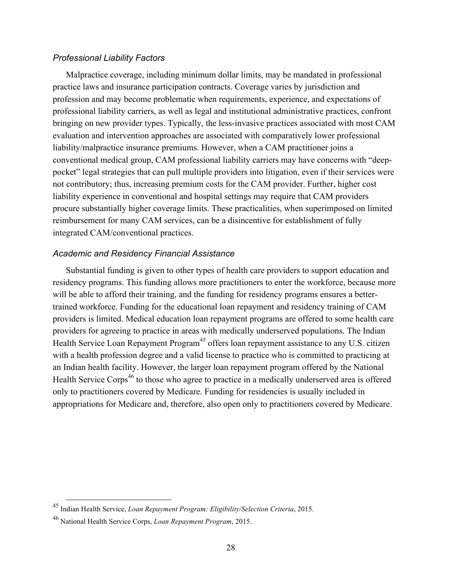#### *Professional Liability Factors*

Malpractice coverage, including minimum dollar limits, may be mandated in professional practice laws and insurance participation contracts. Coverage varies by jurisdiction and profession and may become problematic when requirements, experience, and expectations of professional liability carriers, as well as legal and institutional administrative practices, confront bringing on new provider types. Typically, the less-invasive practices associated with most CAM evaluation and intervention approaches are associated with comparatively lower professional liability/malpractice insurance premiums. However, when a CAM practitioner joins a conventional medical group, CAM professional liability carriers may have concerns with "deeppocket" legal strategies that can pull multiple providers into litigation, even if their services were not contributory; thus, increasing premium costs for the CAM provider. Further, higher cost liability experience in conventional and hospital settings may require that CAM providers procure substantially higher coverage limits. These practicalities, when superimposed on limited reimbursement for many CAM services, can be a disincentive for establishment of fully integrated CAM/conventional practices.

#### *Academic and Residency Financial Assistance*

Substantial funding is given to other types of health care providers to support education and residency programs. This funding allows more practitioners to enter the workforce, because more will be able to afford their training, and the funding for residency programs ensures a bettertrained workforce. Funding for the educational loan repayment and residency training of CAM providers is limited. Medical education loan repayment programs are offered to some health care providers for agreeing to practice in areas with medically underserved populations. The Indian Health Service Loan Repayment Program<sup>45</sup> offers loan repayment assistance to any U.S. citizen with a health profession degree and a valid license to practice who is committed to practicing at an Indian health facility. However, the larger loan repayment program offered by the National Health Service Corps<sup>46</sup> to those who agree to practice in a medically underserved area is offered only to practitioners covered by Medicare. Funding for residencies is usually included in appropriations for Medicare and, therefore, also open only to practitioners covered by Medicare.

 <sup>45</sup> Indian Health Service, *Loan Repayment Program: Eligibility/Selection Criteria*, 2015.

<sup>46</sup> National Health Service Corps, *Loan Repayment Program*, 2015.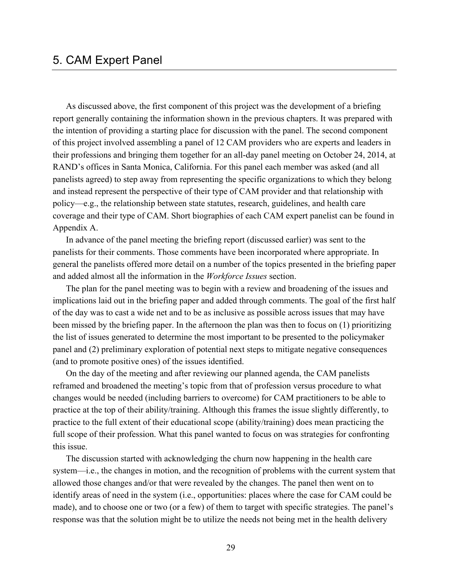As discussed above, the first component of this project was the development of a briefing report generally containing the information shown in the previous chapters. It was prepared with the intention of providing a starting place for discussion with the panel. The second component of this project involved assembling a panel of 12 CAM providers who are experts and leaders in their professions and bringing them together for an all-day panel meeting on October 24, 2014, at RAND's offices in Santa Monica, California. For this panel each member was asked (and all panelists agreed) to step away from representing the specific organizations to which they belong and instead represent the perspective of their type of CAM provider and that relationship with policy—e.g., the relationship between state statutes, research, guidelines, and health care coverage and their type of CAM. Short biographies of each CAM expert panelist can be found in Appendix A.

In advance of the panel meeting the briefing report (discussed earlier) was sent to the panelists for their comments. Those comments have been incorporated where appropriate. In general the panelists offered more detail on a number of the topics presented in the briefing paper and added almost all the information in the *Workforce Issues* section.

The plan for the panel meeting was to begin with a review and broadening of the issues and implications laid out in the briefing paper and added through comments. The goal of the first half of the day was to cast a wide net and to be as inclusive as possible across issues that may have been missed by the briefing paper. In the afternoon the plan was then to focus on (1) prioritizing the list of issues generated to determine the most important to be presented to the policymaker panel and (2) preliminary exploration of potential next steps to mitigate negative consequences (and to promote positive ones) of the issues identified.

On the day of the meeting and after reviewing our planned agenda, the CAM panelists reframed and broadened the meeting's topic from that of profession versus procedure to what changes would be needed (including barriers to overcome) for CAM practitioners to be able to practice at the top of their ability/training. Although this frames the issue slightly differently, to practice to the full extent of their educational scope (ability/training) does mean practicing the full scope of their profession. What this panel wanted to focus on was strategies for confronting this issue.

The discussion started with acknowledging the churn now happening in the health care system—i.e., the changes in motion, and the recognition of problems with the current system that allowed those changes and/or that were revealed by the changes. The panel then went on to identify areas of need in the system (i.e., opportunities: places where the case for CAM could be made), and to choose one or two (or a few) of them to target with specific strategies. The panel's response was that the solution might be to utilize the needs not being met in the health delivery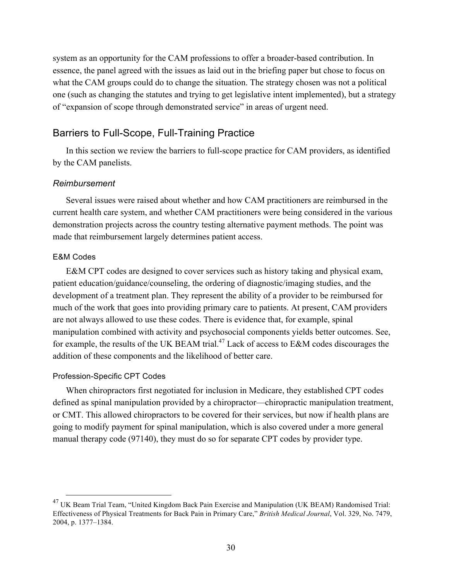system as an opportunity for the CAM professions to offer a broader-based contribution. In essence, the panel agreed with the issues as laid out in the briefing paper but chose to focus on what the CAM groups could do to change the situation. The strategy chosen was not a political one (such as changing the statutes and trying to get legislative intent implemented), but a strategy of "expansion of scope through demonstrated service" in areas of urgent need.

## Barriers to Full-Scope, Full-Training Practice

In this section we review the barriers to full-scope practice for CAM providers, as identified by the CAM panelists.

#### *Reimbursement*

Several issues were raised about whether and how CAM practitioners are reimbursed in the current health care system, and whether CAM practitioners were being considered in the various demonstration projects across the country testing alternative payment methods. The point was made that reimbursement largely determines patient access.

#### E&M Codes

E&M CPT codes are designed to cover services such as history taking and physical exam, patient education/guidance/counseling, the ordering of diagnostic/imaging studies, and the development of a treatment plan. They represent the ability of a provider to be reimbursed for much of the work that goes into providing primary care to patients. At present, CAM providers are not always allowed to use these codes. There is evidence that, for example, spinal manipulation combined with activity and psychosocial components yields better outcomes. See, for example, the results of the UK BEAM trial.<sup>47</sup> Lack of access to E&M codes discourages the addition of these components and the likelihood of better care.

#### Profession-Specific CPT Codes

When chiropractors first negotiated for inclusion in Medicare, they established CPT codes defined as spinal manipulation provided by a chiropractor—chiropractic manipulation treatment, or CMT. This allowed chiropractors to be covered for their services, but now if health plans are going to modify payment for spinal manipulation, which is also covered under a more general manual therapy code (97140), they must do so for separate CPT codes by provider type.

 <sup>47</sup> UK Beam Trial Team, "United Kingdom Back Pain Exercise and Manipulation (UK BEAM) Randomised Trial: Effectiveness of Physical Treatments for Back Pain in Primary Care," *British Medical Journal*, Vol. 329, No. 7479, 2004, p. 1377–1384.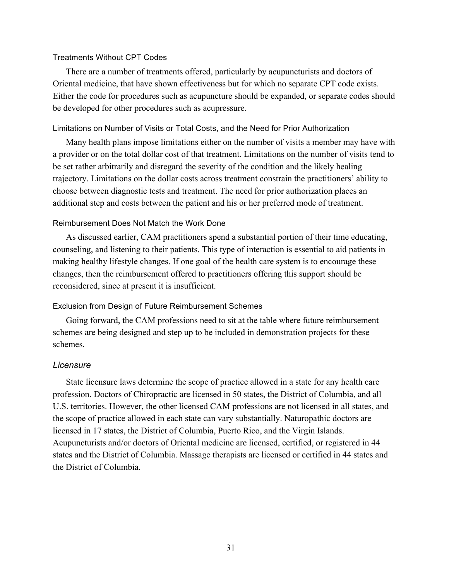#### Treatments Without CPT Codes

There are a number of treatments offered, particularly by acupuncturists and doctors of Oriental medicine, that have shown effectiveness but for which no separate CPT code exists. Either the code for procedures such as acupuncture should be expanded, or separate codes should be developed for other procedures such as acupressure.

#### Limitations on Number of Visits or Total Costs, and the Need for Prior Authorization

Many health plans impose limitations either on the number of visits a member may have with a provider or on the total dollar cost of that treatment. Limitations on the number of visits tend to be set rather arbitrarily and disregard the severity of the condition and the likely healing trajectory. Limitations on the dollar costs across treatment constrain the practitioners' ability to choose between diagnostic tests and treatment. The need for prior authorization places an additional step and costs between the patient and his or her preferred mode of treatment.

#### Reimbursement Does Not Match the Work Done

As discussed earlier, CAM practitioners spend a substantial portion of their time educating, counseling, and listening to their patients. This type of interaction is essential to aid patients in making healthy lifestyle changes. If one goal of the health care system is to encourage these changes, then the reimbursement offered to practitioners offering this support should be reconsidered, since at present it is insufficient.

#### Exclusion from Design of Future Reimbursement Schemes

Going forward, the CAM professions need to sit at the table where future reimbursement schemes are being designed and step up to be included in demonstration projects for these schemes.

#### *Licensure*

State licensure laws determine the scope of practice allowed in a state for any health care profession. Doctors of Chiropractic are licensed in 50 states, the District of Columbia, and all U.S. territories. However, the other licensed CAM professions are not licensed in all states, and the scope of practice allowed in each state can vary substantially. Naturopathic doctors are licensed in 17 states, the District of Columbia, Puerto Rico, and the Virgin Islands. Acupuncturists and/or doctors of Oriental medicine are licensed, certified, or registered in 44 states and the District of Columbia. Massage therapists are licensed or certified in 44 states and the District of Columbia.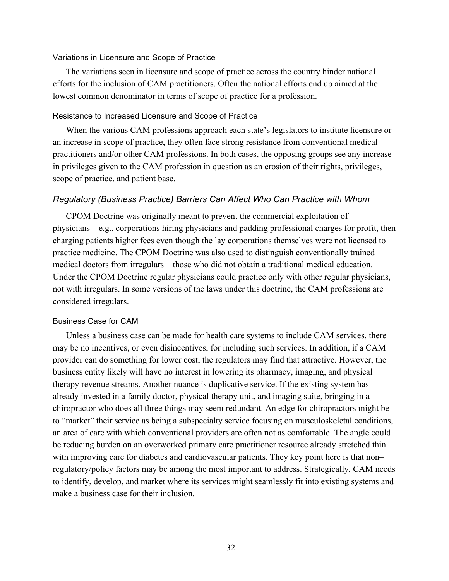#### Variations in Licensure and Scope of Practice

The variations seen in licensure and scope of practice across the country hinder national efforts for the inclusion of CAM practitioners. Often the national efforts end up aimed at the lowest common denominator in terms of scope of practice for a profession.

#### Resistance to Increased Licensure and Scope of Practice

When the various CAM professions approach each state's legislators to institute licensure or an increase in scope of practice, they often face strong resistance from conventional medical practitioners and/or other CAM professions. In both cases, the opposing groups see any increase in privileges given to the CAM profession in question as an erosion of their rights, privileges, scope of practice, and patient base.

#### *Regulatory (Business Practice) Barriers Can Affect Who Can Practice with Whom*

CPOM Doctrine was originally meant to prevent the commercial exploitation of physicians—e.g., corporations hiring physicians and padding professional charges for profit, then charging patients higher fees even though the lay corporations themselves were not licensed to practice medicine. The CPOM Doctrine was also used to distinguish conventionally trained medical doctors from irregulars—those who did not obtain a traditional medical education. Under the CPOM Doctrine regular physicians could practice only with other regular physicians, not with irregulars. In some versions of the laws under this doctrine, the CAM professions are considered irregulars.

#### Business Case for CAM

Unless a business case can be made for health care systems to include CAM services, there may be no incentives, or even disincentives, for including such services. In addition, if a CAM provider can do something for lower cost, the regulators may find that attractive. However, the business entity likely will have no interest in lowering its pharmacy, imaging, and physical therapy revenue streams. Another nuance is duplicative service. If the existing system has already invested in a family doctor, physical therapy unit, and imaging suite, bringing in a chiropractor who does all three things may seem redundant. An edge for chiropractors might be to "market" their service as being a subspecialty service focusing on musculoskeletal conditions, an area of care with which conventional providers are often not as comfortable. The angle could be reducing burden on an overworked primary care practitioner resource already stretched thin with improving care for diabetes and cardiovascular patients. They key point here is that non– regulatory/policy factors may be among the most important to address. Strategically, CAM needs to identify, develop, and market where its services might seamlessly fit into existing systems and make a business case for their inclusion.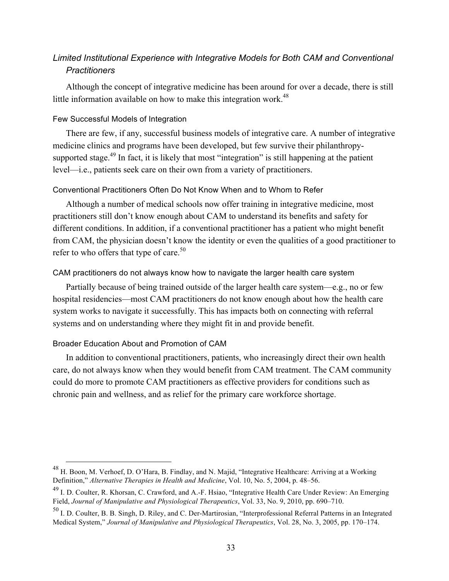## *Limited Institutional Experience with Integrative Models for Both CAM and Conventional Practitioners*

Although the concept of integrative medicine has been around for over a decade, there is still little information available on how to make this integration work.<sup>48</sup>

#### Few Successful Models of Integration

There are few, if any, successful business models of integrative care. A number of integrative medicine clinics and programs have been developed, but few survive their philanthropysupported stage.<sup>49</sup> In fact, it is likely that most "integration" is still happening at the patient level—i.e., patients seek care on their own from a variety of practitioners.

#### Conventional Practitioners Often Do Not Know When and to Whom to Refer

Although a number of medical schools now offer training in integrative medicine, most practitioners still don't know enough about CAM to understand its benefits and safety for different conditions. In addition, if a conventional practitioner has a patient who might benefit from CAM, the physician doesn't know the identity or even the qualities of a good practitioner to refer to who offers that type of care.<sup>50</sup>

#### CAM practitioners do not always know how to navigate the larger health care system

Partially because of being trained outside of the larger health care system—e.g., no or few hospital residencies—most CAM practitioners do not know enough about how the health care system works to navigate it successfully. This has impacts both on connecting with referral systems and on understanding where they might fit in and provide benefit.

#### Broader Education About and Promotion of CAM

In addition to conventional practitioners, patients, who increasingly direct their own health care, do not always know when they would benefit from CAM treatment. The CAM community could do more to promote CAM practitioners as effective providers for conditions such as chronic pain and wellness, and as relief for the primary care workforce shortage.

 <sup>48</sup> H. Boon, M. Verhoef, D. O'Hara, B. Findlay, and N. Majid, "Integrative Healthcare: Arriving at a Working Definition," *Alternative Therapies in Health and Medicine*, Vol. 10, No. 5, 2004, p. 48–56.

<sup>&</sup>lt;sup>49</sup> I. D. Coulter, R. Khorsan, C. Crawford, and A.-F. Hsiao, "Integrative Health Care Under Review: An Emerging Field, *Journal of Manipulative and Physiological Therapeutics*, Vol. 33, No. 9, 2010, pp. 690–710.

<sup>50</sup> I. D. Coulter, B. B. Singh, D. Riley, and C. Der-Martirosian, "Interprofessional Referral Patterns in an Integrated Medical System," *Journal of Manipulative and Physiological Therapeutics*, Vol. 28, No. 3, 2005, pp. 170–174.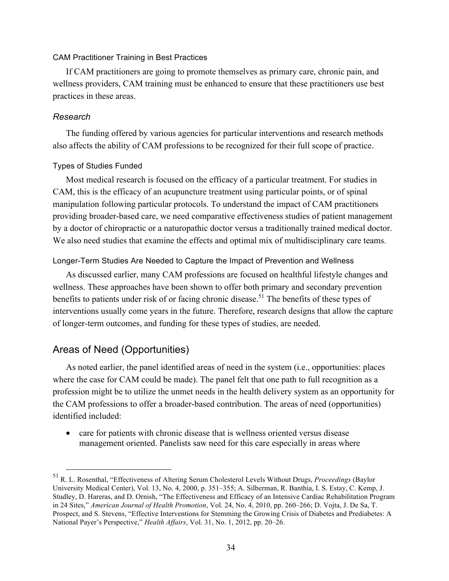#### CAM Practitioner Training in Best Practices

If CAM practitioners are going to promote themselves as primary care, chronic pain, and wellness providers, CAM training must be enhanced to ensure that these practitioners use best practices in these areas.

#### *Research*

The funding offered by various agencies for particular interventions and research methods also affects the ability of CAM professions to be recognized for their full scope of practice.

#### Types of Studies Funded

Most medical research is focused on the efficacy of a particular treatment. For studies in CAM, this is the efficacy of an acupuncture treatment using particular points, or of spinal manipulation following particular protocols. To understand the impact of CAM practitioners providing broader-based care, we need comparative effectiveness studies of patient management by a doctor of chiropractic or a naturopathic doctor versus a traditionally trained medical doctor. We also need studies that examine the effects and optimal mix of multidisciplinary care teams.

#### Longer-Term Studies Are Needed to Capture the Impact of Prevention and Wellness

As discussed earlier, many CAM professions are focused on healthful lifestyle changes and wellness. These approaches have been shown to offer both primary and secondary prevention benefits to patients under risk of or facing chronic disease.<sup>51</sup> The benefits of these types of interventions usually come years in the future. Therefore, research designs that allow the capture of longer-term outcomes, and funding for these types of studies, are needed.

## Areas of Need (Opportunities)

As noted earlier, the panel identified areas of need in the system (i.e., opportunities: places where the case for CAM could be made). The panel felt that one path to full recognition as a profession might be to utilize the unmet needs in the health delivery system as an opportunity for the CAM professions to offer a broader-based contribution. The areas of need (opportunities) identified included:

• care for patients with chronic disease that is wellness oriented versus disease management oriented. Panelists saw need for this care especially in areas where

 <sup>51</sup> R. L. Rosenthal, "Effectiveness of Altering Serum Cholesterol Levels Without Drugs, *Proceedings* (Baylor University Medical Center), Vol. 13, No. 4, 2000, p. 351–355; A. Silberman, R. Banthia, I. S. Estay, C. Kemp, J. Studley, D. Hareras, and D. Ornish, "The Effectiveness and Efficacy of an Intensive Cardiac Rehabilitation Program in 24 Sites," *American Journal of Health Promotion*, Vol. 24, No. 4, 2010, pp. 260–266; D. Vojta, J. De Sa, T. Prospect, and S. Stevens, "Effective Interventions for Stemming the Growing Crisis of Diabetes and Prediabetes: A National Payer's Perspective," *Health Affairs*, Vol. 31, No. 1, 2012, pp. 20–26.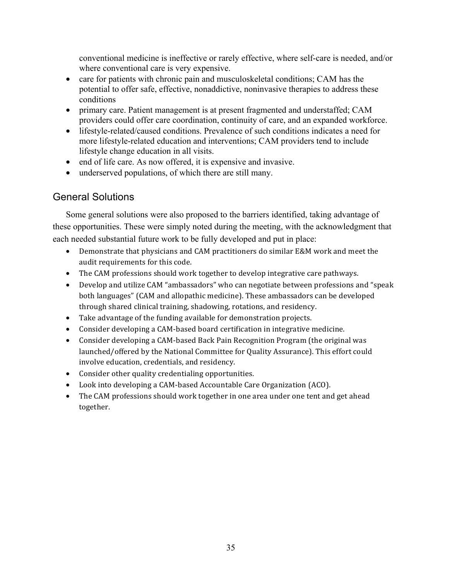conventional medicine is ineffective or rarely effective, where self-care is needed, and/or where conventional care is very expensive.

- care for patients with chronic pain and musculoskeletal conditions; CAM has the potential to offer safe, effective, nonaddictive, noninvasive therapies to address these conditions
- primary care. Patient management is at present fragmented and understaffed; CAM providers could offer care coordination, continuity of care, and an expanded workforce.
- lifestyle-related/caused conditions. Prevalence of such conditions indicates a need for more lifestyle-related education and interventions; CAM providers tend to include lifestyle change education in all visits.
- end of life care. As now offered, it is expensive and invasive.
- underserved populations, of which there are still many.

# General Solutions

Some general solutions were also proposed to the barriers identified, taking advantage of these opportunities. These were simply noted during the meeting, with the acknowledgment that each needed substantial future work to be fully developed and put in place:

- Demonstrate that physicians and CAM practitioners do similar E&M work and meet the audit requirements for this code.
- The CAM professions should work together to develop integrative care pathways.
- Develop and utilize CAM "ambassadors" who can negotiate between professions and "speak both languages" (CAM and allopathic medicine). These ambassadors can be developed through shared clinical training, shadowing, rotations, and residency.
- Take advantage of the funding available for demonstration projects.
- Consider developing a CAM-based board certification in integrative medicine.
- Consider developing a CAM-based Back Pain Recognition Program (the original was launched/offered by the National Committee for Quality Assurance). This effort could involve education, credentials, and residency.
- Consider other quality credentialing opportunities.
- Look into developing a CAM-based Accountable Care Organization (ACO).
- The CAM professions should work together in one area under one tent and get ahead together.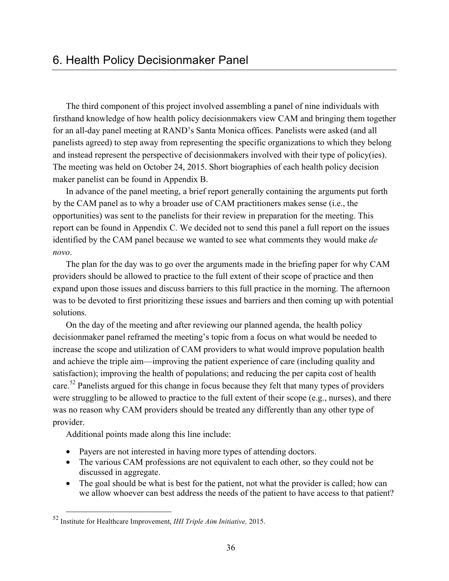The third component of this project involved assembling a panel of nine individuals with firsthand knowledge of how health policy decisionmakers view CAM and bringing them together for an all-day panel meeting at RAND's Santa Monica offices. Panelists were asked (and all panelists agreed) to step away from representing the specific organizations to which they belong and instead represent the perspective of decisionmakers involved with their type of policy(ies). The meeting was held on October 24, 2015. Short biographies of each health policy decision maker panelist can be found in Appendix B.

In advance of the panel meeting, a brief report generally containing the arguments put forth by the CAM panel as to why a broader use of CAM practitioners makes sense (i.e., the opportunities) was sent to the panelists for their review in preparation for the meeting. This report can be found in Appendix C. We decided not to send this panel a full report on the issues identified by the CAM panel because we wanted to see what comments they would make *de novo*.

The plan for the day was to go over the arguments made in the briefing paper for why CAM providers should be allowed to practice to the full extent of their scope of practice and then expand upon those issues and discuss barriers to this full practice in the morning. The afternoon was to be devoted to first prioritizing these issues and barriers and then coming up with potential solutions.

On the day of the meeting and after reviewing our planned agenda, the health policy decisionmaker panel reframed the meeting's topic from a focus on what would be needed to increase the scope and utilization of CAM providers to what would improve population health and achieve the triple aim—improving the patient experience of care (including quality and satisfaction); improving the health of populations; and reducing the per capita cost of health care.<sup>52</sup> Panelists argued for this change in focus because they felt that many types of providers were struggling to be allowed to practice to the full extent of their scope (e.g., nurses), and there was no reason why CAM providers should be treated any differently than any other type of provider.

Additional points made along this line include:

- Payers are not interested in having more types of attending doctors.
- The various CAM professions are not equivalent to each other, so they could not be discussed in aggregate.
- The goal should be what is best for the patient, not what the provider is called; how can we allow whoever can best address the needs of the patient to have access to that patient?

 <sup>52</sup> Institute for Healthcare Improvement, *IHI Triple Aim Initiative,* 2015.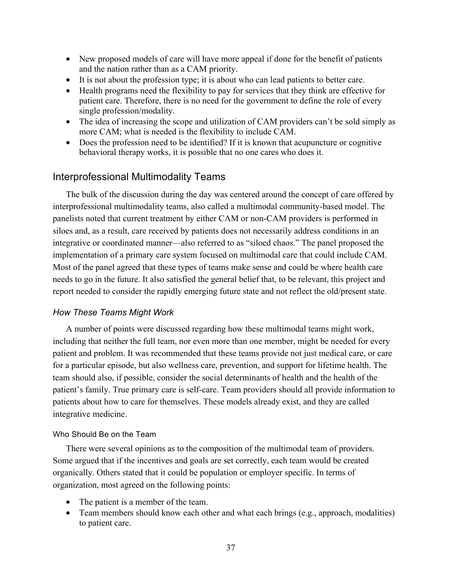- New proposed models of care will have more appeal if done for the benefit of patients and the nation rather than as a CAM priority.
- It is not about the profession type; it is about who can lead patients to better care.
- Health programs need the flexibility to pay for services that they think are effective for patient care. Therefore, there is no need for the government to define the role of every single profession/modality.
- The idea of increasing the scope and utilization of CAM providers can't be sold simply as more CAM; what is needed is the flexibility to include CAM.
- Does the profession need to be identified? If it is known that acupuncture or cognitive behavioral therapy works, it is possible that no one cares who does it.

# Interprofessional Multimodality Teams

The bulk of the discussion during the day was centered around the concept of care offered by interprofessional multimodality teams, also called a multimodal community-based model. The panelists noted that current treatment by either CAM or non-CAM providers is performed in siloes and, as a result, care received by patients does not necessarily address conditions in an integrative or coordinated manner—also referred to as "siloed chaos." The panel proposed the implementation of a primary care system focused on multimodal care that could include CAM. Most of the panel agreed that these types of teams make sense and could be where health care needs to go in the future. It also satisfied the general belief that, to be relevant, this project and report needed to consider the rapidly emerging future state and not reflect the old/present state.

### *How These Teams Might Work*

A number of points were discussed regarding how these multimodal teams might work, including that neither the full team, nor even more than one member, might be needed for every patient and problem. It was recommended that these teams provide not just medical care, or care for a particular episode, but also wellness care, prevention, and support for lifetime health. The team should also, if possible, consider the social determinants of health and the health of the patient's family. True primary care is self-care. Team providers should all provide information to patients about how to care for themselves. These models already exist, and they are called integrative medicine.

### Who Should Be on the Team

There were several opinions as to the composition of the multimodal team of providers. Some argued that if the incentives and goals are set correctly, each team would be created organically. Others stated that it could be population or employer specific. In terms of organization, most agreed on the following points:

- The patient is a member of the team.
- Team members should know each other and what each brings (e.g., approach, modalities) to patient care.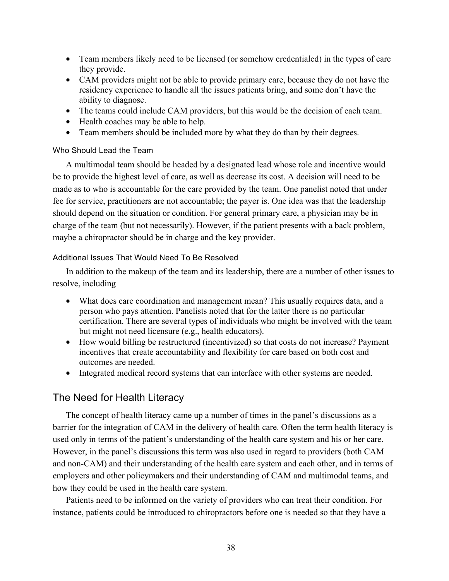- Team members likely need to be licensed (or somehow credentialed) in the types of care they provide.
- CAM providers might not be able to provide primary care, because they do not have the residency experience to handle all the issues patients bring, and some don't have the ability to diagnose.
- The teams could include CAM providers, but this would be the decision of each team.
- Health coaches may be able to help.
- Team members should be included more by what they do than by their degrees.

### Who Should Lead the Team

A multimodal team should be headed by a designated lead whose role and incentive would be to provide the highest level of care, as well as decrease its cost. A decision will need to be made as to who is accountable for the care provided by the team. One panelist noted that under fee for service, practitioners are not accountable; the payer is. One idea was that the leadership should depend on the situation or condition. For general primary care, a physician may be in charge of the team (but not necessarily). However, if the patient presents with a back problem, maybe a chiropractor should be in charge and the key provider.

### Additional Issues That Would Need To Be Resolved

In addition to the makeup of the team and its leadership, there are a number of other issues to resolve, including

- What does care coordination and management mean? This usually requires data, and a person who pays attention. Panelists noted that for the latter there is no particular certification. There are several types of individuals who might be involved with the team but might not need licensure (e.g., health educators).
- How would billing be restructured (incentivized) so that costs do not increase? Payment incentives that create accountability and flexibility for care based on both cost and outcomes are needed.
- Integrated medical record systems that can interface with other systems are needed.

# The Need for Health Literacy

The concept of health literacy came up a number of times in the panel's discussions as a barrier for the integration of CAM in the delivery of health care. Often the term health literacy is used only in terms of the patient's understanding of the health care system and his or her care. However, in the panel's discussions this term was also used in regard to providers (both CAM and non-CAM) and their understanding of the health care system and each other, and in terms of employers and other policymakers and their understanding of CAM and multimodal teams, and how they could be used in the health care system.

Patients need to be informed on the variety of providers who can treat their condition. For instance, patients could be introduced to chiropractors before one is needed so that they have a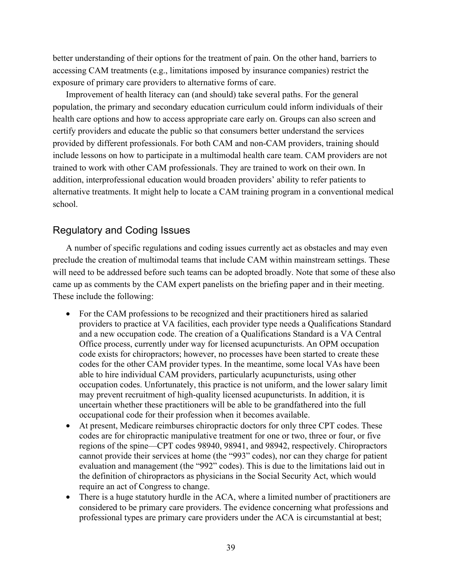better understanding of their options for the treatment of pain. On the other hand, barriers to accessing CAM treatments (e.g., limitations imposed by insurance companies) restrict the exposure of primary care providers to alternative forms of care.

Improvement of health literacy can (and should) take several paths. For the general population, the primary and secondary education curriculum could inform individuals of their health care options and how to access appropriate care early on. Groups can also screen and certify providers and educate the public so that consumers better understand the services provided by different professionals. For both CAM and non-CAM providers, training should include lessons on how to participate in a multimodal health care team. CAM providers are not trained to work with other CAM professionals. They are trained to work on their own. In addition, interprofessional education would broaden providers' ability to refer patients to alternative treatments. It might help to locate a CAM training program in a conventional medical school.

# Regulatory and Coding Issues

A number of specific regulations and coding issues currently act as obstacles and may even preclude the creation of multimodal teams that include CAM within mainstream settings. These will need to be addressed before such teams can be adopted broadly. Note that some of these also came up as comments by the CAM expert panelists on the briefing paper and in their meeting. These include the following:

- For the CAM professions to be recognized and their practitioners hired as salaried providers to practice at VA facilities, each provider type needs a Qualifications Standard and a new occupation code. The creation of a Qualifications Standard is a VA Central Office process, currently under way for licensed acupuncturists. An OPM occupation code exists for chiropractors; however, no processes have been started to create these codes for the other CAM provider types. In the meantime, some local VAs have been able to hire individual CAM providers, particularly acupuncturists, using other occupation codes. Unfortunately, this practice is not uniform, and the lower salary limit may prevent recruitment of high-quality licensed acupuncturists. In addition, it is uncertain whether these practitioners will be able to be grandfathered into the full occupational code for their profession when it becomes available.
- At present, Medicare reimburses chiropractic doctors for only three CPT codes. These codes are for chiropractic manipulative treatment for one or two, three or four, or five regions of the spine—CPT codes 98940, 98941, and 98942, respectively. Chiropractors cannot provide their services at home (the "993" codes), nor can they charge for patient evaluation and management (the "992" codes). This is due to the limitations laid out in the definition of chiropractors as physicians in the Social Security Act, which would require an act of Congress to change.
- There is a huge statutory hurdle in the ACA, where a limited number of practitioners are considered to be primary care providers. The evidence concerning what professions and professional types are primary care providers under the ACA is circumstantial at best;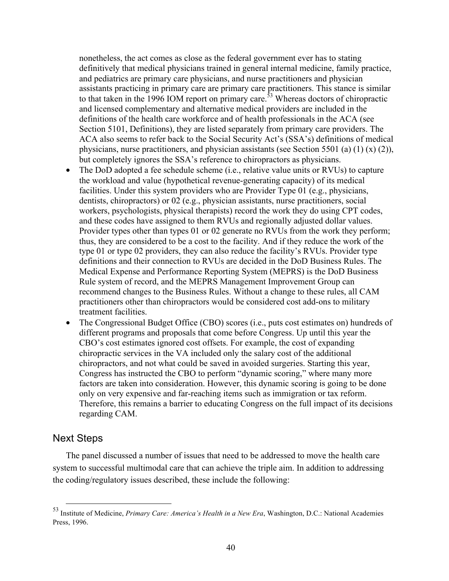nonetheless, the act comes as close as the federal government ever has to stating definitively that medical physicians trained in general internal medicine, family practice, and pediatrics are primary care physicians, and nurse practitioners and physician assistants practicing in primary care are primary care practitioners. This stance is similar to that taken in the  $\frac{1996}{100}$  IOM report on primary care.<sup>53</sup> Whereas doctors of chiropractic and licensed complementary and alternative medical providers are included in the definitions of the health care workforce and of health professionals in the ACA (see Section 5101, Definitions), they are listed separately from primary care providers. The ACA also seems to refer back to the Social Security Act's (SSA's) definitions of medical physicians, nurse practitioners, and physician assistants (see Section 5501 (a) (1) (x) (2)), but completely ignores the SSA's reference to chiropractors as physicians.

- The DoD adopted a fee schedule scheme (i.e., relative value units or RVUs) to capture the workload and value (hypothetical revenue-generating capacity) of its medical facilities. Under this system providers who are Provider Type 01 (e.g., physicians, dentists, chiropractors) or 02 (e.g., physician assistants, nurse practitioners, social workers, psychologists, physical therapists) record the work they do using CPT codes, and these codes have assigned to them RVUs and regionally adjusted dollar values. Provider types other than types 01 or 02 generate no RVUs from the work they perform; thus, they are considered to be a cost to the facility. And if they reduce the work of the type 01 or type 02 providers, they can also reduce the facility's RVUs. Provider type definitions and their connection to RVUs are decided in the DoD Business Rules. The Medical Expense and Performance Reporting System (MEPRS) is the DoD Business Rule system of record, and the MEPRS Management Improvement Group can recommend changes to the Business Rules. Without a change to these rules, all CAM practitioners other than chiropractors would be considered cost add-ons to military treatment facilities.
- The Congressional Budget Office (CBO) scores (i.e., puts cost estimates on) hundreds of different programs and proposals that come before Congress. Up until this year the CBO's cost estimates ignored cost offsets. For example, the cost of expanding chiropractic services in the VA included only the salary cost of the additional chiropractors, and not what could be saved in avoided surgeries. Starting this year, Congress has instructed the CBO to perform "dynamic scoring," where many more factors are taken into consideration. However, this dynamic scoring is going to be done only on very expensive and far-reaching items such as immigration or tax reform. Therefore, this remains a barrier to educating Congress on the full impact of its decisions regarding CAM.

### Next Steps

The panel discussed a number of issues that need to be addressed to move the health care system to successful multimodal care that can achieve the triple aim. In addition to addressing the coding/regulatory issues described, these include the following:

 <sup>53</sup> Institute of Medicine, *Primary Care: America's Health in a New Era*, Washington, D.C.: National Academies Press, 1996.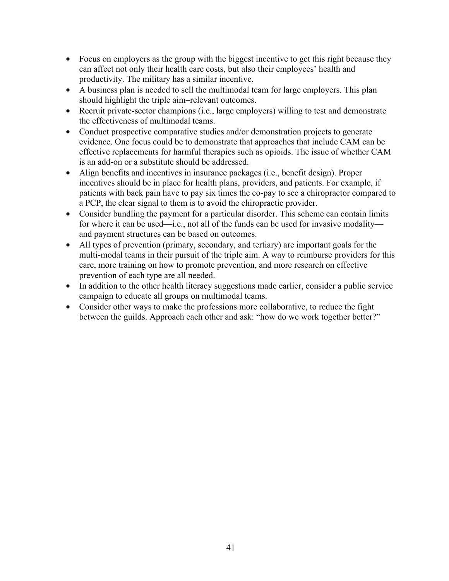- Focus on employers as the group with the biggest incentive to get this right because they can affect not only their health care costs, but also their employees' health and productivity. The military has a similar incentive.
- A business plan is needed to sell the multimodal team for large employers. This plan should highlight the triple aim–relevant outcomes.
- Recruit private-sector champions (i.e., large employers) willing to test and demonstrate the effectiveness of multimodal teams.
- Conduct prospective comparative studies and/or demonstration projects to generate evidence. One focus could be to demonstrate that approaches that include CAM can be effective replacements for harmful therapies such as opioids. The issue of whether CAM is an add-on or a substitute should be addressed.
- Align benefits and incentives in insurance packages (i.e., benefit design). Proper incentives should be in place for health plans, providers, and patients. For example, if patients with back pain have to pay six times the co-pay to see a chiropractor compared to a PCP, the clear signal to them is to avoid the chiropractic provider.
- Consider bundling the payment for a particular disorder. This scheme can contain limits for where it can be used—i.e., not all of the funds can be used for invasive modality and payment structures can be based on outcomes.
- All types of prevention (primary, secondary, and tertiary) are important goals for the multi-modal teams in their pursuit of the triple aim. A way to reimburse providers for this care, more training on how to promote prevention, and more research on effective prevention of each type are all needed.
- In addition to the other health literacy suggestions made earlier, consider a public service campaign to educate all groups on multimodal teams.
- Consider other ways to make the professions more collaborative, to reduce the fight between the guilds. Approach each other and ask: "how do we work together better?"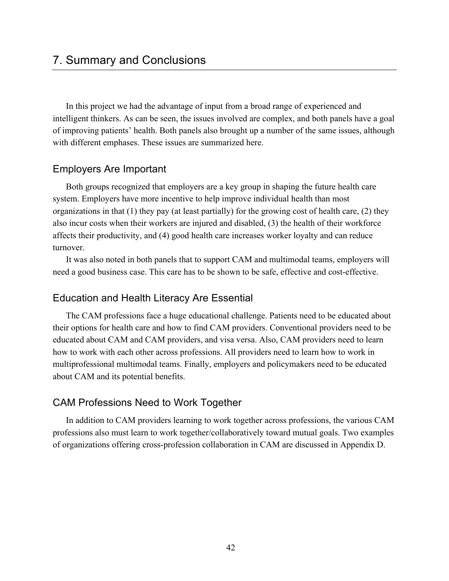In this project we had the advantage of input from a broad range of experienced and intelligent thinkers. As can be seen, the issues involved are complex, and both panels have a goal of improving patients' health. Both panels also brought up a number of the same issues, although with different emphases. These issues are summarized here.

# Employers Are Important

Both groups recognized that employers are a key group in shaping the future health care system. Employers have more incentive to help improve individual health than most organizations in that (1) they pay (at least partially) for the growing cost of health care, (2) they also incur costs when their workers are injured and disabled, (3) the health of their workforce affects their productivity, and (4) good health care increases worker loyalty and can reduce turnover.

It was also noted in both panels that to support CAM and multimodal teams, employers will need a good business case. This care has to be shown to be safe, effective and cost-effective.

# Education and Health Literacy Are Essential

The CAM professions face a huge educational challenge. Patients need to be educated about their options for health care and how to find CAM providers. Conventional providers need to be educated about CAM and CAM providers, and visa versa. Also, CAM providers need to learn how to work with each other across professions. All providers need to learn how to work in multiprofessional multimodal teams. Finally, employers and policymakers need to be educated about CAM and its potential benefits.

# CAM Professions Need to Work Together

In addition to CAM providers learning to work together across professions, the various CAM professions also must learn to work together/collaboratively toward mutual goals. Two examples of organizations offering cross-profession collaboration in CAM are discussed in Appendix D.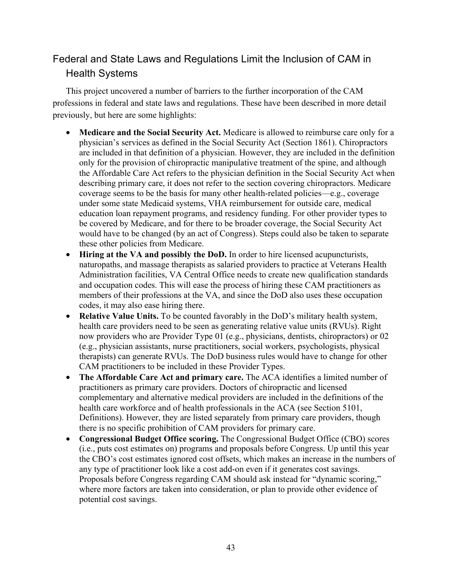# Federal and State Laws and Regulations Limit the Inclusion of CAM in Health Systems

This project uncovered a number of barriers to the further incorporation of the CAM professions in federal and state laws and regulations. These have been described in more detail previously, but here are some highlights:

- **Medicare and the Social Security Act.** Medicare is allowed to reimburse care only for a physician's services as defined in the Social Security Act (Section 1861). Chiropractors are included in that definition of a physician. However, they are included in the definition only for the provision of chiropractic manipulative treatment of the spine, and although the Affordable Care Act refers to the physician definition in the Social Security Act when describing primary care, it does not refer to the section covering chiropractors. Medicare coverage seems to be the basis for many other health-related policies—e.g., coverage under some state Medicaid systems, VHA reimbursement for outside care, medical education loan repayment programs, and residency funding. For other provider types to be covered by Medicare, and for there to be broader coverage, the Social Security Act would have to be changed (by an act of Congress). Steps could also be taken to separate these other policies from Medicare.
- **Hiring at the VA and possibly the DoD.** In order to hire licensed acupuncturists, naturopaths, and massage therapists as salaried providers to practice at Veterans Health Administration facilities, VA Central Office needs to create new qualification standards and occupation codes. This will ease the process of hiring these CAM practitioners as members of their professions at the VA, and since the DoD also uses these occupation codes, it may also ease hiring there.
- **Relative Value Units.** To be counted favorably in the DoD's military health system, health care providers need to be seen as generating relative value units (RVUs). Right now providers who are Provider Type 01 (e.g., physicians, dentists, chiropractors) or 02 (e.g., physician assistants, nurse practitioners, social workers, psychologists, physical therapists) can generate RVUs. The DoD business rules would have to change for other CAM practitioners to be included in these Provider Types.
- **The Affordable Care Act and primary care.** The ACA identifies a limited number of practitioners as primary care providers. Doctors of chiropractic and licensed complementary and alternative medical providers are included in the definitions of the health care workforce and of health professionals in the ACA (see Section 5101, Definitions). However, they are listed separately from primary care providers, though there is no specific prohibition of CAM providers for primary care.
- **Congressional Budget Office scoring.** The Congressional Budget Office (CBO) scores (i.e., puts cost estimates on) programs and proposals before Congress. Up until this year the CBO's cost estimates ignored cost offsets, which makes an increase in the numbers of any type of practitioner look like a cost add-on even if it generates cost savings. Proposals before Congress regarding CAM should ask instead for "dynamic scoring," where more factors are taken into consideration, or plan to provide other evidence of potential cost savings.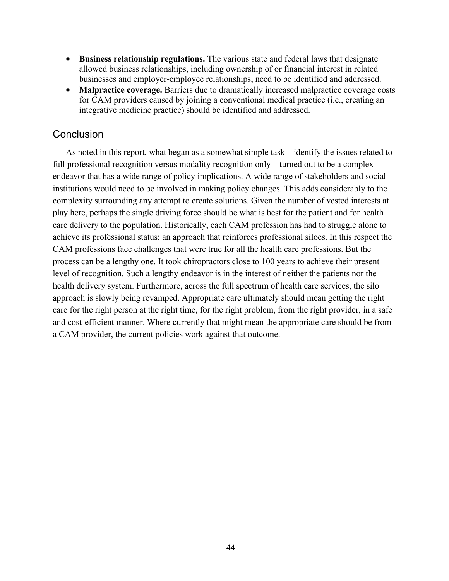- **Business relationship regulations.** The various state and federal laws that designate allowed business relationships, including ownership of or financial interest in related businesses and employer-employee relationships, need to be identified and addressed.
- **Malpractice coverage.** Barriers due to dramatically increased malpractice coverage costs for CAM providers caused by joining a conventional medical practice (i.e., creating an integrative medicine practice) should be identified and addressed.

# **Conclusion**

As noted in this report, what began as a somewhat simple task—identify the issues related to full professional recognition versus modality recognition only—turned out to be a complex endeavor that has a wide range of policy implications. A wide range of stakeholders and social institutions would need to be involved in making policy changes. This adds considerably to the complexity surrounding any attempt to create solutions. Given the number of vested interests at play here, perhaps the single driving force should be what is best for the patient and for health care delivery to the population. Historically, each CAM profession has had to struggle alone to achieve its professional status; an approach that reinforces professional siloes. In this respect the CAM professions face challenges that were true for all the health care professions. But the process can be a lengthy one. It took chiropractors close to 100 years to achieve their present level of recognition. Such a lengthy endeavor is in the interest of neither the patients nor the health delivery system. Furthermore, across the full spectrum of health care services, the silo approach is slowly being revamped. Appropriate care ultimately should mean getting the right care for the right person at the right time, for the right problem, from the right provider, in a safe and cost-efficient manner. Where currently that might mean the appropriate care should be from a CAM provider, the current policies work against that outcome.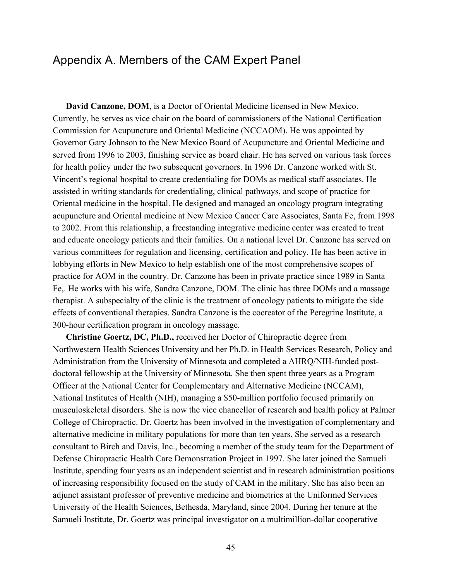**David Canzone, DOM**, is a Doctor of Oriental Medicine licensed in New Mexico. Currently, he serves as vice chair on the board of commissioners of the National Certification Commission for Acupuncture and Oriental Medicine (NCCAOM). He was appointed by Governor Gary Johnson to the New Mexico Board of Acupuncture and Oriental Medicine and served from 1996 to 2003, finishing service as board chair. He has served on various task forces for health policy under the two subsequent governors. In 1996 Dr. Canzone worked with St. Vincent's regional hospital to create credentialing for DOMs as medical staff associates. He assisted in writing standards for credentialing, clinical pathways, and scope of practice for Oriental medicine in the hospital. He designed and managed an oncology program integrating acupuncture and Oriental medicine at New Mexico Cancer Care Associates, Santa Fe, from 1998 to 2002. From this relationship, a freestanding integrative medicine center was created to treat and educate oncology patients and their families. On a national level Dr. Canzone has served on various committees for regulation and licensing, certification and policy. He has been active in lobbying efforts in New Mexico to help establish one of the most comprehensive scopes of practice for AOM in the country. Dr. Canzone has been in private practice since 1989 in Santa Fe,. He works with his wife, Sandra Canzone, DOM. The clinic has three DOMs and a massage therapist. A subspecialty of the clinic is the treatment of oncology patients to mitigate the side effects of conventional therapies. Sandra Canzone is the cocreator of the Peregrine Institute, a 300-hour certification program in oncology massage.

**Christine Goertz, DC, Ph.D.,** received her Doctor of Chiropractic degree from Northwestern Health Sciences University and her Ph.D. in Health Services Research, Policy and Administration from the University of Minnesota and completed a AHRQ/NIH-funded postdoctoral fellowship at the University of Minnesota. She then spent three years as a Program Officer at the National Center for Complementary and Alternative Medicine (NCCAM), National Institutes of Health (NIH), managing a \$50-million portfolio focused primarily on musculoskeletal disorders. She is now the vice chancellor of research and health policy at Palmer College of Chiropractic. Dr. Goertz has been involved in the investigation of complementary and alternative medicine in military populations for more than ten years. She served as a research consultant to Birch and Davis, Inc., becoming a member of the study team for the Department of Defense Chiropractic Health Care Demonstration Project in 1997. She later joined the Samueli Institute, spending four years as an independent scientist and in research administration positions of increasing responsibility focused on the study of CAM in the military. She has also been an adjunct assistant professor of preventive medicine and biometrics at the Uniformed Services University of the Health Sciences, Bethesda, Maryland, since 2004. During her tenure at the Samueli Institute, Dr. Goertz was principal investigator on a multimillion-dollar cooperative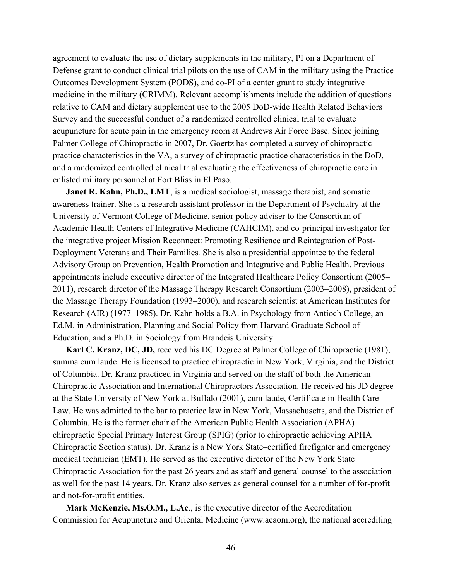agreement to evaluate the use of dietary supplements in the military, PI on a Department of Defense grant to conduct clinical trial pilots on the use of CAM in the military using the Practice Outcomes Development System (PODS), and co-PI of a center grant to study integrative medicine in the military (CRIMM). Relevant accomplishments include the addition of questions relative to CAM and dietary supplement use to the 2005 DoD-wide Health Related Behaviors Survey and the successful conduct of a randomized controlled clinical trial to evaluate acupuncture for acute pain in the emergency room at Andrews Air Force Base. Since joining Palmer College of Chiropractic in 2007, Dr. Goertz has completed a survey of chiropractic practice characteristics in the VA, a survey of chiropractic practice characteristics in the DoD, and a randomized controlled clinical trial evaluating the effectiveness of chiropractic care in enlisted military personnel at Fort Bliss in El Paso.

**Janet R. Kahn, Ph.D., LMT**, is a medical sociologist, massage therapist, and somatic awareness trainer. She is a research assistant professor in the Department of Psychiatry at the University of Vermont College of Medicine, senior policy adviser to the Consortium of Academic Health Centers of Integrative Medicine (CAHCIM), and co-principal investigator for the integrative project Mission Reconnect: Promoting Resilience and Reintegration of Post-Deployment Veterans and Their Families*.* She is also a presidential appointee to the federal Advisory Group on Prevention, Health Promotion and Integrative and Public Health. Previous appointments include executive director of the Integrated Healthcare Policy Consortium (2005– 2011), research director of the Massage Therapy Research Consortium (2003–2008), president of the Massage Therapy Foundation (1993–2000), and research scientist at American Institutes for Research (AIR) (1977–1985). Dr. Kahn holds a B.A. in Psychology from Antioch College, an Ed.M. in Administration, Planning and Social Policy from Harvard Graduate School of Education, and a Ph.D. in Sociology from Brandeis University.

**Karl C. Kranz, DC, JD,** received his DC Degree at Palmer College of Chiropractic (1981), summa cum laude. He is licensed to practice chiropractic in New York, Virginia, and the District of Columbia. Dr. Kranz practiced in Virginia and served on the staff of both the American Chiropractic Association and International Chiropractors Association. He received his JD degree at the State University of New York at Buffalo (2001), cum laude, Certificate in Health Care Law. He was admitted to the bar to practice law in New York, Massachusetts, and the District of Columbia. He is the former chair of the American Public Health Association (APHA) chiropractic Special Primary Interest Group (SPIG) (prior to chiropractic achieving APHA Chiropractic Section status). Dr. Kranz is a New York State–certified firefighter and emergency medical technician (EMT). He served as the executive director of the New York State Chiropractic Association for the past 26 years and as staff and general counsel to the association as well for the past 14 years. Dr. Kranz also serves as general counsel for a number of for-profit and not-for-profit entities.

**Mark McKenzie, Ms.O.M., L.Ac**., is the executive director of the Accreditation Commission for Acupuncture and Oriental Medicine ([www.acaom.org\)](http://www.acaom.org), the national accrediting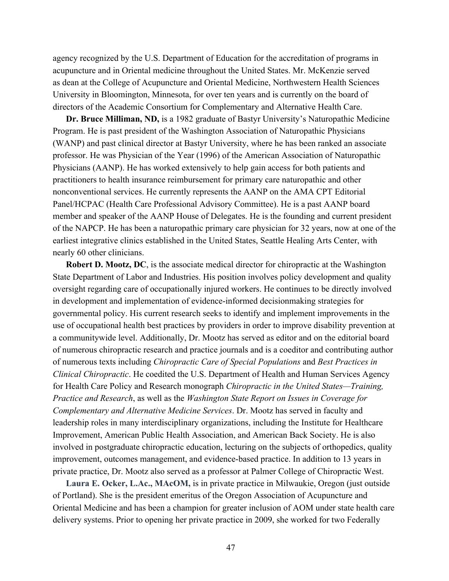agency recognized by the U.S. Department of Education for the accreditation of programs in acupuncture and in Oriental medicine throughout the United States. Mr. McKenzie served as dean at the College of Acupuncture and Oriental Medicine, Northwestern Health Sciences University in Bloomington, Minnesota, for over ten years and is currently on the board of directors of the Academic Consortium for Complementary and Alternative Health Care.

**Dr. Bruce Milliman, ND,** is a 1982 graduate of Bastyr University's Naturopathic Medicine Program. He is past president of the Washington Association of Naturopathic Physicians (WANP) and past clinical director at Bastyr University, where he has been ranked an associate professor. He was Physician of the Year (1996) of the American Association of Naturopathic Physicians (AANP). He has worked extensively to help gain access for both patients and practitioners to health insurance reimbursement for primary care naturopathic and other nonconventional services. He currently represents the AANP on the AMA CPT Editorial Panel/HCPAC (Health Care Professional Advisory Committee). He is a past AANP board member and speaker of the AANP House of Delegates. He is the founding and current president of the NAPCP. He has been a naturopathic primary care physician for 32 years, now at one of the earliest integrative clinics established in the United States, Seattle Healing Arts Center, with nearly 60 other clinicians.

**Robert D. Mootz, DC**, is the associate medical director for chiropractic at the Washington State Department of Labor and Industries. His position involves policy development and quality oversight regarding care of occupationally injured workers. He continues to be directly involved in development and implementation of evidence-informed decisionmaking strategies for governmental policy. His current research seeks to identify and implement improvements in the use of occupational health best practices by providers in order to improve disability prevention at a communitywide level. Additionally, Dr. Mootz has served as editor and on the editorial board of numerous chiropractic research and practice journals and is a coeditor and contributing author of numerous texts including *Chiropractic Care of Special Populations* and *Best Practices in Clinical Chiropractic*. He coedited the U.S. Department of Health and Human Services Agency for Health Care Policy and Research monograph *Chiropractic in the United States—Training, Practice and Research*, as well as the *Washington State Report on Issues in Coverage for Complementary and Alternative Medicine Services*. Dr. Mootz has served in faculty and leadership roles in many interdisciplinary organizations, including the Institute for Healthcare Improvement, American Public Health Association, and American Back Society. He is also involved in postgraduate chiropractic education, lecturing on the subjects of orthopedics, quality improvement, outcomes management, and evidence-based practice. In addition to 13 years in private practice, Dr. Mootz also served as a professor at Palmer College of Chiropractic West.

**Laura E. Ocker, L.Ac., MAcOM,** is in private practice in Milwaukie, Oregon (just outside of Portland). She is the president emeritus of the Oregon Association of Acupuncture and Oriental Medicine and has been a champion for greater inclusion of AOM under state health care delivery systems. Prior to opening her private practice in 2009, she worked for two Federally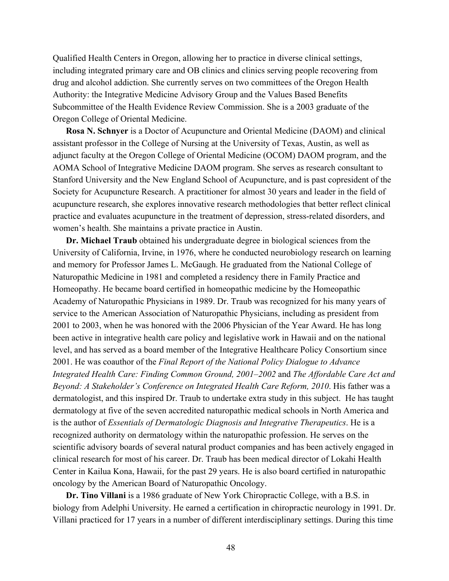Qualified Health Centers in Oregon, allowing her to practice in diverse clinical settings, including integrated primary care and OB clinics and clinics serving people recovering from drug and alcohol addiction. She currently serves on two committees of the Oregon Health Authority: the Integrative Medicine Advisory Group and the Values Based Benefits Subcommittee of the Health Evidence Review Commission. She is a 2003 graduate of the Oregon College of Oriental Medicine.

**Rosa N. Schnyer** is a Doctor of Acupuncture and Oriental Medicine (DAOM) and clinical assistant professor in the College of Nursing at the University of Texas, Austin, as well as adjunct faculty at the Oregon College of Oriental Medicine (OCOM) DAOM program, and the AOMA School of Integrative Medicine DAOM program. She serves as research consultant to Stanford University and the New England School of Acupuncture, and is past copresident of the Society for Acupuncture Research. A practitioner for almost 30 years and leader in the field of acupuncture research, she explores innovative research methodologies that better reflect clinical practice and evaluates acupuncture in the treatment of depression, stress-related disorders, and women's health. She maintains a private practice in Austin.

**Dr. Michael Traub** obtained his undergraduate degree in biological sciences from the University of California, Irvine, in 1976, where he conducted neurobiology research on learning and memory for Professor James L. McGaugh. He graduated from the National College of Naturopathic Medicine in 1981 and completed a residency there in Family Practice and Homeopathy. He became board certified in homeopathic medicine by the Homeopathic Academy of Naturopathic Physicians in 1989. Dr. Traub was recognized for his many years of service to the American Association of Naturopathic Physicians, including as president from 2001 to 2003, when he was honored with the 2006 Physician of the Year Award. He has long been active in integrative health care policy and legislative work in Hawaii and on the national level, and has served as a board member of the Integrative Healthcare Policy Consortium since 2001. He was coauthor of the *Final Report of the National Policy Dialogue to Advance Integrated Health Care: Finding Common Ground, 2001–2002* and *The Affordable Care Act and Beyond: A Stakeholder's Conference on Integrated Health Care Reform, 2010*. His father was a dermatologist, and this inspired Dr. Traub to undertake extra study in this subject. He has taught dermatology at five of the seven accredited naturopathic medical schools in North America and is the author of *Essentials of Dermatologic Diagnosis and Integrative Therapeutics*. He is a recognized authority on dermatology within the naturopathic profession. He serves on the scientific advisory boards of several natural product companies and has been actively engaged in clinical research for most of his career. Dr. Traub has been medical director of Lokahi Health Center in Kailua Kona, Hawaii, for the past 29 years. He is also board certified in naturopathic oncology by the American Board of Naturopathic Oncology.

**Dr. Tino Villani** is a 1986 graduate of New York Chiropractic College, with a B.S. in biology from Adelphi University. He earned a certification in chiropractic neurology in 1991. Dr. Villani practiced for 17 years in a number of different interdisciplinary settings. During this time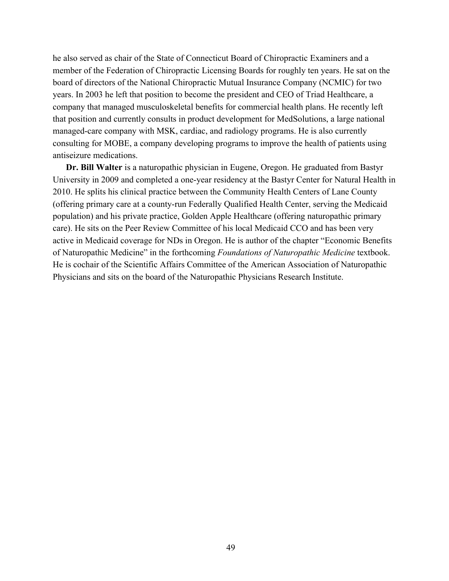he also served as chair of the State of Connecticut Board of Chiropractic Examiners and a member of the Federation of Chiropractic Licensing Boards for roughly ten years. He sat on the board of directors of the National Chiropractic Mutual Insurance Company (NCMIC) for two years. In 2003 he left that position to become the president and CEO of Triad Healthcare, a company that managed musculoskeletal benefits for commercial health plans. He recently left that position and currently consults in product development for MedSolutions, a large national managed-care company with MSK, cardiac, and radiology programs. He is also currently consulting for MOBE, a company developing programs to improve the health of patients using antiseizure medications.

**Dr. Bill Walter** is a naturopathic physician in Eugene, Oregon. He graduated from Bastyr University in 2009 and completed a one-year residency at the Bastyr Center for Natural Health in 2010. He splits his clinical practice between the Community Health Centers of Lane County (offering primary care at a county-run Federally Qualified Health Center, serving the Medicaid population) and his private practice, Golden Apple Healthcare (offering naturopathic primary care). He sits on the Peer Review Committee of his local Medicaid CCO and has been very active in Medicaid coverage for NDs in Oregon. He is author of the chapter "Economic Benefits of Naturopathic Medicine" in the forthcoming *Foundations of Naturopathic Medicine* textbook. He is cochair of the Scientific Affairs Committee of the American Association of Naturopathic Physicians and sits on the board of the Naturopathic Physicians Research Institute.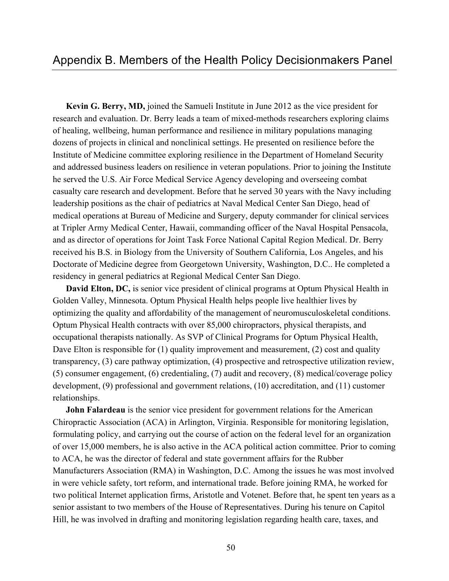**Kevin G. Berry, MD,** joined the Samueli Institute in June 2012 as the vice president for research and evaluation. Dr. Berry leads a team of mixed-methods researchers exploring claims of healing, wellbeing, human performance and resilience in military populations managing dozens of projects in clinical and nonclinical settings. He presented on resilience before the Institute of Medicine committee exploring resilience in the Department of Homeland Security and addressed business leaders on resilience in veteran populations. Prior to joining the Institute he served the U.S. Air Force Medical Service Agency developing and overseeing combat casualty care research and development. Before that he served 30 years with the Navy including leadership positions as the chair of pediatrics at Naval Medical Center San Diego, head of medical operations at Bureau of Medicine and Surgery, deputy commander for clinical services at Tripler Army Medical Center, Hawaii, commanding officer of the Naval Hospital Pensacola, and as director of operations for Joint Task Force National Capital Region Medical. Dr. Berry received his B.S. in Biology from the University of Southern California, Los Angeles, and his Doctorate of Medicine degree from Georgetown University, Washington, D.C.. He completed a residency in general pediatrics at Regional Medical Center San Diego.

**David Elton, DC,** is senior vice president of clinical programs at Optum Physical Health in Golden Valley, Minnesota. Optum Physical Health helps people live healthier lives by optimizing the quality and affordability of the management of neuromusculoskeletal conditions. Optum Physical Health contracts with over 85,000 chiropractors, physical therapists, and occupational therapists nationally. As SVP of Clinical Programs for Optum Physical Health, Dave Elton is responsible for (1) quality improvement and measurement, (2) cost and quality transparency, (3) care pathway optimization, (4) prospective and retrospective utilization review, (5) consumer engagement, (6) credentialing, (7) audit and recovery, (8) medical/coverage policy development, (9) professional and government relations, (10) accreditation, and (11) customer relationships.

**John Falardeau** is the senior vice president for government relations for the American Chiropractic Association (ACA) in Arlington, Virginia. Responsible for monitoring legislation, formulating policy, and carrying out the course of action on the federal level for an organization of over 15,000 members, he is also active in the ACA political action committee. Prior to coming to ACA, he was the director of federal and state government affairs for the Rubber Manufacturers Association (RMA) in Washington, D.C. Among the issues he was most involved in were vehicle safety, tort reform, and international trade. Before joining RMA, he worked for two political Internet application firms, Aristotle and Votenet. Before that, he spent ten years as a senior assistant to two members of the House of Representatives. During his tenure on Capitol Hill, he was involved in drafting and monitoring legislation regarding health care, taxes, and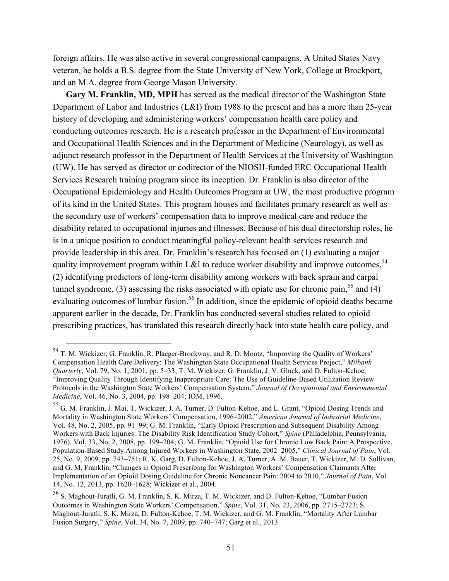foreign affairs. He was also active in several congressional campaigns. A United States Navy veteran, he holds a B.S. degree from the State University of New York, College at Brockport, and an M.A. degree from George Mason University.

**Gary M. Franklin, MD, MPH** has served as the medical director of the Washington State Department of Labor and Industries (L&I) from 1988 to the present and has a more than 25-year history of developing and administering workers' compensation health care policy and conducting outcomes research. He is a research professor in the Department of Environmental and Occupational Health Sciences and in the Department of Medicine (Neurology), as well as adjunct research professor in the Department of Health Services at the University of Washington (UW). He has served as director or codirector of the NIOSH-funded ERC Occupational Health Services Research training program since its inception. Dr. Franklin is also director of the Occupational Epidemiology and Health Outcomes Program at UW, the most productive program of its kind in the United States. This program houses and facilitates primary research as well as the secondary use of workers' compensation data to improve medical care and reduce the disability related to occupational injuries and illnesses. Because of his dual directorship roles, he is in a unique position to conduct meaningful policy-relevant health services research and provide leadership in this area. Dr. Franklin's research has focused on (1) evaluating a major quality improvement program within L&I to reduce worker disability and improve outcomes,  $54$ (2) identifying predictors of long-term disability among workers with back sprain and carpal tunnel syndrome, (3) assessing the risks associated with opiate use for chronic pain,  $55$  and (4) evaluating outcomes of lumbar fusion.<sup>56</sup> In addition, since the epidemic of opioid deaths became apparent earlier in the decade, Dr. Franklin has conducted several studies related to opioid prescribing practices, has translated this research directly back into state health care policy, and

 <sup>54</sup> T. M. Wickizer, G. Franklin, R. Plaeger-Brockway, and R. D. Mootz, "Improving the Quality of Workers' Compensation Health Care Delivery: The Washington State Occupational Health Services Project," *Milbank Quarterly*, Vol. 79, No. 1, 2001, pp. 5–33; T. M. Wickizer, G. Franklin, J. V. Gluck, and D. Fulton-Kehoe, "Improving Quality Through Identifying Inappropriate Care: The Use of Guideline-Based Utilization Review Protocols in the Washington State Workers' Compensation System," *Journal of Occupational and Environmental Medicine*, Vol. 46, No. 3, 2004, pp. 198–204; IOM, 1996.

<sup>55</sup> G. M. Franklin, J. Mai, T. Wickizer, J. A. Turner, D. Fulton-Kehoe, and L. Grant, "Opioid Dosing Trends and Mortality in Washington State Workers' Compensation, 1996–2002," *American Journal of Industrial Medicine*, Vol. 48, No. 2, 2005, pp. 91–99; G. M. Franklin, "Early Opioid Prescription and Subsequent Disability Among Workers with Back Injuries: The Disability Risk Identification Study Cohort," *Spine* (Philadelphia, Pennsylvania, 1976), Vol. 33, No. 2, 2008, pp. 199–204; G. M. Franklin, "Opioid Use for Chronic Low Back Pain: A Prospective, Population-Based Study Among Injured Workers in Washington State, 2002–2005," *Clinical Journal of Pain*, Vol. 25, No. 9, 2009, pp. 743–751; R. K. Garg, D. Fulton-Kehoe, J. A. Turner, A. M. Bauer, T. Wickizer, M. D. Sullivan, and G. M. Franklin, "Changes in Opioid Prescribing for Washington Workers' Compensation Claimants After Implementation of an Opioid Dosing Guideline for Chronic Noncancer Pain: 2004 to 2010," *Journal of Pain*, Vol. 14, No. 12, 2013, pp. 1620–1628; Wickizer et al., 2004.

<sup>56</sup> S. Maghout-Juratli, G. M. Franklin, S. K. Mirza, T. M. Wickizer, and D. Fulton-Kehoe, "Lumbar Fusion Outcomes in Washington State Workers' Compensation," *Spine*, Vol. 31, No. 23, 2006, pp. 2715–2723; S. Maghout-Juratli, S. K. Mirza, D. Fulton-Kehoe, T. M. Wickizer, and G. M. Franklin, "Mortality After Lumbar Fusion Surgery," *Spine*, Vol. 34, No. 7, 2009, pp. 740–747; Garg et al., 2013.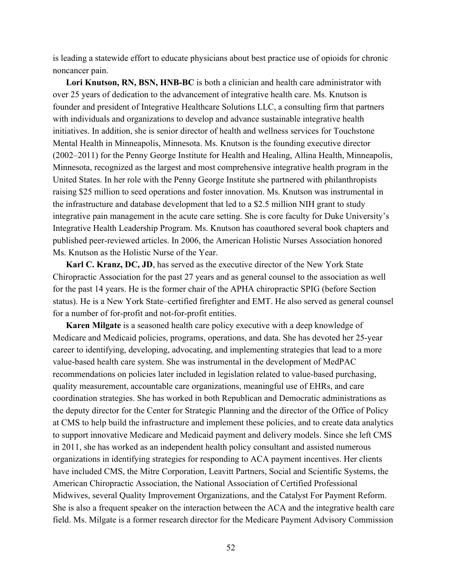is leading a statewide effort to educate physicians about best practice use of opioids for chronic noncancer pain.

**Lori Knutson, RN, BSN, HNB-BC** is both a clinician and health care administrator with over 25 years of dedication to the advancement of integrative health care. Ms. Knutson is founder and president of Integrative Healthcare Solutions LLC, a consulting firm that partners with individuals and organizations to develop and advance sustainable integrative health initiatives. In addition, she is senior director of health and wellness services for Touchstone Mental Health in Minneapolis, Minnesota. Ms. Knutson is the founding executive director (2002–2011) for the Penny George Institute for Health and Healing, Allina Health, Minneapolis, Minnesota, recognized as the largest and most comprehensive integrative health program in the United States. In her role with the Penny George Institute she partnered with philanthropists raising \$25 million to seed operations and foster innovation. Ms. Knutson was instrumental in the infrastructure and database development that led to a \$2.5 million NIH grant to study integrative pain management in the acute care setting. She is core faculty for Duke University's Integrative Health Leadership Program. Ms. Knutson has coauthored several book chapters and published peer-reviewed articles. In 2006, the American Holistic Nurses Association honored Ms. Knutson as the Holistic Nurse of the Year.

**Karl C. Kranz, DC, JD**, has served as the executive director of the New York State Chiropractic Association for the past 27 years and as general counsel to the association as well for the past 14 years. He is the former chair of the APHA chiropractic SPIG (before Section status). He is a New York State–certified firefighter and EMT. He also served as general counsel for a number of for-profit and not-for-profit entities.

**Karen Milgate** is a seasoned health care policy executive with a deep knowledge of Medicare and Medicaid policies, programs, operations, and data. She has devoted her 25-year career to identifying, developing, advocating, and implementing strategies that lead to a more value-based health care system. She was instrumental in the development of MedPAC recommendations on policies later included in legislation related to value-based purchasing, quality measurement, accountable care organizations, meaningful use of EHRs, and care coordination strategies. She has worked in both Republican and Democratic administrations as the deputy director for the Center for Strategic Planning and the director of the Office of Policy at CMS to help build the infrastructure and implement these policies, and to create data analytics to support innovative Medicare and Medicaid payment and delivery models. Since she left CMS in 2011, she has worked as an independent health policy consultant and assisted numerous organizations in identifying strategies for responding to ACA payment incentives. Her clients have included CMS, the Mitre Corporation, Leavitt Partners, Social and Scientific Systems, the American Chiropractic Association, the National Association of Certified Professional Midwives, several Quality Improvement Organizations, and the Catalyst For Payment Reform. She is also a frequent speaker on the interaction between the ACA and the integrative health care field. Ms. Milgate is a former research director for the Medicare Payment Advisory Commission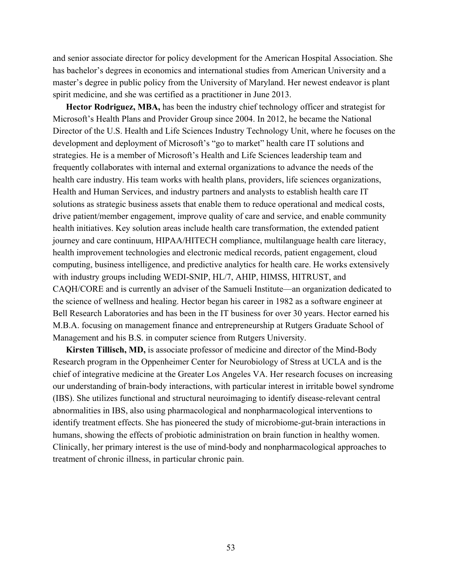and senior associate director for policy development for the American Hospital Association. She has bachelor's degrees in economics and international studies from American University and a master's degree in public policy from the University of Maryland. Her newest endeavor is plant spirit medicine, and she was certified as a practitioner in June 2013.

**Hector Rodriguez, MBA,** has been the industry chief technology officer and strategist for Microsoft's Health Plans and Provider Group since 2004. In 2012, he became the National Director of the U.S. Health and Life Sciences Industry Technology Unit, where he focuses on the development and deployment of Microsoft's "go to market" health care IT solutions and strategies. He is a member of Microsoft's Health and Life Sciences leadership team and frequently collaborates with internal and external organizations to advance the needs of the health care industry. His team works with health plans, providers, life sciences organizations, Health and Human Services, and industry partners and analysts to establish health care IT solutions as strategic business assets that enable them to reduce operational and medical costs, drive patient/member engagement, improve quality of care and service, and enable community health initiatives. Key solution areas include health care transformation, the extended patient journey and care continuum, HIPAA/HITECH compliance, multilanguage health care literacy, health improvement technologies and electronic medical records, patient engagement, cloud computing, business intelligence, and predictive analytics for health care. He works extensively with industry groups including WEDI-SNIP, HL/7, AHIP, HIMSS, HITRUST, and CAQH/CORE and is currently an adviser of the Samueli Institute—an organization dedicated to the science of wellness and healing. Hector began his career in 1982 as a software engineer at Bell Research Laboratories and has been in the IT business for over 30 years. Hector earned his M.B.A. focusing on management finance and entrepreneurship at Rutgers Graduate School of Management and his B.S. in computer science from Rutgers University.

**Kirsten Tillisch, MD,** is associate professor of medicine and director of the Mind-Body Research program in the Oppenheimer Center for Neurobiology of Stress at UCLA and is the chief of integrative medicine at the Greater Los Angeles VA. Her research focuses on increasing our understanding of brain-body interactions, with particular interest in irritable bowel syndrome (IBS). She utilizes functional and structural neuroimaging to identify disease-relevant central abnormalities in IBS, also using pharmacological and nonpharmacological interventions to identify treatment effects. She has pioneered the study of microbiome-gut-brain interactions in humans, showing the effects of probiotic administration on brain function in healthy women. Clinically, her primary interest is the use of mind-body and nonpharmacological approaches to treatment of chronic illness, in particular chronic pain.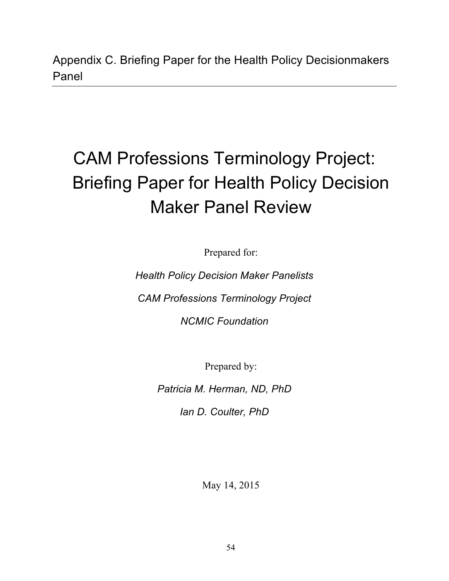Appendix C. Briefing Paper for the Health Policy Decisionmakers Panel

# CAM Professions Terminology Project: Briefing Paper for Health Policy Decision Maker Panel Review

Prepared for:

*Health Policy Decision Maker Panelists*

*CAM Professions Terminology Project*

*NCMIC Foundation*

Prepared by:

*Patricia M. Herman, ND, PhD*

*Ian D. Coulter, PhD*

May 14, 2015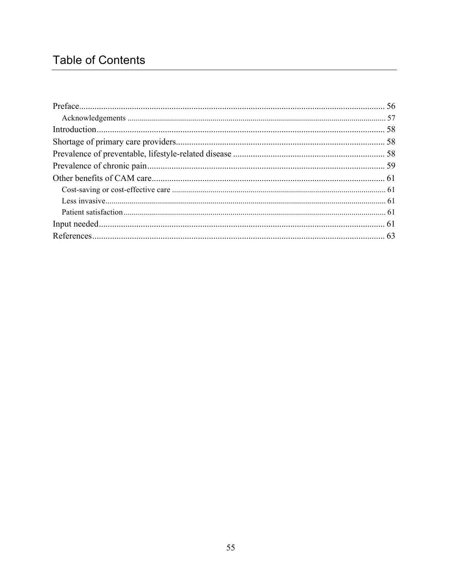# **Table of Contents**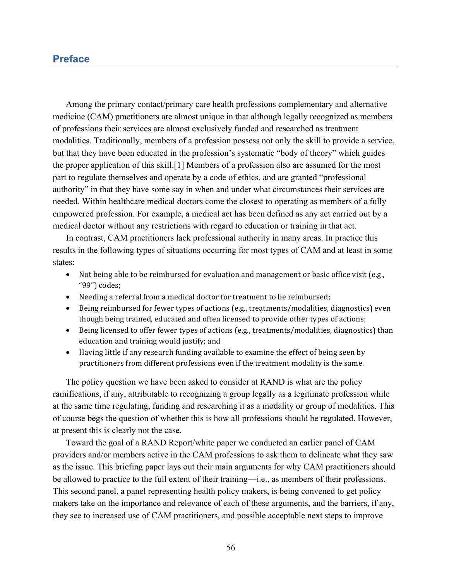# **Preface**

Among the primary contact/primary care health professions complementary and alternative medicine (CAM) practitioners are almost unique in that although legally recognized as members of professions their services are almost exclusively funded and researched as treatment modalities. Traditionally, members of a profession possess not only the skill to provide a service, but that they have been educated in the profession's systematic "body of theory" which guides the proper application of this skill.[1] Members of a profession also are assumed for the most part to regulate themselves and operate by a code of ethics, and are granted "professional authority" in that they have some say in when and under what circumstances their services are needed. Within healthcare medical doctors come the closest to operating as members of a fully empowered profession. For example, a medical act has been defined as any act carried out by a medical doctor without any restrictions with regard to education or training in that act.

In contrast, CAM practitioners lack professional authority in many areas. In practice this results in the following types of situations occurring for most types of CAM and at least in some states:

- Not being able to be reimbursed for evaluation and management or basic office visit (e.g., "99") codes;
- Needing a referral from a medical doctor for treatment to be reimbursed;
- Being reimbursed for fewer types of actions (e.g., treatments/modalities, diagnostics) even though being trained, educated and often licensed to provide other types of actions;
- Being licensed to offer fewer types of actions (e.g., treatments/modalities, diagnostics) than education and training would justify; and
- Having little if any research funding available to examine the effect of being seen by practitioners from different professions even if the treatment modality is the same.

The policy question we have been asked to consider at RAND is what are the policy ramifications, if any, attributable to recognizing a group legally as a legitimate profession while at the same time regulating, funding and researching it as a modality or group of modalities. This of course begs the question of whether this is how all professions should be regulated. However, at present this is clearly not the case.

Toward the goal of a RAND Report/white paper we conducted an earlier panel of CAM providers and/or members active in the CAM professions to ask them to delineate what they saw as the issue. This briefing paper lays out their main arguments for why CAM practitioners should be allowed to practice to the full extent of their training—i.e., as members of their professions. This second panel, a panel representing health policy makers, is being convened to get policy makers take on the importance and relevance of each of these arguments, and the barriers, if any, they see to increased use of CAM practitioners, and possible acceptable next steps to improve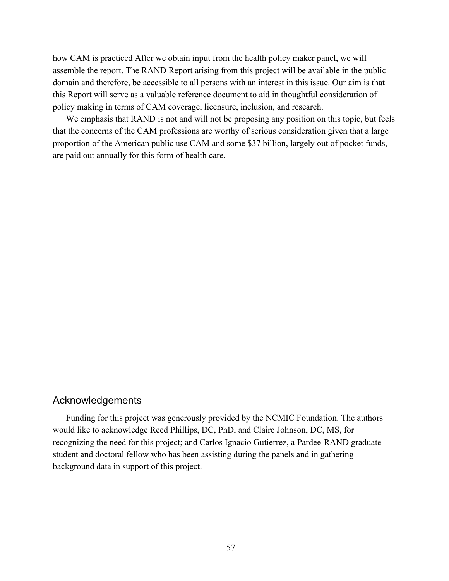how CAM is practiced After we obtain input from the health policy maker panel, we will assemble the report. The RAND Report arising from this project will be available in the public domain and therefore, be accessible to all persons with an interest in this issue. Our aim is that this Report will serve as a valuable reference document to aid in thoughtful consideration of policy making in terms of CAM coverage, licensure, inclusion, and research.

We emphasis that RAND is not and will not be proposing any position on this topic, but feels that the concerns of the CAM professions are worthy of serious consideration given that a large proportion of the American public use CAM and some \$37 billion, largely out of pocket funds, are paid out annually for this form of health care.

# Acknowledgements

Funding for this project was generously provided by the NCMIC Foundation. The authors would like to acknowledge Reed Phillips, DC, PhD, and Claire Johnson, DC, MS, for recognizing the need for this project; and Carlos Ignacio Gutierrez, a Pardee-RAND graduate student and doctoral fellow who has been assisting during the panels and in gathering background data in support of this project.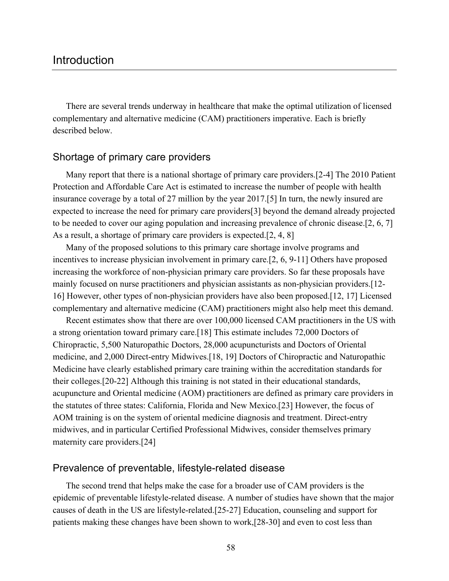There are several trends underway in healthcare that make the optimal utilization of licensed complementary and alternative medicine (CAM) practitioners imperative. Each is briefly described below.

### Shortage of primary care providers

Many report that there is a national shortage of primary care providers.[2-4] The 2010 Patient Protection and Affordable Care Act is estimated to increase the number of people with health insurance coverage by a total of 27 million by the year 2017.[5] In turn, the newly insured are expected to increase the need for primary care providers[3] beyond the demand already projected to be needed to cover our aging population and increasing prevalence of chronic disease.[2, 6, 7] As a result, a shortage of primary care providers is expected.[2, 4, 8]

Many of the proposed solutions to this primary care shortage involve programs and incentives to increase physician involvement in primary care.[2, 6, 9-11] Others have proposed increasing the workforce of non-physician primary care providers. So far these proposals have mainly focused on nurse practitioners and physician assistants as non-physician providers.[12- 16] However, other types of non-physician providers have also been proposed.[12, 17] Licensed complementary and alternative medicine (CAM) practitioners might also help meet this demand.

Recent estimates show that there are over 100,000 licensed CAM practitioners in the US with a strong orientation toward primary care.[18] This estimate includes 72,000 Doctors of Chiropractic, 5,500 Naturopathic Doctors, 28,000 acupuncturists and Doctors of Oriental medicine, and 2,000 Direct-entry Midwives.[18, 19] Doctors of Chiropractic and Naturopathic Medicine have clearly established primary care training within the accreditation standards for their colleges.[20-22] Although this training is not stated in their educational standards, acupuncture and Oriental medicine (AOM) practitioners are defined as primary care providers in the statutes of three states: California, Florida and New Mexico.[23] However, the focus of AOM training is on the system of oriental medicine diagnosis and treatment. Direct-entry midwives, and in particular Certified Professional Midwives, consider themselves primary maternity care providers.[24]

### Prevalence of preventable, lifestyle-related disease

The second trend that helps make the case for a broader use of CAM providers is the epidemic of preventable lifestyle-related disease. A number of studies have shown that the major causes of death in the US are lifestyle-related.[25-27] Education, counseling and support for patients making these changes have been shown to work,[28-30] and even to cost less than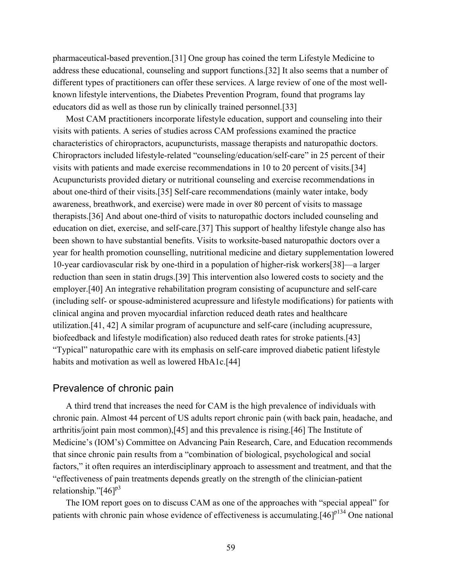pharmaceutical-based prevention.[31] One group has coined the term Lifestyle Medicine to address these educational, counseling and support functions.[32] It also seems that a number of different types of practitioners can offer these services. A large review of one of the most wellknown lifestyle interventions, the Diabetes Prevention Program, found that programs lay educators did as well as those run by clinically trained personnel.[33]

Most CAM practitioners incorporate lifestyle education, support and counseling into their visits with patients. A series of studies across CAM professions examined the practice characteristics of chiropractors, acupuncturists, massage therapists and naturopathic doctors. Chiropractors included lifestyle-related "counseling/education/self-care" in 25 percent of their visits with patients and made exercise recommendations in 10 to 20 percent of visits.[34] Acupuncturists provided dietary or nutritional counseling and exercise recommendations in about one-third of their visits.[35] Self-care recommendations (mainly water intake, body awareness, breathwork, and exercise) were made in over 80 percent of visits to massage therapists.[36] And about one-third of visits to naturopathic doctors included counseling and education on diet, exercise, and self-care.[37] This support of healthy lifestyle change also has been shown to have substantial benefits. Visits to worksite-based naturopathic doctors over a year for health promotion counselling, nutritional medicine and dietary supplementation lowered 10-year cardiovascular risk by one-third in a population of higher-risk workers[38]—a larger reduction than seen in statin drugs.[39] This intervention also lowered costs to society and the employer.[40] An integrative rehabilitation program consisting of acupuncture and self-care (including self- or spouse-administered acupressure and lifestyle modifications) for patients with clinical angina and proven myocardial infarction reduced death rates and healthcare utilization.[41, 42] A similar program of acupuncture and self-care (including acupressure, biofeedback and lifestyle modification) also reduced death rates for stroke patients.[43] "Typical" naturopathic care with its emphasis on self-care improved diabetic patient lifestyle habits and motivation as well as lowered HbA1c.[44]

### Prevalence of chronic pain

A third trend that increases the need for CAM is the high prevalence of individuals with chronic pain. Almost 44 percent of US adults report chronic pain (with back pain, headache, and arthritis/joint pain most common),[45] and this prevalence is rising.[46] The Institute of Medicine's (IOM's) Committee on Advancing Pain Research, Care, and Education recommends that since chronic pain results from a "combination of biological, psychological and social factors," it often requires an interdisciplinary approach to assessment and treatment, and that the "effectiveness of pain treatments depends greatly on the strength of the clinician-patient relationship." $[46]^{p3}$ 

The IOM report goes on to discuss CAM as one of the approaches with "special appeal" for patients with chronic pain whose evidence of effectiveness is accumulating. $[46]^{p134}$  One national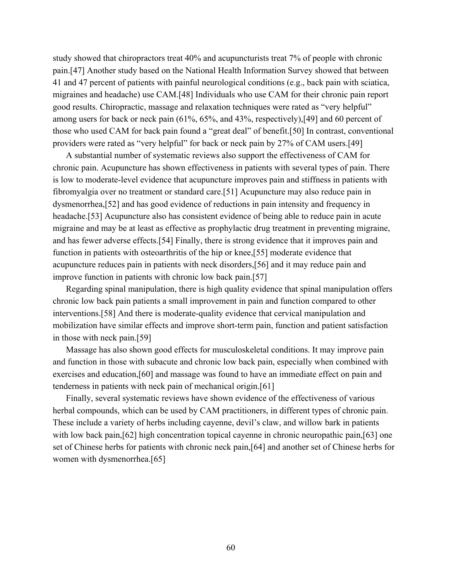study showed that chiropractors treat 40% and acupuncturists treat 7% of people with chronic pain.[47] Another study based on the National Health Information Survey showed that between 41 and 47 percent of patients with painful neurological conditions (e.g., back pain with sciatica, migraines and headache) use CAM.[48] Individuals who use CAM for their chronic pain report good results. Chiropractic, massage and relaxation techniques were rated as "very helpful" among users for back or neck pain (61%, 65%, and 43%, respectively),[49] and 60 percent of those who used CAM for back pain found a "great deal" of benefit.[50] In contrast, conventional providers were rated as "very helpful" for back or neck pain by 27% of CAM users.[49]

A substantial number of systematic reviews also support the effectiveness of CAM for chronic pain. Acupuncture has shown effectiveness in patients with several types of pain. There is low to moderate-level evidence that acupuncture improves pain and stiffness in patients with fibromyalgia over no treatment or standard care.[51] Acupuncture may also reduce pain in dysmenorrhea,[52] and has good evidence of reductions in pain intensity and frequency in headache.[53] Acupuncture also has consistent evidence of being able to reduce pain in acute migraine and may be at least as effective as prophylactic drug treatment in preventing migraine, and has fewer adverse effects.[54] Finally, there is strong evidence that it improves pain and function in patients with osteoarthritis of the hip or knee,[55] moderate evidence that acupuncture reduces pain in patients with neck disorders,[56] and it may reduce pain and improve function in patients with chronic low back pain.[57]

Regarding spinal manipulation, there is high quality evidence that spinal manipulation offers chronic low back pain patients a small improvement in pain and function compared to other interventions.[58] And there is moderate-quality evidence that cervical manipulation and mobilization have similar effects and improve short-term pain, function and patient satisfaction in those with neck pain.[59]

Massage has also shown good effects for musculoskeletal conditions. It may improve pain and function in those with subacute and chronic low back pain, especially when combined with exercises and education,[60] and massage was found to have an immediate effect on pain and tenderness in patients with neck pain of mechanical origin.[61]

Finally, several systematic reviews have shown evidence of the effectiveness of various herbal compounds, which can be used by CAM practitioners, in different types of chronic pain. These include a variety of herbs including cayenne, devil's claw, and willow bark in patients with low back pain, [62] high concentration topical cayenne in chronic neuropathic pain, [63] one set of Chinese herbs for patients with chronic neck pain,[64] and another set of Chinese herbs for women with dysmenorrhea.<sup>[65]</sup>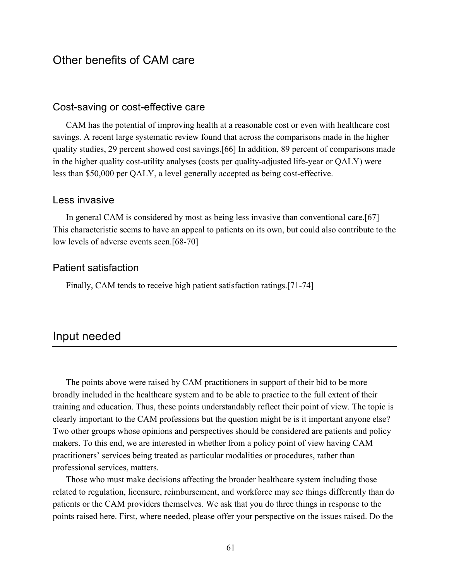## Cost-saving or cost-effective care

CAM has the potential of improving health at a reasonable cost or even with healthcare cost savings. A recent large systematic review found that across the comparisons made in the higher quality studies, 29 percent showed cost savings.[66] In addition, 89 percent of comparisons made in the higher quality cost-utility analyses (costs per quality-adjusted life-year or QALY) were less than \$50,000 per QALY, a level generally accepted as being cost-effective.

### Less invasive

In general CAM is considered by most as being less invasive than conventional care.[67] This characteristic seems to have an appeal to patients on its own, but could also contribute to the low levels of adverse events seen.[68-70]

### Patient satisfaction

Finally, CAM tends to receive high patient satisfaction ratings.[71-74]

# Input needed

The points above were raised by CAM practitioners in support of their bid to be more broadly included in the healthcare system and to be able to practice to the full extent of their training and education. Thus, these points understandably reflect their point of view. The topic is clearly important to the CAM professions but the question might be is it important anyone else? Two other groups whose opinions and perspectives should be considered are patients and policy makers. To this end, we are interested in whether from a policy point of view having CAM practitioners' services being treated as particular modalities or procedures, rather than professional services, matters.

Those who must make decisions affecting the broader healthcare system including those related to regulation, licensure, reimbursement, and workforce may see things differently than do patients or the CAM providers themselves. We ask that you do three things in response to the points raised here. First, where needed, please offer your perspective on the issues raised. Do the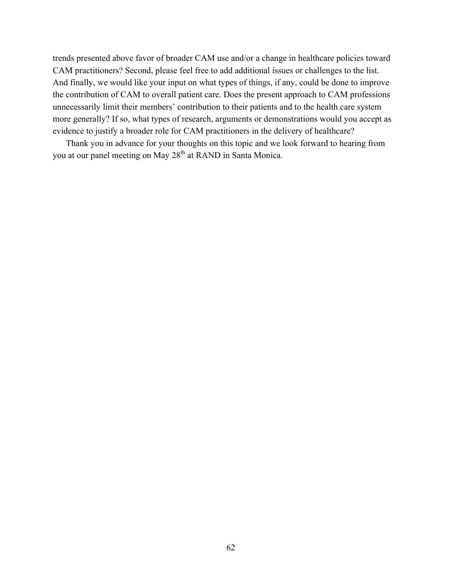trends presented above favor of broader CAM use and/or a change in healthcare policies toward CAM practitioners? Second, please feel free to add additional issues or challenges to the list. And finally, we would like your input on what types of things, if any, could be done to improve the contribution of CAM to overall patient care. Does the present approach to CAM professions unnecessarily limit their members' contribution to their patients and to the health care system more generally? If so, what types of research, arguments or demonstrations would you accept as evidence to justify a broader role for CAM practitioners in the delivery of healthcare?

Thank you in advance for your thoughts on this topic and we look forward to hearing from you at our panel meeting on May 28<sup>th</sup> at RAND in Santa Monica.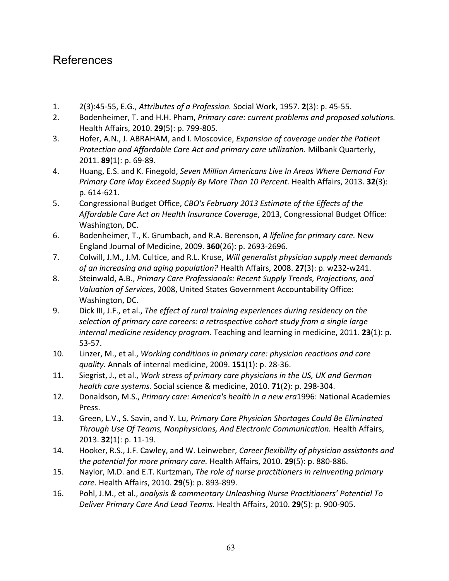- 1. 2(3):45-55, E.G., *Attributes of a Profession*. Social Work, 1957. **2**(3): p. 45-55.
- 2. Bodenheimer, T. and H.H. Pham, *Primary care: current problems and proposed solutions.* Health Affairs, 2010. **29**(5): p. 799-805.
- 3. Hofer, A.N., J. ABRAHAM, and I. Moscovice, *Expansion of coverage under the Patient* Protection and Affordable Care Act and primary care utilization. Milbank Quarterly, 2011. **89**(1): p. 69-89.
- 4. Huang, E.S. and K. Finegold, *Seven Million Americans Live In Areas Where Demand For Primary Care May Exceed Supply By More Than 10 Percent.* Health Affairs, 2013. **32**(3): p. 614-621.
- 5. Congressional Budget Office, *CBO's February 2013 Estimate of the Effects of the* Affordable Care Act on Health Insurance Coverage, 2013, Congressional Budget Office: Washington, DC.
- 6. Bodenheimer, T., K. Grumbach, and R.A. Berenson, A lifeline for primary care. New England Journal of Medicine, 2009. **360**(26): p. 2693-2696.
- 7. Colwill, J.M., J.M. Cultice, and R.L. Kruse, *Will generalist physician supply meet demands* of an increasing and aging population? Health Affairs, 2008. 27(3): p. w232-w241.
- 8. Steinwald, A.B., *Primary Care Professionals: Recent Supply Trends, Projections, and* Valuation of Services, 2008, United States Government Accountability Office: Washington, DC.
- 9. Dick III, J.F., et al., *The effect of rural training experiences during residency on the* selection of primary care careers: a retrospective cohort study from a single large *internal medicine residency program.* Teaching and learning in medicine, 2011. 23(1): p. 53-57.
- 10. Linzer, M., et al., *Working conditions in primary care: physician reactions and care quality*. Annals of internal medicine, 2009. **151**(1): p. 28-36.
- 11. Siegrist, J., et al., *Work stress of primary care physicians in the US, UK and German health care systems.* Social science & medicine, 2010. **71**(2): p. 298-304.
- 12. Donaldson, M.S., *Primary care: America's health in a new era*1996: National Academies Press.
- 13. Green, L.V., S. Savin, and Y. Lu, *Primary Care Physician Shortages Could Be Eliminated Through Use Of Teams, Nonphysicians, And Electronic Communication.* Health Affairs, 2013. **32**(1): p. 11-19.
- 14. Hooker, R.S., J.F. Cawley, and W. Leinweber, *Career flexibility of physician assistants and the potential for more primary care.* Health Affairs, 2010. **29**(5): p. 880-886.
- 15. Naylor, M.D. and E.T. Kurtzman, *The role of nurse practitioners in reinventing primary care.* Health Affairs, 2010. **29**(5): p. 893-899.
- 16. Pohl, J.M., et al., *analysis & commentary Unleashing Nurse Practitioners' Potential To Deliver Primary Care And Lead Teams.* Health Affairs, 2010. **29**(5): p. 900-905.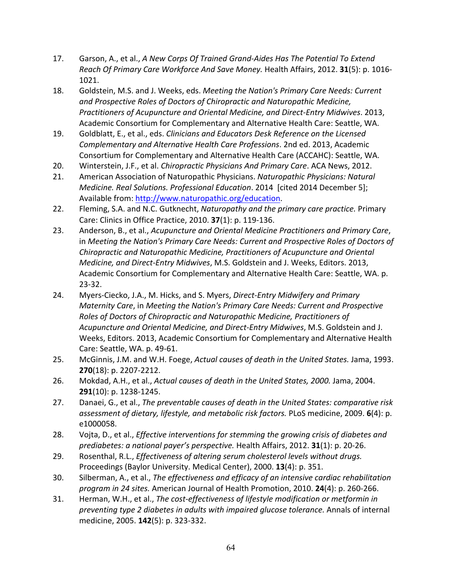- 17. Garson, A., et al., *A New Corps Of Trained Grand-Aides Has The Potential To Extend Reach Of Primary Care Workforce And Save Money.* Health Affairs, 2012. 31(5): p. 1016-1021.
- 18. Goldstein, M.S. and J. Weeks, eds. *Meeting the Nation's Primary Care Needs: Current* and Prospective Roles of Doctors of Chiropractic and Naturopathic Medicine, *Practitioners of Acupuncture and Oriental Medicine, and Direct-Entry Midwives*. 2013, Academic Consortium for Complementary and Alternative Health Care: Seattle, WA.
- 19. Goldblatt, E., et al., eds. *Clinicians and Educators Desk Reference on the Licensed Complementary and Alternative Health Care Professions*. 2nd ed. 2013, Academic Consortium for Complementary and Alternative Health Care (ACCAHC): Seattle, WA.
- 20. Winterstein, J.F., et al. *Chiropractic Physicians And Primary Care*. ACA News, 2012.
- 21. American Association of Naturopathic Physicians. Naturopathic Physicians: Natural *Medicine. Real Solutions. Professional Education.* 2014 [cited 2014 December 5]; Available from: [http://www.naturopathic.org/education.](http://www.naturopathic.org/education)
- 22. Fleming, S.A. and N.C. Gutknecht, *Naturopathy and the primary care practice*. Primary Care: Clinics in Office Practice, 2010. **37**(1): p. 119-136.
- 23. Anderson, B., et al., *Acupuncture and Oriental Medicine Practitioners and Primary Care*, in *Meeting the Nation's Primary Care Needs: Current and Prospective Roles of Doctors of Chiropractic and Naturopathic Medicine, Practitioners of Acupuncture and Oriental Medicine, and Direct-Entry Midwives, M.S. Goldstein and J. Weeks, Editors. 2013,* Academic Consortium for Complementary and Alternative Health Care: Seattle, WA. p. 23-32.
- 24. Myers-Ciecko, J.A., M. Hicks, and S. Myers, *Direct-Entry Midwifery and Primary Maternity Care, in Meeting the Nation's Primary Care Needs: Current and Prospective* Roles of Doctors of Chiropractic and Naturopathic Medicine, Practitioners of Acupuncture and Oriental Medicine, and Direct-Entry Midwives, M.S. Goldstein and J. Weeks, Editors. 2013, Academic Consortium for Complementary and Alternative Health Care: Seattle, WA. p. 49-61.
- 25. McGinnis, J.M. and W.H. Foege, *Actual causes of death in the United States.* Jama, 1993. **270**(18): p. 2207-2212.
- 26. Mokdad, A.H., et al., *Actual causes of death in the United States, 2000. Jama, 2004.* **291**(10): p. 1238-1245.
- 27. Danaei, G., et al., *The preventable causes of death in the United States: comparative risk* assessment of dietary, lifestyle, and metabolic risk factors. PLoS medicine, 2009. 6(4): p. e1000058.
- 28. Vojta, D., et al., *Effective interventions for stemming the growing crisis of diabetes and* prediabetes: a national payer's perspective. Health Affairs, 2012. **31**(1): p. 20-26.
- 29. Rosenthal, R.L., *Effectiveness of altering serum cholesterol levels without drugs.* Proceedings (Baylor University. Medical Center), 2000. 13(4): p. 351.
- 30. Silberman, A., et al., *The effectiveness and efficacy of an intensive cardiac rehabilitation program in 24 sites.* American Journal of Health Promotion, 2010. **24**(4): p. 260-266.
- 31. Herman, W.H., et al., *The cost-effectiveness of lifestyle modification or metformin in* preventing type 2 diabetes in adults with impaired glucose tolerance. Annals of internal medicine, 2005. **142**(5): p. 323-332.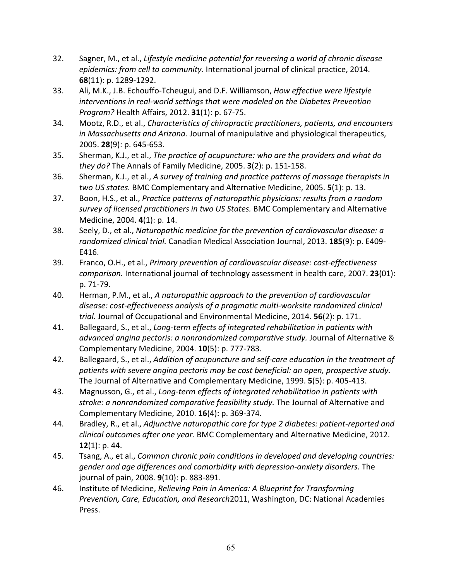- 32. Sagner, M., et al., Lifestyle medicine potential for reversing a world of chronic disease epidemics: from cell to community. International journal of clinical practice, 2014. **68**(11): p. 1289-1292.
- 33. Ali, M.K., J.B. Echouffo-Tcheugui, and D.F. Williamson, *How effective were lifestyle* interventions in real-world settings that were modeled on the Diabetes Prevention *Program?* Health Affairs, 2012. **31**(1): p. 67-75.
- 34. Mootz, R.D., et al., *Characteristics of chiropractic practitioners, patients, and encounters* in Massachusetts and Arizona. Journal of manipulative and physiological therapeutics, 2005. **28**(9): p. 645-653.
- 35. Sherman, K.J., et al., *The practice of acupuncture:* who are the providers and what do *they do?* The Annals of Family Medicine, 2005. **3**(2): p. 151-158.
- 36. Sherman, K.J., et al., A survey of training and practice patterns of massage therapists in *two US states.* BMC Complementary and Alternative Medicine, 2005. **5**(1): p. 13.
- 37. Boon, H.S., et al., *Practice patterns of naturopathic physicians: results from a random* survey of licensed practitioners in two US States. BMC Complementary and Alternative Medicine, 2004. **4**(1): p. 14.
- 38. Seely, D., et al., *Naturopathic medicine for the prevention of cardiovascular disease: a randomized clinical trial.* Canadian Medical Association Journal, 2013. 185(9): p. E409-E416.
- 39. Franco, O.H., et al., *Primary prevention of cardiovascular disease: cost-effectiveness comparison.* International journal of technology assessment in health care, 2007. 23(01): p. 71-79.
- 40. Herman, P.M., et al., A naturopathic approach to the prevention of cardiovascular disease: cost-effectiveness analysis of a pragmatic multi-worksite randomized clinical *trial.* Journal of Occupational and Environmental Medicine, 2014. **56**(2): p. 171.
- 41. Ballegaard, S., et al., *Long-term effects of integrated rehabilitation in patients with* dadvanced angina pectoris: a nonrandomized comparative study. Journal of Alternative & Complementary Medicine, 2004. **10**(5): p. 777-783.
- 42. Ballegaard, S., et al., *Addition of acupuncture and self-care education in the treatment of* patients with severe angina pectoris may be cost beneficial: an open, prospective study. The Journal of Alternative and Complementary Medicine, 1999. **5**(5): p. 405-413.
- 43. Magnusson, G., et al., *Long-term effects of integrated rehabilitation in patients with* stroke: a nonrandomized comparative feasibility study. The Journal of Alternative and Complementary Medicine, 2010. **16**(4): p. 369-374.
- 44. Bradley, R., et al., *Adjunctive naturopathic care for type 2 diabetes: patient-reported and clinical outcomes after one year.* BMC Complementary and Alternative Medicine, 2012. **12**(1):  $p. 44$ .
- 45. Tsang, A., et al., *Common chronic pain conditions in developed and developing countries: gender and age differences and comorbidity with depression-anxiety disorders.* The journal of pain, 2008. **9**(10): p. 883-891.
- 46. Institute of Medicine, *Relieving Pain in America: A Blueprint for Transforming Prevention, Care, Education, and Research2011, Washington, DC: National Academies* Press.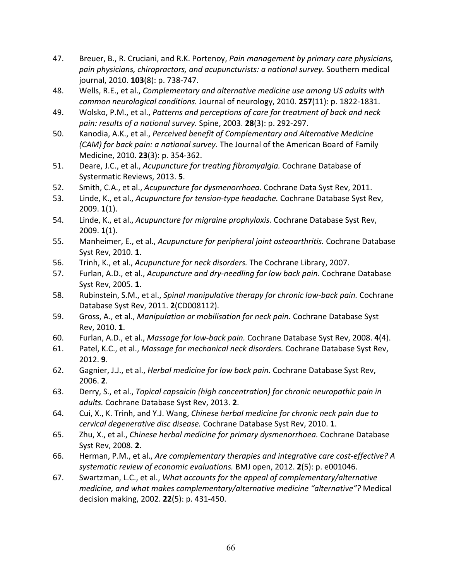- 47. Breuer, B., R. Cruciani, and R.K. Portenoy, *Pain management by primary care physicians*, pain physicians, chiropractors, and acupuncturists: a national survey. Southern medical journal, 2010. **103**(8): p. 738-747.
- 48. Wells, R.E., et al., *Complementary and alternative medicine use among US adults with common neurological conditions.* Journal of neurology, 2010. **257**(11): p. 1822-1831.
- 49. Wolsko, P.M., et al., Patterns and perceptions of care for treatment of back and neck *pain: results of a national survey.* Spine, 2003. **28**(3): p. 292-297.
- 50. Kanodia, A.K., et al., *Perceived benefit of Complementary and Alternative Medicine (CAM)* for back pain: a national survey. The Journal of the American Board of Family Medicine, 2010. **23**(3): p. 354-362.
- 51. Deare, J.C., et al., *Acupuncture for treating fibromyalgia*. Cochrane Database of Systermatic Reviews, 2013. 5.
- 52. Smith, C.A., et al., *Acupuncture for dysmenorrhoea*. Cochrane Data Syst Rev, 2011.
- 53. Linde, K., et al., *Acupuncture for tension-type headache*. Cochrane Database Syst Rev, 2009. **1**(1).
- 54. Linde, K., et al., *Acupuncture for migraine prophylaxis*. Cochrane Database Syst Rev, 2009. **1**(1).
- 55. Manheimer, E., et al., *Acupuncture for peripheral joint osteoarthritis.* Cochrane Database Syst Rev, 2010. **1**.
- 56. Trinh, K., et al., *Acupuncture for neck disorders*. The Cochrane Library, 2007.
- 57. Furlan, A.D., et al., *Acupuncture and dry-needling for low back pain.* Cochrane Database Syst Rev, 2005. **1**.
- 58. Rubinstein, S.M., et al., *Spinal manipulative therapy for chronic low-back pain.* Cochrane Database Syst Rev, 2011. **2**(CD008112).
- 59. Gross, A., et al., *Manipulation or mobilisation for neck pain*. Cochrane Database Syst Rev, 2010. **1**.
- 60. Furlan, A.D., et al., *Massage for low-back pain.* Cochrane Database Syst Rev, 2008. 4(4).
- 61. Patel, K.C., et al., *Massage for mechanical neck disorders*. Cochrane Database Syst Rev, 2012. **9**.
- 62. Gagnier, J.J., et al., *Herbal medicine for low back pain.* Cochrane Database Syst Rev, 2006. **2**.
- 63. Derry, S., et al., *Topical capsaicin (high concentration)* for chronic neuropathic pain in *adults.* Cochrane Database Syst Rev, 2013. **2**.
- 64. Cui, X., K. Trinh, and Y.J. Wang, *Chinese herbal medicine for chronic neck pain due to cervical degenerative disc disease.* Cochrane Database Syst Rev, 2010. **1**.
- 65. Zhu, X., et al., *Chinese herbal medicine for primary dysmenorrhoea*. Cochrane Database Syst Rev, 2008. **2**.
- 66. Herman, P.M., et al., *Are complementary therapies and integrative care cost-effective?* A systematic review of economic evaluations. BMJ open, 2012. 2(5): p. e001046.
- 67. Swartzman, L.C., et al., *What accounts for the appeal of complementary/alternative medicine, and what makes complementary/alternative medicine "alternative"?* Medical decision making, 2002. **22**(5): p. 431-450.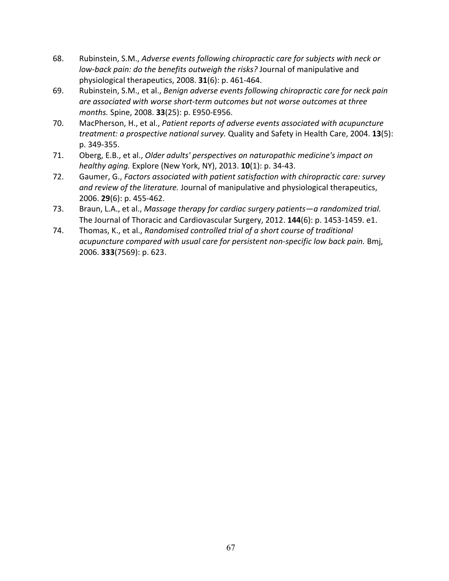- 68. Rubinstein, S.M., *Adverse events following chiropractic care for subjects with neck or low-back pain: do the benefits outweigh the risks?* Journal of manipulative and physiological therapeutics, 2008. **31**(6): p. 461-464.
- 69. Rubinstein, S.M., et al., *Benign adverse events following chiropractic care for neck pain* are associated with worse short-term outcomes but not worse outcomes at three *months.* Spine, 2008. **33**(25): p. E950-E956.
- 70. MacPherson, H., et al., *Patient reports of adverse events associated with acupuncture treatment: a prospective national survey.* Quality and Safety in Health Care, 2004. 13(5): p. 349-355.
- 71. Oberg, E.B., et al., *Older adults' perspectives on naturopathic medicine's impact on healthy aging.* Explore (New York, NY), 2013. **10**(1): p. 34-43.
- 72. Gaumer, G., *Factors associated with patient satisfaction with chiropractic care: survey* and review of the literature. Journal of manipulative and physiological therapeutics, 2006. **29**(6): p. 455-462.
- 73. Braun, L.A., et al., *Massage therapy for cardiac surgery patients—a randomized trial.* The Journal of Thoracic and Cardiovascular Surgery, 2012. 144(6): p. 1453-1459. e1.
- 74. Thomas, K., et al., *Randomised controlled trial of a short course of traditional acupuncture compared with usual care for persistent non-specific low back pain.* Bmj, 2006. **333**(7569): p. 623.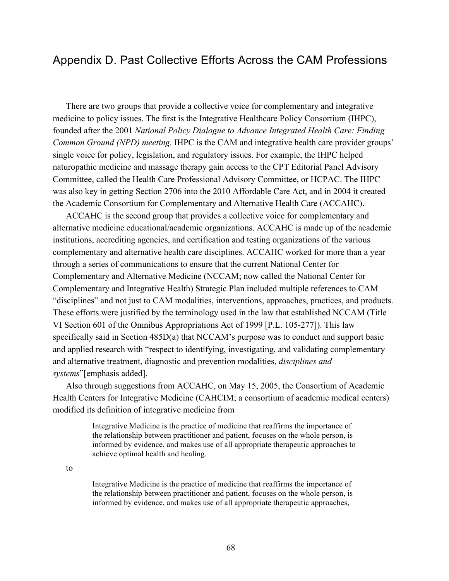There are two groups that provide a collective voice for complementary and integrative medicine to policy issues. The first is the Integrative Healthcare Policy Consortium (IHPC), founded after the 2001 *National Policy Dialogue to Advance Integrated Health Care: Finding Common Ground (NPD) meeting.* IHPC is the CAM and integrative health care provider groups' single voice for policy, legislation, and regulatory issues. For example, the IHPC helped naturopathic medicine and massage therapy gain access to the CPT Editorial Panel Advisory Committee, called the Health Care Professional Advisory Committee, or HCPAC. The IHPC was also key in getting Section 2706 into the 2010 Affordable Care Act, and in 2004 it created the Academic Consortium for Complementary and Alternative Health Care (ACCAHC).

ACCAHC is the second group that provides a collective voice for complementary and alternative medicine educational/academic organizations. ACCAHC is made up of the academic institutions, accrediting agencies, and certification and testing organizations of the various complementary and alternative health care disciplines. ACCAHC worked for more than a year through a series of communications to ensure that the current National Center for Complementary and Alternative Medicine (NCCAM; now called the National Center for Complementary and Integrative Health) Strategic Plan included multiple references to CAM "disciplines" and not just to CAM modalities, interventions, approaches, practices, and products. These efforts were justified by the terminology used in the law that established NCCAM (Title VI Section 601 of the Omnibus Appropriations Act of 1999 [P.L. 105-277]). This law specifically said in Section 485D(a) that NCCAM's purpose was to conduct and support basic and applied research with "respect to identifying, investigating, and validating complementary and alternative treatment, diagnostic and prevention modalities, *disciplines and systems*"[emphasis added].

Also through suggestions from ACCAHC, on May 15, 2005, the Consortium of Academic Health Centers for Integrative Medicine (CAHCIM; a consortium of academic medical centers) modified its definition of integrative medicine from

> Integrative Medicine is the practice of medicine that reaffirms the importance of the relationship between practitioner and patient, focuses on the whole person, is informed by evidence, and makes use of all appropriate therapeutic approaches to achieve optimal health and healing.

to

Integrative Medicine is the practice of medicine that reaffirms the importance of the relationship between practitioner and patient, focuses on the whole person, is informed by evidence, and makes use of all appropriate therapeutic approaches,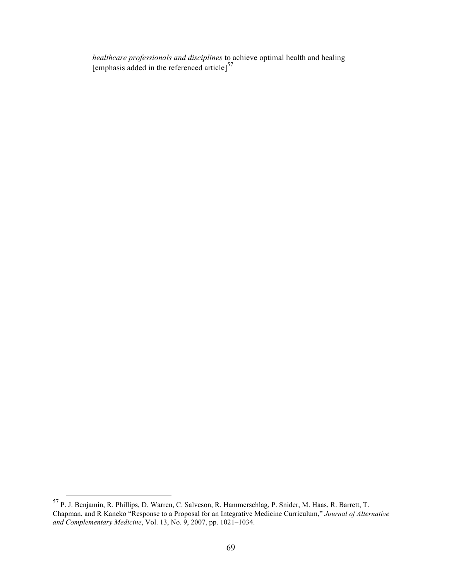*healthcare professionals and disciplines* to achieve optimal health and healing [emphasis added in the referenced article] $57$ 

 <sup>57</sup> P. J. Benjamin, R. Phillips, D. Warren, C. Salveson, R. Hammerschlag, P. Snider, M. Haas, R. Barrett, T. Chapman, and R Kaneko "Response to a Proposal for an Integrative Medicine Curriculum," *Journal of Alternative and Complementary Medicine*, Vol. 13, No. 9, 2007, pp. 1021–1034.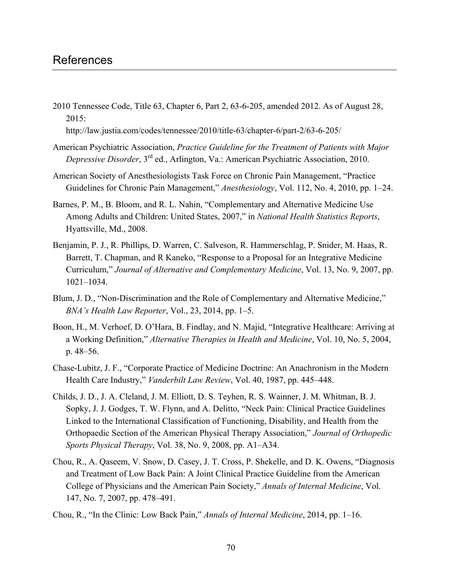2010 Tennessee Code, Title 63, Chapter 6, Part 2, 63-6-205, amended 2012. As of August 28,  $2015$ 

<http://law.justia.com/codes/tennessee/2010/title-63/chapter-6/part-2/63-6-205/>

- American Psychiatric Association, *Practice Guideline for the Treatment of Patients with Major Depressive Disorder*, 3rd ed., Arlington, Va.: American Psychiatric Association, 2010.
- American Society of Anesthesiologists Task Force on Chronic Pain Management, "Practice Guidelines for Chronic Pain Management," *Anesthesiology*, Vol. 112, No. 4, 2010, pp. 1–24.
- Barnes, P. M., B. Bloom, and R. L. Nahin, "Complementary and Alternative Medicine Use Among Adults and Children: United States, 2007," in *National Health Statistics Reports*, Hyattsville, Md., 2008.
- Benjamin, P. J., R. Phillips, D. Warren, C. Salveson, R. Hammerschlag, P. Snider, M. Haas, R. Barrett, T. Chapman, and R Kaneko, "Response to a Proposal for an Integrative Medicine Curriculum," *Journal of Alternative and Complementary Medicine*, Vol. 13, No. 9, 2007, pp. 1021–1034.
- Blum, J. D., "Non-Discrimination and the Role of Complementary and Alternative Medicine," *BNA's Health Law Reporter*, Vol., 23, 2014, pp. 1–5.
- Boon, H., M. Verhoef, D. O'Hara, B. Findlay, and N. Majid, "Integrative Healthcare: Arriving at a Working Definition," *Alternative Therapies in Health and Medicine*, Vol. 10, No. 5, 2004, p. 48–56.
- Chase-Lubitz, J. F., "Corporate Practice of Medicine Doctrine: An Anachronism in the Modern Health Care Industry," *Vanderbilt Law Review*, Vol. 40, 1987, pp. 445–448.
- Childs, J. D., J. A. Cleland, J. M. Elliott, D. S. Teyhen, R. S. Wainner, J. M. Whitman, B. J. Sopky, J. J. Godges, T. W. Flynn, and A. Delitto, "Neck Pain: Clinical Practice Guidelines Linked to the International Classification of Functioning, Disability, and Health from the Orthopaedic Section of the American Physical Therapy Association," *Journal of Orthopedic Sports Physical Therapy*, Vol. 38, No. 9, 2008, pp. A1–A34.
- Chou, R., A. Qaseem, V. Snow, D. Casey, J. T. Cross, P. Shekelle, and D. K. Owens, "Diagnosis and Treatment of Low Back Pain: A Joint Clinical Practice Guideline from the American College of Physicians and the American Pain Society," *Annals of Internal Medicine*, Vol. 147, No. 7, 2007, pp. 478–491.
- Chou, R., "In the Clinic: Low Back Pain," *Annals of Internal Medicine*, 2014, pp. 1–16.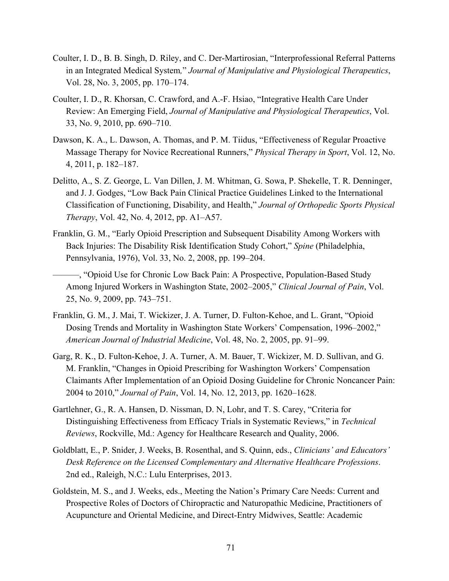- Coulter, I. D., B. B. Singh, D. Riley, and C. Der-Martirosian, "Interprofessional Referral Patterns in an Integrated Medical System*,*" *Journal of Manipulative and Physiological Therapeutics*, Vol. 28, No. 3, 2005, pp. 170–174.
- Coulter, I. D., R. Khorsan, C. Crawford, and A.-F. Hsiao, "Integrative Health Care Under Review: An Emerging Field, *Journal of Manipulative and Physiological Therapeutics*, Vol. 33, No. 9, 2010, pp. 690–710.
- Dawson, K. A., L. Dawson, A. Thomas, and P. M. Tiidus, "Effectiveness of Regular Proactive Massage Therapy for Novice Recreational Runners," *Physical Therapy in Sport*, Vol. 12, No. 4, 2011, p. 182–187.
- Delitto, A., S. Z. George, L. Van Dillen, J. M. Whitman, G. Sowa, P. Shekelle, T. R. Denninger, and J. J. Godges, "Low Back Pain Clinical Practice Guidelines Linked to the International Classification of Functioning, Disability, and Health," *Journal of Orthopedic Sports Physical Therapy*, Vol. 42, No. 4, 2012, pp. A1–A57.
- Franklin, G. M., "Early Opioid Prescription and Subsequent Disability Among Workers with Back Injuries: The Disability Risk Identification Study Cohort," *Spine* (Philadelphia, Pennsylvania, 1976), Vol. 33, No. 2, 2008, pp. 199–204.

———, "Opioid Use for Chronic Low Back Pain: A Prospective, Population-Based Study Among Injured Workers in Washington State, 2002–2005," *Clinical Journal of Pain*, Vol. 25, No. 9, 2009, pp. 743–751.

- Franklin, G. M., J. Mai, T. Wickizer, J. A. Turner, D. Fulton-Kehoe, and L. Grant, "Opioid Dosing Trends and Mortality in Washington State Workers' Compensation, 1996–2002," *American Journal of Industrial Medicine*, Vol. 48, No. 2, 2005, pp. 91–99.
- Garg, R. K., D. Fulton-Kehoe, J. A. Turner, A. M. Bauer, T. Wickizer, M. D. Sullivan, and G. M. Franklin, "Changes in Opioid Prescribing for Washington Workers' Compensation Claimants After Implementation of an Opioid Dosing Guideline for Chronic Noncancer Pain: 2004 to 2010," *Journal of Pain*, Vol. 14, No. 12, 2013, pp. 1620–1628.
- Gartlehner, G., R. A. Hansen, D. Nissman, D. N, Lohr, and T. S. Carey, "Criteria for Distinguishing Effectiveness from Efficacy Trials in Systematic Reviews," in *Technical Reviews*, Rockville, Md.: Agency for Healthcare Research and Quality, 2006.
- Goldblatt, E., P. Snider, J. Weeks, B. Rosenthal, and S. Quinn, eds., *Clinicians' and Educators' Desk Reference on the Licensed Complementary and Alternative Healthcare Professions*. 2nd ed., Raleigh, N.C.: Lulu Enterprises, 2013.
- Goldstein, M. S., and J. Weeks, eds., Meeting the Nation's Primary Care Needs: Current and Prospective Roles of Doctors of Chiropractic and Naturopathic Medicine, Practitioners of Acupuncture and Oriental Medicine, and Direct-Entry Midwives, Seattle: Academic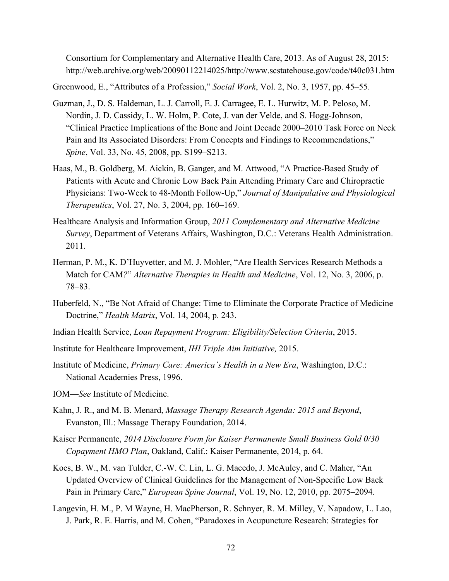Consortium for Complementary and Alternative Health Care, 2013. As of August 28, 2015: <http://web.archive.org/web/20090112214025/http://www.scstatehouse.gov/code/t40c031.htm>

Greenwood, E., "Attributes of a Profession," *Social Work*, Vol. 2, No. 3, 1957, pp. 45–55.

- Guzman, J., D. S. Haldeman, L. J. Carroll, E. J. Carragee, E. L. Hurwitz, M. P. Peloso, M. Nordin, J. D. Cassidy, L. W. Holm, P. Cote, J. van der Velde, and S. Hogg-Johnson, "Clinical Practice Implications of the Bone and Joint Decade 2000–2010 Task Force on Neck Pain and Its Associated Disorders: From Concepts and Findings to Recommendations," *Spine*, Vol. 33, No. 45, 2008, pp. S199–S213.
- Haas, M., B. Goldberg, M. Aickin, B. Ganger, and M. Attwood, "A Practice-Based Study of Patients with Acute and Chronic Low Back Pain Attending Primary Care and Chiropractic Physicians: Two-Week to 48-Month Follow-Up," *Journal of Manipulative and Physiological Therapeutics*, Vol. 27, No. 3, 2004, pp. 160–169.
- Healthcare Analysis and Information Group, *2011 Complementary and Alternative Medicine Survey*, Department of Veterans Affairs, Washington, D.C.: Veterans Health Administration. 2011.
- Herman, P. M., K. D'Huyvetter, and M. J. Mohler, "Are Health Services Research Methods a Match for CAM*?*" *Alternative Therapies in Health and Medicine*, Vol. 12, No. 3, 2006, p. 78–83.
- Huberfeld, N., "Be Not Afraid of Change: Time to Eliminate the Corporate Practice of Medicine Doctrine," *Health Matrix*, Vol. 14, 2004, p. 243.
- Indian Health Service, *Loan Repayment Program: Eligibility/Selection Criteria*, 2015.
- Institute for Healthcare Improvement, *IHI Triple Aim Initiative,* 2015.
- Institute of Medicine, *Primary Care: America's Health in a New Era*, Washington, D.C.: National Academies Press, 1996.
- IOM—*See* Institute of Medicine.
- Kahn, J. R., and M. B. Menard, *Massage Therapy Research Agenda: 2015 and Beyond*, Evanston, Ill.: Massage Therapy Foundation, 2014.
- Kaiser Permanente, *2014 Disclosure Form for Kaiser Permanente Small Business Gold 0/30 Copayment HMO Plan*, Oakland, Calif.: Kaiser Permanente, 2014, p. 64.
- Koes, B. W., M. van Tulder, C.-W. C. Lin, L. G. Macedo, J. McAuley, and C. Maher, "An Updated Overview of Clinical Guidelines for the Management of Non-Specific Low Back Pain in Primary Care," *European Spine Journal*, Vol. 19, No. 12, 2010, pp. 2075–2094.
- Langevin, H. M., P. M Wayne, H. MacPherson, R. Schnyer, R. M. Milley, V. Napadow, L. Lao, J. Park, R. E. Harris, and M. Cohen, "Paradoxes in Acupuncture Research: Strategies for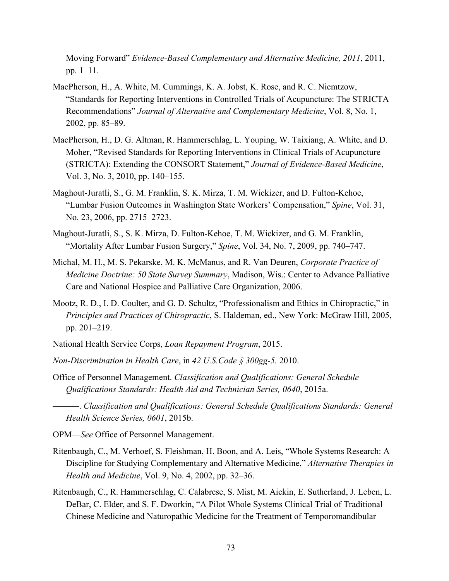Moving Forward" *Evidence-Based Complementary and Alternative Medicine, 2011*, 2011, pp. 1–11.

- MacPherson, H., A. White, M. Cummings, K. A. Jobst, K. Rose, and R. C. Niemtzow, "Standards for Reporting Interventions in Controlled Trials of Acupuncture: The STRICTA Recommendations" *Journal of Alternative and Complementary Medicine*, Vol. 8, No. 1, 2002, pp. 85–89.
- MacPherson, H., D. G. Altman, R. Hammerschlag, L. Youping, W. Taixiang, A. White, and D. Moher, "Revised Standards for Reporting Interventions in Clinical Trials of Acupuncture (STRICTA): Extending the CONSORT Statement," *Journal of Evidence-Based Medicine*, Vol. 3, No. 3, 2010, pp. 140–155.
- Maghout-Juratli, S., G. M. Franklin, S. K. Mirza, T. M. Wickizer, and D. Fulton-Kehoe, "Lumbar Fusion Outcomes in Washington State Workers' Compensation," *Spine*, Vol. 31, No. 23, 2006, pp. 2715–2723.
- Maghout-Juratli, S., S. K. Mirza, D. Fulton-Kehoe, T. M. Wickizer, and G. M. Franklin, "Mortality After Lumbar Fusion Surgery," *Spine*, Vol. 34, No. 7, 2009, pp. 740–747.
- Michal, M. H., M. S. Pekarske, M. K. McManus, and R. Van Deuren, *Corporate Practice of Medicine Doctrine: 50 State Survey Summary*, Madison, Wis.: Center to Advance Palliative Care and National Hospice and Palliative Care Organization, 2006.
- Mootz, R. D., I. D. Coulter, and G. D. Schultz, "Professionalism and Ethics in Chiropractic," in *Principles and Practices of Chiropractic*, S. Haldeman, ed., New York: McGraw Hill, 2005, pp. 201–219.
- National Health Service Corps, *Loan Repayment Program*, 2015.
- *Non-Discrimination in Health Care*, in *42 U.S.Code § 300gg-5.* 2010.
- Office of Personnel Management. *Classification and Qualifications: General Schedule Qualifications Standards: Health Aid and Technician Series, 0640*, 2015a.

———. *Classification and Qualifications: General Schedule Qualifications Standards: General Health Science Series, 0601*, 2015b.

OPM—*See* Office of Personnel Management.

- Ritenbaugh, C., M. Verhoef, S. Fleishman, H. Boon, and A. Leis, "Whole Systems Research: A Discipline for Studying Complementary and Alternative Medicine," *Alternative Therapies in Health and Medicine*, Vol. 9, No. 4, 2002, pp. 32–36.
- Ritenbaugh, C., R. Hammerschlag, C. Calabrese, S. Mist, M. Aickin, E. Sutherland, J. Leben, L. DeBar, C. Elder, and S. F. Dworkin, "A Pilot Whole Systems Clinical Trial of Traditional Chinese Medicine and Naturopathic Medicine for the Treatment of Temporomandibular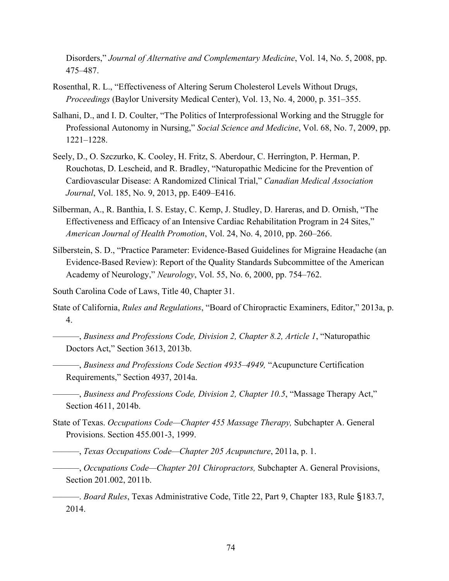Disorders," *Journal of Alternative and Complementary Medicine*, Vol. 14, No. 5, 2008, pp. 475–487.

- Rosenthal, R. L., "Effectiveness of Altering Serum Cholesterol Levels Without Drugs, *Proceedings* (Baylor University Medical Center), Vol. 13, No. 4, 2000, p. 351–355.
- Salhani, D., and I. D. Coulter, "The Politics of Interprofessional Working and the Struggle for Professional Autonomy in Nursing," *Social Science and Medicine*, Vol. 68, No. 7, 2009, pp. 1221–1228.
- Seely, D., O. Szczurko, K. Cooley, H. Fritz, S. Aberdour, C. Herrington, P. Herman, P. Rouchotas, D. Lescheid, and R. Bradley, "Naturopathic Medicine for the Prevention of Cardiovascular Disease: A Randomized Clinical Trial," *Canadian Medical Association Journal*, Vol. 185, No. 9, 2013, pp. E409–E416.
- Silberman, A., R. Banthia, I. S. Estay, C. Kemp, J. Studley, D. Hareras, and D. Ornish, "The Effectiveness and Efficacy of an Intensive Cardiac Rehabilitation Program in 24 Sites," *American Journal of Health Promotion*, Vol. 24, No. 4, 2010, pp. 260–266.
- Silberstein, S. D., "Practice Parameter: Evidence-Based Guidelines for Migraine Headache (an Evidence-Based Review): Report of the Quality Standards Subcommittee of the American Academy of Neurology," *Neurology*, Vol. 55, No. 6, 2000, pp. 754–762.
- South Carolina Code of Laws, Title 40, Chapter 31.
- State of California, *Rules and Regulations*, "Board of Chiropractic Examiners, Editor," 2013a, p. 4.
	- ———, *Business and Professions Code, Division 2, Chapter 8.2, Article 1*, "Naturopathic Doctors Act," Section 3613, 2013b.
- ———, *Business and Professions Code Section 4935–4949,* "Acupuncture Certification Requirements," Section 4937, 2014a.
	- ———, *Business and Professions Code, Division 2, Chapter 10.5*, "Massage Therapy Act," Section 4611, 2014b.
- State of Texas. *Occupations Code—Chapter 455 Massage Therapy,* Subchapter A. General Provisions. Section 455.001-3, 1999.
- ———, *Texas Occupations Code—Chapter 205 Acupuncture*, 2011a, p. 1.
- ———, *Occupations Code—Chapter 201 Chiropractors,* Subchapter A. General Provisions, Section 201.002, 2011b.

———. *Board Rules*, Texas Administrative Code, Title 22, Part 9, Chapter 183, Rule §183.7, 2014.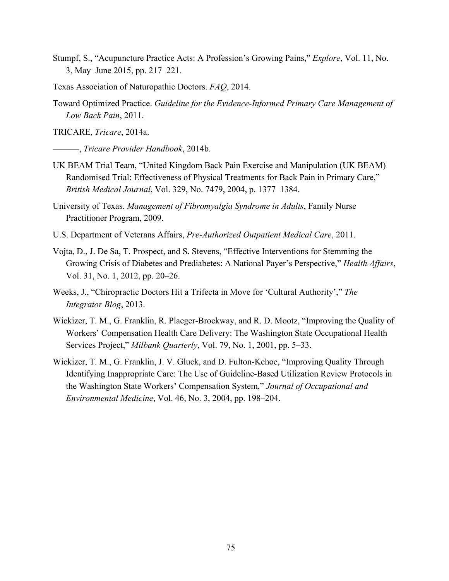- Stumpf, S., "Acupuncture Practice Acts: A Profession's Growing Pains," *Explore*, Vol. 11, No. 3, May–June 2015, pp. 217–221.
- Texas Association of Naturopathic Doctors. *FAQ*, 2014.
- Toward Optimized Practice. *Guideline for the Evidence-Informed Primary Care Management of Low Back Pain*, 2011.

TRICARE, *Tricare*, 2014a.

———, *Tricare Provider Handbook*, 2014b.

- UK BEAM Trial Team, "United Kingdom Back Pain Exercise and Manipulation (UK BEAM) Randomised Trial: Effectiveness of Physical Treatments for Back Pain in Primary Care," *British Medical Journal*, Vol. 329, No. 7479, 2004, p. 1377–1384.
- University of Texas. *Management of Fibromyalgia Syndrome in Adults*, Family Nurse Practitioner Program, 2009.
- U.S. Department of Veterans Affairs, *Pre-Authorized Outpatient Medical Care*, 2011.
- Vojta, D., J. De Sa, T. Prospect, and S. Stevens, "Effective Interventions for Stemming the Growing Crisis of Diabetes and Prediabetes: A National Payer's Perspective," *Health Affairs*, Vol. 31, No. 1, 2012, pp. 20–26.
- Weeks, J., "Chiropractic Doctors Hit a Trifecta in Move for 'Cultural Authority'," *The Integrator Blog*, 2013.
- Wickizer, T. M., G. Franklin, R. Plaeger-Brockway, and R. D. Mootz, "Improving the Quality of Workers' Compensation Health Care Delivery: The Washington State Occupational Health Services Project," *Milbank Quarterly*, Vol. 79, No. 1, 2001, pp. 5–33.
- Wickizer, T. M., G. Franklin, J. V. Gluck, and D. Fulton-Kehoe, "Improving Quality Through Identifying Inappropriate Care: The Use of Guideline-Based Utilization Review Protocols in the Washington State Workers' Compensation System," *Journal of Occupational and Environmental Medicine*, Vol. 46, No. 3, 2004, pp. 198–204.